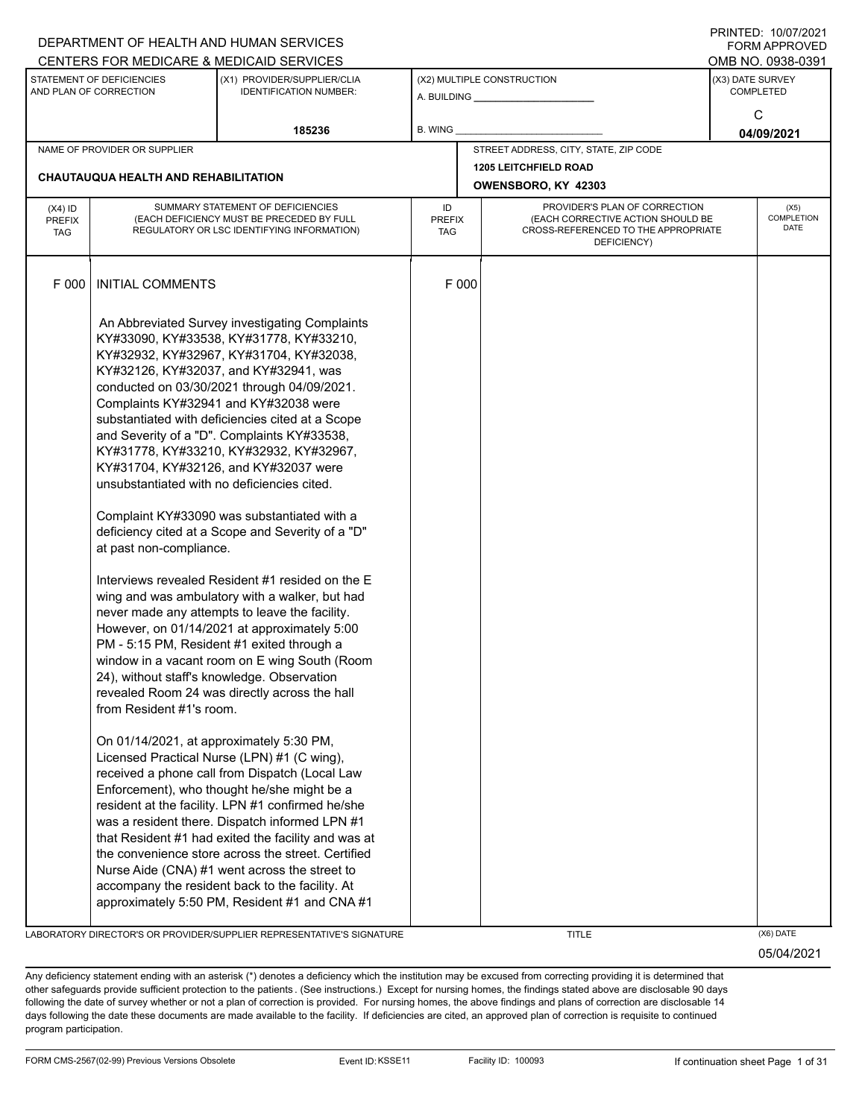|                                   |                                                                                                                                                | DEPARTMENT OF HEALTH AND HUMAN SERVICES                                                                                                                                                                                                                                                                                                                                                                                                                                                                                                                                                                                                                                                                                                                                                                                                                                                                                                                                                                                                                                                                                                                                                                                                                                                                                                                                                                                                                                                          |                            |                                                                                                                          |                  | I INITILU. 10/07/2021<br>FORM APPROVED   |
|-----------------------------------|------------------------------------------------------------------------------------------------------------------------------------------------|--------------------------------------------------------------------------------------------------------------------------------------------------------------------------------------------------------------------------------------------------------------------------------------------------------------------------------------------------------------------------------------------------------------------------------------------------------------------------------------------------------------------------------------------------------------------------------------------------------------------------------------------------------------------------------------------------------------------------------------------------------------------------------------------------------------------------------------------------------------------------------------------------------------------------------------------------------------------------------------------------------------------------------------------------------------------------------------------------------------------------------------------------------------------------------------------------------------------------------------------------------------------------------------------------------------------------------------------------------------------------------------------------------------------------------------------------------------------------------------------------|----------------------------|--------------------------------------------------------------------------------------------------------------------------|------------------|------------------------------------------|
|                                   |                                                                                                                                                | CENTERS FOR MEDICARE & MEDICAID SERVICES                                                                                                                                                                                                                                                                                                                                                                                                                                                                                                                                                                                                                                                                                                                                                                                                                                                                                                                                                                                                                                                                                                                                                                                                                                                                                                                                                                                                                                                         |                            |                                                                                                                          |                  | OMB NO. 0938-0391                        |
|                                   | STATEMENT OF DEFICIENCIES<br>AND PLAN OF CORRECTION                                                                                            | (X1) PROVIDER/SUPPLIER/CLIA<br><b>IDENTIFICATION NUMBER:</b>                                                                                                                                                                                                                                                                                                                                                                                                                                                                                                                                                                                                                                                                                                                                                                                                                                                                                                                                                                                                                                                                                                                                                                                                                                                                                                                                                                                                                                     |                            | (X2) MULTIPLE CONSTRUCTION<br>A. BUILDING <b>A.</b> BUILDING                                                             | (X3) DATE SURVEY | <b>COMPLETED</b>                         |
|                                   |                                                                                                                                                | 185236                                                                                                                                                                                                                                                                                                                                                                                                                                                                                                                                                                                                                                                                                                                                                                                                                                                                                                                                                                                                                                                                                                                                                                                                                                                                                                                                                                                                                                                                                           | B. WING                    |                                                                                                                          |                  | C<br>04/09/2021                          |
|                                   | NAME OF PROVIDER OR SUPPLIER                                                                                                                   |                                                                                                                                                                                                                                                                                                                                                                                                                                                                                                                                                                                                                                                                                                                                                                                                                                                                                                                                                                                                                                                                                                                                                                                                                                                                                                                                                                                                                                                                                                  |                            | STREET ADDRESS, CITY, STATE, ZIP CODE                                                                                    |                  |                                          |
|                                   | <b>CHAUTAUQUA HEALTH AND REHABILITATION</b>                                                                                                    |                                                                                                                                                                                                                                                                                                                                                                                                                                                                                                                                                                                                                                                                                                                                                                                                                                                                                                                                                                                                                                                                                                                                                                                                                                                                                                                                                                                                                                                                                                  |                            | <b>1205 LEITCHFIELD ROAD</b><br>OWENSBORO, KY 42303                                                                      |                  |                                          |
| $(X4)$ ID<br>PREFIX<br><b>TAG</b> |                                                                                                                                                | SUMMARY STATEMENT OF DEFICIENCIES<br>(EACH DEFICIENCY MUST BE PRECEDED BY FULL<br>REGULATORY OR LSC IDENTIFYING INFORMATION)                                                                                                                                                                                                                                                                                                                                                                                                                                                                                                                                                                                                                                                                                                                                                                                                                                                                                                                                                                                                                                                                                                                                                                                                                                                                                                                                                                     | ID<br><b>PREFIX</b><br>TAG | PROVIDER'S PLAN OF CORRECTION<br>(EACH CORRECTIVE ACTION SHOULD BE<br>CROSS-REFERENCED TO THE APPROPRIATE<br>DEFICIENCY) |                  | (X5)<br><b>COMPLETION</b><br><b>DATE</b> |
| F 000                             | <b>INITIAL COMMENTS</b>                                                                                                                        |                                                                                                                                                                                                                                                                                                                                                                                                                                                                                                                                                                                                                                                                                                                                                                                                                                                                                                                                                                                                                                                                                                                                                                                                                                                                                                                                                                                                                                                                                                  | F 000                      |                                                                                                                          |                  |                                          |
|                                   | unsubstantiated with no deficiencies cited.<br>at past non-compliance.<br>from Resident #1's room.<br>On 01/14/2021, at approximately 5:30 PM, | An Abbreviated Survey investigating Complaints<br>KY#33090, KY#33538, KY#31778, KY#33210,<br>KY#32932, KY#32967, KY#31704, KY#32038,<br>KY#32126, KY#32037, and KY#32941, was<br>conducted on 03/30/2021 through 04/09/2021.<br>Complaints KY#32941 and KY#32038 were<br>substantiated with deficiencies cited at a Scope<br>and Severity of a "D". Complaints KY#33538,<br>KY#31778, KY#33210, KY#32932, KY#32967,<br>KY#31704, KY#32126, and KY#32037 were<br>Complaint KY#33090 was substantiated with a<br>deficiency cited at a Scope and Severity of a "D"<br>Interviews revealed Resident #1 resided on the E<br>wing and was ambulatory with a walker, but had<br>never made any attempts to leave the facility.<br>However, on 01/14/2021 at approximately 5:00<br>PM - 5:15 PM, Resident #1 exited through a<br>window in a vacant room on E wing South (Room<br>24), without staff's knowledge. Observation<br>revealed Room 24 was directly across the hall<br>Licensed Practical Nurse (LPN) #1 (C wing),<br>received a phone call from Dispatch (Local Law<br>Enforcement), who thought he/she might be a<br>resident at the facility. LPN #1 confirmed he/she<br>was a resident there. Dispatch informed LPN #1<br>that Resident #1 had exited the facility and was at<br>the convenience store across the street. Certified<br>Nurse Aide (CNA) #1 went across the street to<br>accompany the resident back to the facility. At<br>approximately 5:50 PM, Resident #1 and CNA #1 |                            |                                                                                                                          |                  |                                          |

LABORATORY DIRECTOR'S OR PROVIDER/SUPPLIER REPRESENTATIVE'S SIGNATURE THE TITLE THE TITLE (X6) DATE

05/04/2021

PRINTED: 10/07/2021

Any deficiency statement ending with an asterisk (\*) denotes a deficiency which the institution may be excused from correcting providing it is determined that other safeguards provide sufficient protection to the patients . (See instructions.) Except for nursing homes, the findings stated above are disclosable 90 days following the date of survey whether or not a plan of correction is provided. For nursing homes, the above findings and plans of correction are disclosable 14 days following the date these documents are made available to the facility. If deficiencies are cited, an approved plan of correction is requisite to continued program participation.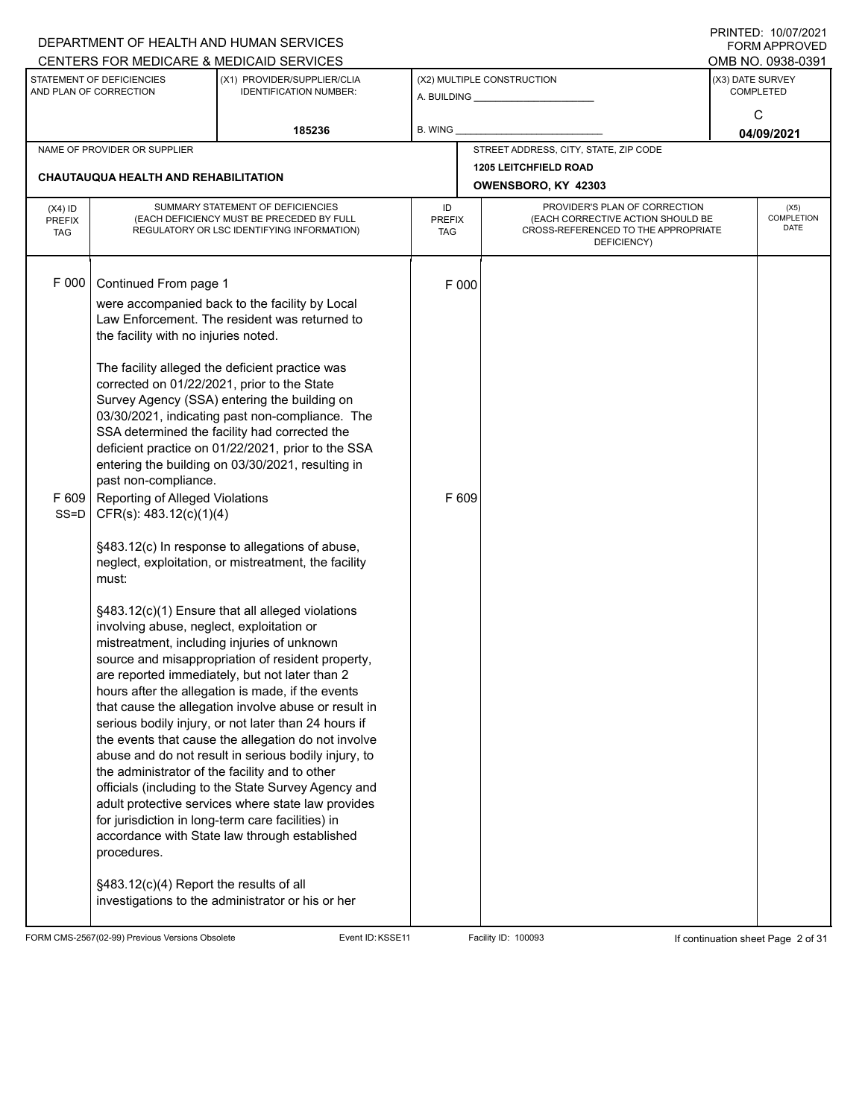|                                                                                                                     |                                                | DEPARTMENT OF HEALTH AND HUMAN SERVICES                                                                     |                             |       |                                                                          |                                      | I I III I LLU. I UIU I I LUZ I<br>FORM APPROVED |
|---------------------------------------------------------------------------------------------------------------------|------------------------------------------------|-------------------------------------------------------------------------------------------------------------|-----------------------------|-------|--------------------------------------------------------------------------|--------------------------------------|-------------------------------------------------|
|                                                                                                                     |                                                | CENTERS FOR MEDICARE & MEDICAID SERVICES                                                                    |                             |       |                                                                          |                                      | OMB NO. 0938-0391                               |
| STATEMENT OF DEFICIENCIES<br>(X1) PROVIDER/SUPPLIER/CLIA<br>AND PLAN OF CORRECTION<br><b>IDENTIFICATION NUMBER:</b> |                                                |                                                                                                             |                             |       | (X2) MULTIPLE CONSTRUCTION                                               | (X3) DATE SURVEY<br><b>COMPLETED</b> |                                                 |
|                                                                                                                     |                                                |                                                                                                             |                             |       |                                                                          |                                      |                                                 |
|                                                                                                                     |                                                | 185236                                                                                                      | B. WING                     |       |                                                                          |                                      | C<br>04/09/2021                                 |
|                                                                                                                     | NAME OF PROVIDER OR SUPPLIER                   |                                                                                                             |                             |       | STREET ADDRESS, CITY, STATE, ZIP CODE                                    |                                      |                                                 |
|                                                                                                                     |                                                |                                                                                                             |                             |       | <b>1205 LEITCHFIELD ROAD</b>                                             |                                      |                                                 |
|                                                                                                                     | <b>CHAUTAUQUA HEALTH AND REHABILITATION</b>    |                                                                                                             |                             |       | OWENSBORO, KY 42303                                                      |                                      |                                                 |
| $(X4)$ ID                                                                                                           |                                                | SUMMARY STATEMENT OF DEFICIENCIES                                                                           | ID                          |       | PROVIDER'S PLAN OF CORRECTION                                            |                                      | (X5)                                            |
| <b>PREFIX</b><br><b>TAG</b>                                                                                         |                                                | (EACH DEFICIENCY MUST BE PRECEDED BY FULL<br>REGULATORY OR LSC IDENTIFYING INFORMATION)                     | <b>PREFIX</b><br><b>TAG</b> |       | (EACH CORRECTIVE ACTION SHOULD BE<br>CROSS-REFERENCED TO THE APPROPRIATE |                                      | COMPLETION<br>DATE                              |
|                                                                                                                     |                                                |                                                                                                             |                             |       | DEFICIENCY)                                                              |                                      |                                                 |
|                                                                                                                     |                                                |                                                                                                             |                             |       |                                                                          |                                      |                                                 |
| F 000                                                                                                               | Continued From page 1                          |                                                                                                             |                             | F 000 |                                                                          |                                      |                                                 |
|                                                                                                                     |                                                | were accompanied back to the facility by Local                                                              |                             |       |                                                                          |                                      |                                                 |
|                                                                                                                     |                                                | Law Enforcement. The resident was returned to                                                               |                             |       |                                                                          |                                      |                                                 |
|                                                                                                                     | the facility with no injuries noted.           |                                                                                                             |                             |       |                                                                          |                                      |                                                 |
|                                                                                                                     |                                                | The facility alleged the deficient practice was                                                             |                             |       |                                                                          |                                      |                                                 |
|                                                                                                                     | corrected on 01/22/2021, prior to the State    |                                                                                                             |                             |       |                                                                          |                                      |                                                 |
|                                                                                                                     |                                                | Survey Agency (SSA) entering the building on                                                                |                             |       |                                                                          |                                      |                                                 |
|                                                                                                                     |                                                | 03/30/2021, indicating past non-compliance. The                                                             |                             |       |                                                                          |                                      |                                                 |
|                                                                                                                     |                                                | SSA determined the facility had corrected the                                                               |                             |       |                                                                          |                                      |                                                 |
|                                                                                                                     |                                                | deficient practice on 01/22/2021, prior to the SSA<br>entering the building on 03/30/2021, resulting in     |                             |       |                                                                          |                                      |                                                 |
|                                                                                                                     | past non-compliance.                           |                                                                                                             |                             |       |                                                                          |                                      |                                                 |
| F 609                                                                                                               | Reporting of Alleged Violations                |                                                                                                             |                             | F 609 |                                                                          |                                      |                                                 |
| $SS = D$                                                                                                            | CFR(s): 483.12(c)(1)(4)                        |                                                                                                             |                             |       |                                                                          |                                      |                                                 |
|                                                                                                                     |                                                |                                                                                                             |                             |       |                                                                          |                                      |                                                 |
|                                                                                                                     |                                                | §483.12(c) In response to allegations of abuse,<br>neglect, exploitation, or mistreatment, the facility     |                             |       |                                                                          |                                      |                                                 |
|                                                                                                                     | must:                                          |                                                                                                             |                             |       |                                                                          |                                      |                                                 |
|                                                                                                                     |                                                |                                                                                                             |                             |       |                                                                          |                                      |                                                 |
|                                                                                                                     |                                                | §483.12(c)(1) Ensure that all alleged violations                                                            |                             |       |                                                                          |                                      |                                                 |
|                                                                                                                     | involving abuse, neglect, exploitation or      | mistreatment, including injuries of unknown                                                                 |                             |       |                                                                          |                                      |                                                 |
|                                                                                                                     |                                                | source and misappropriation of resident property,                                                           |                             |       |                                                                          |                                      |                                                 |
|                                                                                                                     |                                                | are reported immediately, but not later than 2                                                              |                             |       |                                                                          |                                      |                                                 |
|                                                                                                                     |                                                | hours after the allegation is made, if the events                                                           |                             |       |                                                                          |                                      |                                                 |
|                                                                                                                     |                                                | that cause the allegation involve abuse or result in                                                        |                             |       |                                                                          |                                      |                                                 |
|                                                                                                                     |                                                | serious bodily injury, or not later than 24 hours if                                                        |                             |       |                                                                          |                                      |                                                 |
|                                                                                                                     |                                                | the events that cause the allegation do not involve<br>abuse and do not result in serious bodily injury, to |                             |       |                                                                          |                                      |                                                 |
|                                                                                                                     | the administrator of the facility and to other |                                                                                                             |                             |       |                                                                          |                                      |                                                 |
|                                                                                                                     |                                                | officials (including to the State Survey Agency and                                                         |                             |       |                                                                          |                                      |                                                 |
|                                                                                                                     |                                                | adult protective services where state law provides                                                          |                             |       |                                                                          |                                      |                                                 |
|                                                                                                                     |                                                | for jurisdiction in long-term care facilities) in                                                           |                             |       |                                                                          |                                      |                                                 |
|                                                                                                                     | procedures.                                    | accordance with State law through established                                                               |                             |       |                                                                          |                                      |                                                 |
|                                                                                                                     |                                                |                                                                                                             |                             |       |                                                                          |                                      |                                                 |
|                                                                                                                     | §483.12(c)(4) Report the results of all        |                                                                                                             |                             |       |                                                                          |                                      |                                                 |
|                                                                                                                     |                                                | investigations to the administrator or his or her                                                           |                             |       |                                                                          |                                      |                                                 |
|                                                                                                                     |                                                |                                                                                                             |                             |       |                                                                          |                                      |                                                 |

FORM CMS-2567(02-99) Previous Versions Obsolete Event ID:KSSE11 Facility ID: 100093 If continuation sheet Page 2 of 31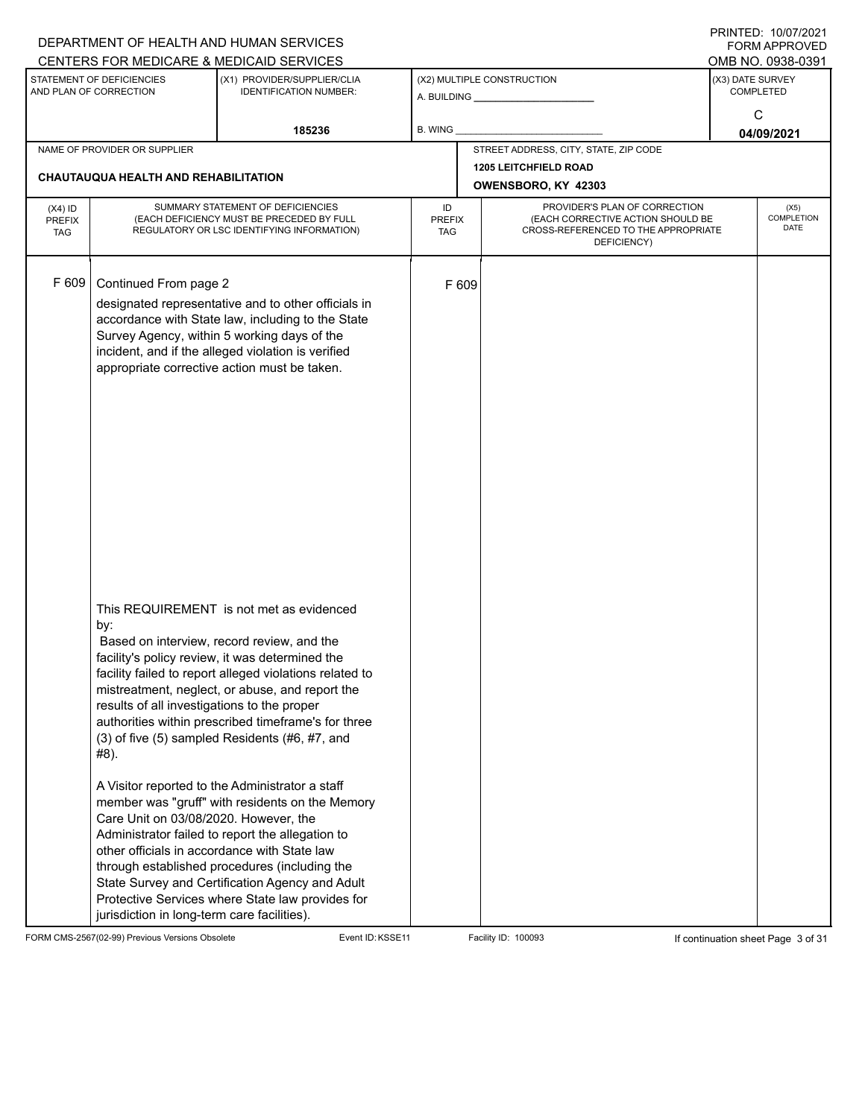|                                          |                                                                                                                                                    | DEPARTMENT OF HEALTH AND HUMAN SERVICES<br>CENTERS FOR MEDICARE & MEDICAID SERVICES                                                                                                                                                                                                                                                                                                                                                                                                                                                                                                                                                                                                                                                       |                            |       |                                                                                                                          |                  | FININILD. IVIVIIZUZI<br><b>FORM APPROVED</b><br>OMB NO. 0938-0391 |
|------------------------------------------|----------------------------------------------------------------------------------------------------------------------------------------------------|-------------------------------------------------------------------------------------------------------------------------------------------------------------------------------------------------------------------------------------------------------------------------------------------------------------------------------------------------------------------------------------------------------------------------------------------------------------------------------------------------------------------------------------------------------------------------------------------------------------------------------------------------------------------------------------------------------------------------------------------|----------------------------|-------|--------------------------------------------------------------------------------------------------------------------------|------------------|-------------------------------------------------------------------|
|                                          | STATEMENT OF DEFICIENCIES<br>AND PLAN OF CORRECTION                                                                                                | (X1) PROVIDER/SUPPLIER/CLIA<br><b>IDENTIFICATION NUMBER:</b>                                                                                                                                                                                                                                                                                                                                                                                                                                                                                                                                                                                                                                                                              |                            |       | (X2) MULTIPLE CONSTRUCTION                                                                                               | (X3) DATE SURVEY | <b>COMPLETED</b>                                                  |
|                                          |                                                                                                                                                    | 185236                                                                                                                                                                                                                                                                                                                                                                                                                                                                                                                                                                                                                                                                                                                                    | <b>B. WING</b>             |       |                                                                                                                          |                  | C<br>04/09/2021                                                   |
|                                          | NAME OF PROVIDER OR SUPPLIER                                                                                                                       |                                                                                                                                                                                                                                                                                                                                                                                                                                                                                                                                                                                                                                                                                                                                           |                            |       | STREET ADDRESS, CITY, STATE, ZIP CODE                                                                                    |                  |                                                                   |
|                                          | <b>CHAUTAUQUA HEALTH AND REHABILITATION</b>                                                                                                        |                                                                                                                                                                                                                                                                                                                                                                                                                                                                                                                                                                                                                                                                                                                                           |                            |       | <b>1205 LEITCHFIELD ROAD</b><br>OWENSBORO, KY 42303                                                                      |                  |                                                                   |
| $(X4)$ ID<br><b>PREFIX</b><br><b>TAG</b> |                                                                                                                                                    | SUMMARY STATEMENT OF DEFICIENCIES<br>(EACH DEFICIENCY MUST BE PRECEDED BY FULL<br>REGULATORY OR LSC IDENTIFYING INFORMATION)                                                                                                                                                                                                                                                                                                                                                                                                                                                                                                                                                                                                              | ID<br><b>PREFIX</b><br>TAG |       | PROVIDER'S PLAN OF CORRECTION<br>(EACH CORRECTIVE ACTION SHOULD BE<br>CROSS-REFERENCED TO THE APPROPRIATE<br>DEFICIENCY) |                  | (X5)<br><b>COMPLETION</b><br><b>DATE</b>                          |
| F 609                                    | Continued From page 2                                                                                                                              | designated representative and to other officials in<br>accordance with State law, including to the State<br>Survey Agency, within 5 working days of the<br>incident, and if the alleged violation is verified<br>appropriate corrective action must be taken.                                                                                                                                                                                                                                                                                                                                                                                                                                                                             |                            | F 609 |                                                                                                                          |                  |                                                                   |
|                                          | by:<br>results of all investigations to the proper<br>#8).<br>Care Unit on 03/08/2020. However, the<br>jurisdiction in long-term care facilities). | This REQUIREMENT is not met as evidenced<br>Based on interview, record review, and the<br>facility's policy review, it was determined the<br>facility failed to report alleged violations related to<br>mistreatment, neglect, or abuse, and report the<br>authorities within prescribed timeframe's for three<br>$(3)$ of five $(5)$ sampled Residents $(#6, #7, and)$<br>A Visitor reported to the Administrator a staff<br>member was "gruff" with residents on the Memory<br>Administrator failed to report the allegation to<br>other officials in accordance with State law<br>through established procedures (including the<br>State Survey and Certification Agency and Adult<br>Protective Services where State law provides for |                            |       |                                                                                                                          |                  |                                                                   |

FORM CMS-2567(02-99) Previous Versions Obsolete Event ID:KSSE11 Facility ID: 100093 If continuation sheet Page 3 of 31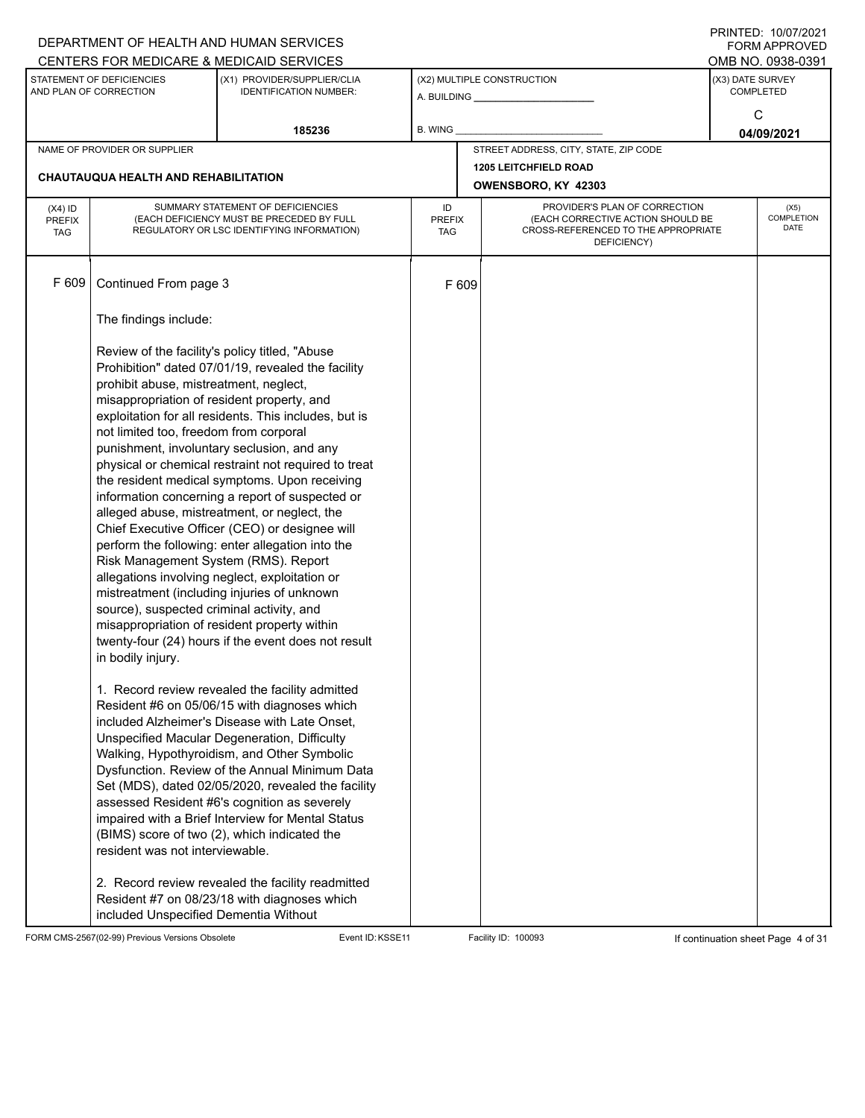|                                                                                                                     |                                                                                                                                                                                                                                                                                            | DEPARTMENT OF HEALTH AND HUMAN SERVICES                                                                                                                                                                                                                                                                                                                                                                                                                                                                                                                                                                                                                                             |                                   |                                                       |                                                                                                                          |                  | I INITILD. IVIVIILVLI<br><b>FORM APPROVED</b> |
|---------------------------------------------------------------------------------------------------------------------|--------------------------------------------------------------------------------------------------------------------------------------------------------------------------------------------------------------------------------------------------------------------------------------------|-------------------------------------------------------------------------------------------------------------------------------------------------------------------------------------------------------------------------------------------------------------------------------------------------------------------------------------------------------------------------------------------------------------------------------------------------------------------------------------------------------------------------------------------------------------------------------------------------------------------------------------------------------------------------------------|-----------------------------------|-------------------------------------------------------|--------------------------------------------------------------------------------------------------------------------------|------------------|-----------------------------------------------|
|                                                                                                                     |                                                                                                                                                                                                                                                                                            | CENTERS FOR MEDICARE & MEDICAID SERVICES                                                                                                                                                                                                                                                                                                                                                                                                                                                                                                                                                                                                                                            |                                   |                                                       |                                                                                                                          |                  | OMB NO. 0938-0391                             |
| STATEMENT OF DEFICIENCIES<br>(X1) PROVIDER/SUPPLIER/CLIA<br>AND PLAN OF CORRECTION<br><b>IDENTIFICATION NUMBER:</b> |                                                                                                                                                                                                                                                                                            |                                                                                                                                                                                                                                                                                                                                                                                                                                                                                                                                                                                                                                                                                     |                                   | (X2) MULTIPLE CONSTRUCTION<br>A. BUILDING A. BUILDING | (X3) DATE SURVEY                                                                                                         | <b>COMPLETED</b> |                                               |
|                                                                                                                     |                                                                                                                                                                                                                                                                                            | 185236                                                                                                                                                                                                                                                                                                                                                                                                                                                                                                                                                                                                                                                                              | B. WING                           |                                                       |                                                                                                                          |                  | C<br>04/09/2021                               |
|                                                                                                                     | NAME OF PROVIDER OR SUPPLIER                                                                                                                                                                                                                                                               |                                                                                                                                                                                                                                                                                                                                                                                                                                                                                                                                                                                                                                                                                     |                                   |                                                       | STREET ADDRESS, CITY, STATE, ZIP CODE                                                                                    |                  |                                               |
|                                                                                                                     | CHAUTAUQUA HEALTH AND REHABILITATION                                                                                                                                                                                                                                                       |                                                                                                                                                                                                                                                                                                                                                                                                                                                                                                                                                                                                                                                                                     |                                   |                                                       | <b>1205 LEITCHFIELD ROAD</b><br>OWENSBORO, KY 42303                                                                      |                  |                                               |
| $(X4)$ ID<br><b>PREFIX</b><br><b>TAG</b>                                                                            |                                                                                                                                                                                                                                                                                            | SUMMARY STATEMENT OF DEFICIENCIES<br>(EACH DEFICIENCY MUST BE PRECEDED BY FULL<br>REGULATORY OR LSC IDENTIFYING INFORMATION)                                                                                                                                                                                                                                                                                                                                                                                                                                                                                                                                                        | ID<br><b>PREFIX</b><br><b>TAG</b> |                                                       | PROVIDER'S PLAN OF CORRECTION<br>(EACH CORRECTIVE ACTION SHOULD BE<br>CROSS-REFERENCED TO THE APPROPRIATE<br>DEFICIENCY) |                  | (X5)<br><b>COMPLETION</b><br>DATE             |
| F 609                                                                                                               | Continued From page 3                                                                                                                                                                                                                                                                      |                                                                                                                                                                                                                                                                                                                                                                                                                                                                                                                                                                                                                                                                                     |                                   | F 609                                                 |                                                                                                                          |                  |                                               |
|                                                                                                                     | The findings include:                                                                                                                                                                                                                                                                      |                                                                                                                                                                                                                                                                                                                                                                                                                                                                                                                                                                                                                                                                                     |                                   |                                                       |                                                                                                                          |                  |                                               |
|                                                                                                                     | Review of the facility's policy titled, "Abuse<br>prohibit abuse, mistreatment, neglect,<br>misappropriation of resident property, and<br>not limited too, freedom from corporal<br>Risk Management System (RMS). Report<br>source), suspected criminal activity, and<br>in bodily injury. | Prohibition" dated 07/01/19, revealed the facility<br>exploitation for all residents. This includes, but is<br>punishment, involuntary seclusion, and any<br>physical or chemical restraint not required to treat<br>the resident medical symptoms. Upon receiving<br>information concerning a report of suspected or<br>alleged abuse, mistreatment, or neglect, the<br>Chief Executive Officer (CEO) or designee will<br>perform the following: enter allegation into the<br>allegations involving neglect, exploitation or<br>mistreatment (including injuries of unknown<br>misappropriation of resident property within<br>twenty-four (24) hours if the event does not result |                                   |                                                       |                                                                                                                          |                  |                                               |
|                                                                                                                     | resident was not interviewable.                                                                                                                                                                                                                                                            | 1. Record review revealed the facility admitted<br>Resident #6 on 05/06/15 with diagnoses which<br>included Alzheimer's Disease with Late Onset.<br>Unspecified Macular Degeneration, Difficulty<br>Walking, Hypothyroidism, and Other Symbolic<br>Dysfunction. Review of the Annual Minimum Data<br>Set (MDS), dated 02/05/2020, revealed the facility<br>assessed Resident #6's cognition as severely<br>impaired with a Brief Interview for Mental Status<br>(BIMS) score of two (2), which indicated the<br>2. Record review revealed the facility readmitted                                                                                                                   |                                   |                                                       |                                                                                                                          |                  |                                               |
|                                                                                                                     | included Unspecified Dementia Without                                                                                                                                                                                                                                                      | Resident #7 on 08/23/18 with diagnoses which                                                                                                                                                                                                                                                                                                                                                                                                                                                                                                                                                                                                                                        |                                   |                                                       |                                                                                                                          |                  |                                               |

FORM CMS-2567(02-99) Previous Versions Obsolete Event ID:KSSE11 Facility ID: 100093 If continuation sheet Page 4 of 31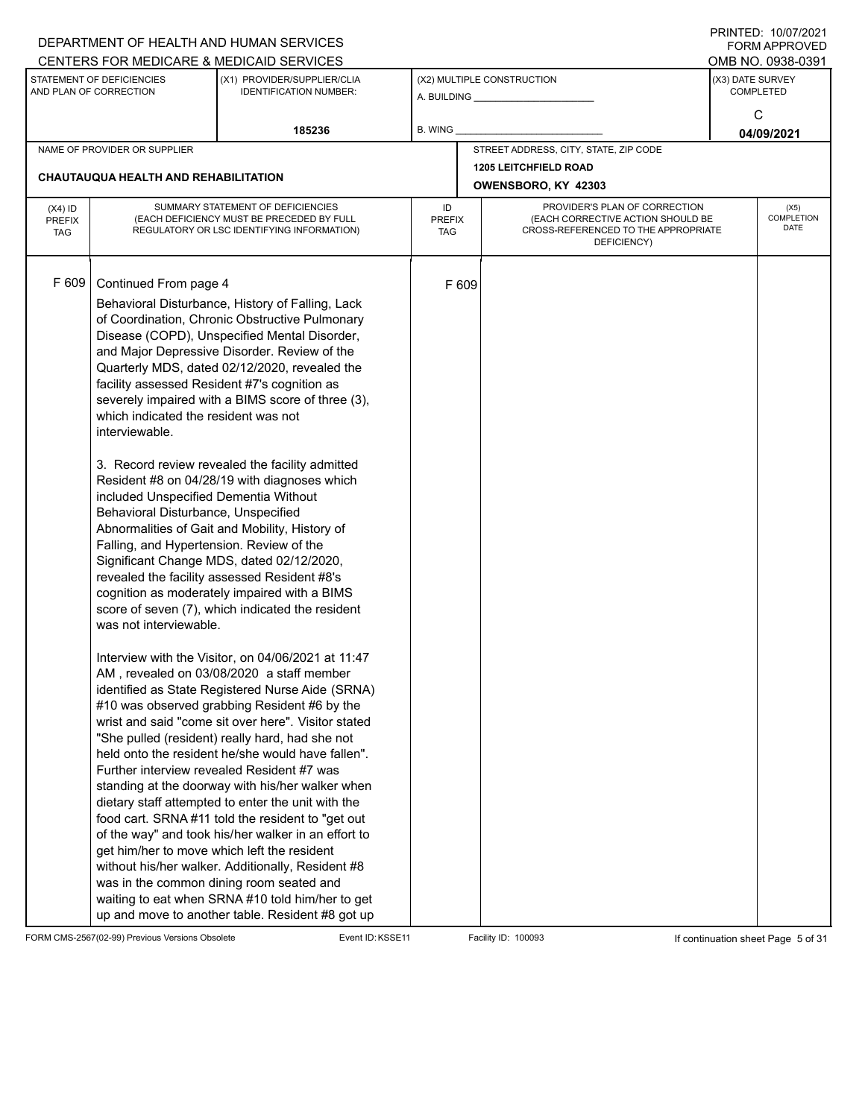|                                          |                                                                                                                                                                                                                                                                                      | DEPARTMENT OF HEALTH AND HUMAN SERVICES<br>CENTERS FOR MEDICARE & MEDICAID SERVICES                                                                                                                                                                                                                                                                                                                                                                                                                                                                                                                                                                                                                                                                                                                                                                                                                                                                                                                                                                                                                                                                                                                                                                                                                                                                                                                                                                                                                                                                              |                                   |       |                                                                                                                          |                  | FININILD. IVIVIIZUZI<br><b>FORM APPROVED</b><br>OMB NO. 0938-0391 |
|------------------------------------------|--------------------------------------------------------------------------------------------------------------------------------------------------------------------------------------------------------------------------------------------------------------------------------------|------------------------------------------------------------------------------------------------------------------------------------------------------------------------------------------------------------------------------------------------------------------------------------------------------------------------------------------------------------------------------------------------------------------------------------------------------------------------------------------------------------------------------------------------------------------------------------------------------------------------------------------------------------------------------------------------------------------------------------------------------------------------------------------------------------------------------------------------------------------------------------------------------------------------------------------------------------------------------------------------------------------------------------------------------------------------------------------------------------------------------------------------------------------------------------------------------------------------------------------------------------------------------------------------------------------------------------------------------------------------------------------------------------------------------------------------------------------------------------------------------------------------------------------------------------------|-----------------------------------|-------|--------------------------------------------------------------------------------------------------------------------------|------------------|-------------------------------------------------------------------|
|                                          | STATEMENT OF DEFICIENCIES<br>AND PLAN OF CORRECTION                                                                                                                                                                                                                                  | (X1) PROVIDER/SUPPLIER/CLIA<br><b>IDENTIFICATION NUMBER:</b>                                                                                                                                                                                                                                                                                                                                                                                                                                                                                                                                                                                                                                                                                                                                                                                                                                                                                                                                                                                                                                                                                                                                                                                                                                                                                                                                                                                                                                                                                                     |                                   |       | (X2) MULTIPLE CONSTRUCTION                                                                                               | (X3) DATE SURVEY | <b>COMPLETED</b><br>C                                             |
|                                          |                                                                                                                                                                                                                                                                                      | 185236                                                                                                                                                                                                                                                                                                                                                                                                                                                                                                                                                                                                                                                                                                                                                                                                                                                                                                                                                                                                                                                                                                                                                                                                                                                                                                                                                                                                                                                                                                                                                           | B. WING                           |       |                                                                                                                          |                  | 04/09/2021                                                        |
|                                          | NAME OF PROVIDER OR SUPPLIER                                                                                                                                                                                                                                                         |                                                                                                                                                                                                                                                                                                                                                                                                                                                                                                                                                                                                                                                                                                                                                                                                                                                                                                                                                                                                                                                                                                                                                                                                                                                                                                                                                                                                                                                                                                                                                                  |                                   |       | STREET ADDRESS, CITY, STATE, ZIP CODE                                                                                    |                  |                                                                   |
|                                          | <b>CHAUTAUQUA HEALTH AND REHABILITATION</b>                                                                                                                                                                                                                                          |                                                                                                                                                                                                                                                                                                                                                                                                                                                                                                                                                                                                                                                                                                                                                                                                                                                                                                                                                                                                                                                                                                                                                                                                                                                                                                                                                                                                                                                                                                                                                                  |                                   |       | <b>1205 LEITCHFIELD ROAD</b><br>OWENSBORO, KY 42303                                                                      |                  |                                                                   |
| $(X4)$ ID<br><b>PREFIX</b><br><b>TAG</b> |                                                                                                                                                                                                                                                                                      | SUMMARY STATEMENT OF DEFICIENCIES<br>(EACH DEFICIENCY MUST BE PRECEDED BY FULL<br>REGULATORY OR LSC IDENTIFYING INFORMATION)                                                                                                                                                                                                                                                                                                                                                                                                                                                                                                                                                                                                                                                                                                                                                                                                                                                                                                                                                                                                                                                                                                                                                                                                                                                                                                                                                                                                                                     | ID<br><b>PREFIX</b><br><b>TAG</b> |       | PROVIDER'S PLAN OF CORRECTION<br>(EACH CORRECTIVE ACTION SHOULD BE<br>CROSS-REFERENCED TO THE APPROPRIATE<br>DEFICIENCY) |                  | (X5)<br>COMPLETION<br><b>DATE</b>                                 |
| F 609                                    | Continued From page 4<br>which indicated the resident was not<br>interviewable.<br>included Unspecified Dementia Without<br>Behavioral Disturbance, Unspecified<br>Falling, and Hypertension. Review of the<br>was not interviewable.<br>get him/her to move which left the resident | Behavioral Disturbance, History of Falling, Lack<br>of Coordination, Chronic Obstructive Pulmonary<br>Disease (COPD), Unspecified Mental Disorder,<br>and Major Depressive Disorder. Review of the<br>Quarterly MDS, dated 02/12/2020, revealed the<br>facility assessed Resident #7's cognition as<br>severely impaired with a BIMS score of three (3),<br>3. Record review revealed the facility admitted<br>Resident #8 on 04/28/19 with diagnoses which<br>Abnormalities of Gait and Mobility, History of<br>Significant Change MDS, dated 02/12/2020,<br>revealed the facility assessed Resident #8's<br>cognition as moderately impaired with a BIMS<br>score of seven (7), which indicated the resident<br>Interview with the Visitor, on 04/06/2021 at 11:47<br>AM, revealed on 03/08/2020 a staff member<br>identified as State Registered Nurse Aide (SRNA)<br>#10 was observed grabbing Resident #6 by the<br>wrist and said "come sit over here". Visitor stated<br>"She pulled (resident) really hard, had she not<br>held onto the resident he/she would have fallen".<br>Further interview revealed Resident #7 was<br>standing at the doorway with his/her walker when<br>dietary staff attempted to enter the unit with the<br>food cart. SRNA#11 told the resident to "get out<br>of the way" and took his/her walker in an effort to<br>without his/her walker. Additionally, Resident #8<br>was in the common dining room seated and<br>waiting to eat when SRNA #10 told him/her to get<br>up and move to another table. Resident #8 got up |                                   | F 609 |                                                                                                                          |                  |                                                                   |

FORM CMS-2567(02-99) Previous Versions Obsolete Event ID:KSSE11 Facility ID: 100093 If continuation sheet Page 5 of 31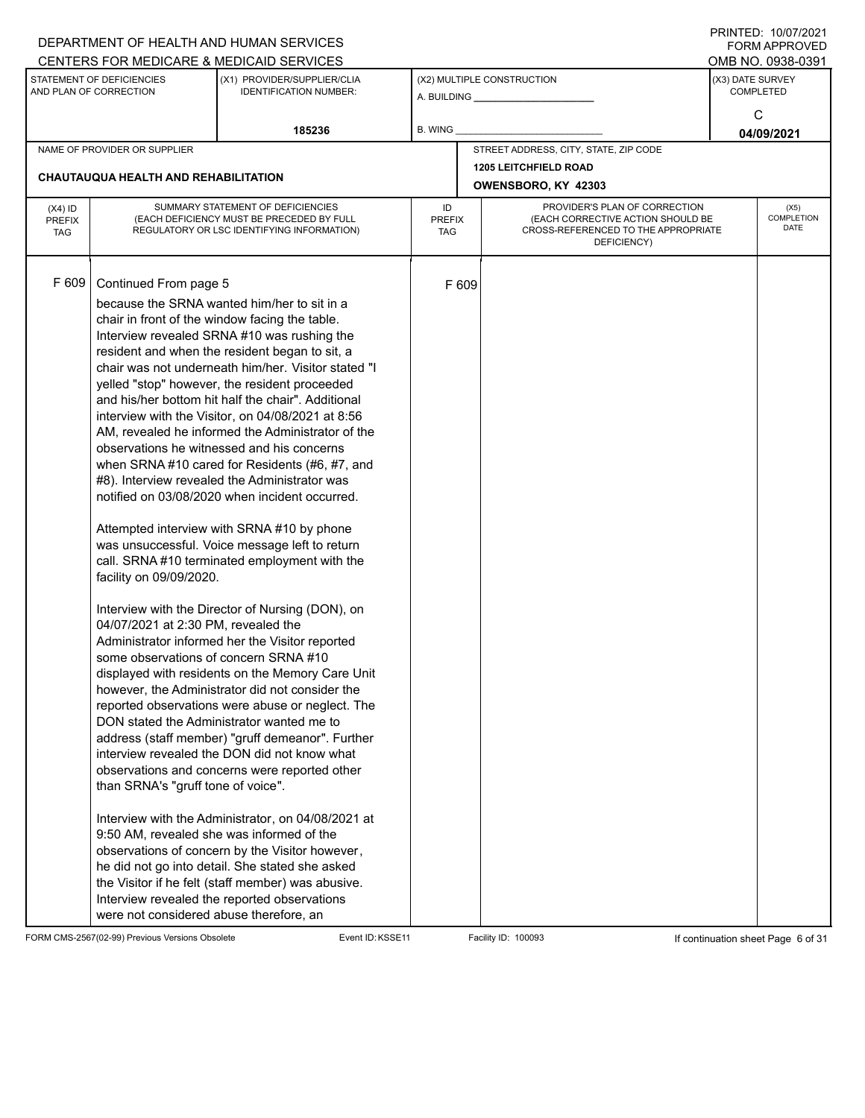|                                          |                                                                                                                                                                                                                                                                | DEPARTMENT OF HEALTH AND HUMAN SERVICES<br>CENTERS FOR MEDICARE & MEDICAID SERVICES                                                                                                                                                                                                                                                                                                                                                                                                                                                                                                                                                                                                                                                                                                                                                                                                                                                                                                                                                                                                                                                                                                                                                                                                                                                                                                                                                                                                                                                                             |                                   |       |                                                                                                                          |                  | FININILD. IVIVIIZUZI<br><b>FORM APPROVED</b><br>OMB NO. 0938-0391 |
|------------------------------------------|----------------------------------------------------------------------------------------------------------------------------------------------------------------------------------------------------------------------------------------------------------------|-----------------------------------------------------------------------------------------------------------------------------------------------------------------------------------------------------------------------------------------------------------------------------------------------------------------------------------------------------------------------------------------------------------------------------------------------------------------------------------------------------------------------------------------------------------------------------------------------------------------------------------------------------------------------------------------------------------------------------------------------------------------------------------------------------------------------------------------------------------------------------------------------------------------------------------------------------------------------------------------------------------------------------------------------------------------------------------------------------------------------------------------------------------------------------------------------------------------------------------------------------------------------------------------------------------------------------------------------------------------------------------------------------------------------------------------------------------------------------------------------------------------------------------------------------------------|-----------------------------------|-------|--------------------------------------------------------------------------------------------------------------------------|------------------|-------------------------------------------------------------------|
|                                          | STATEMENT OF DEFICIENCIES<br>AND PLAN OF CORRECTION                                                                                                                                                                                                            | (X1) PROVIDER/SUPPLIER/CLIA<br><b>IDENTIFICATION NUMBER:</b>                                                                                                                                                                                                                                                                                                                                                                                                                                                                                                                                                                                                                                                                                                                                                                                                                                                                                                                                                                                                                                                                                                                                                                                                                                                                                                                                                                                                                                                                                                    |                                   |       | (X2) MULTIPLE CONSTRUCTION                                                                                               | (X3) DATE SURVEY | <b>COMPLETED</b><br>C                                             |
|                                          |                                                                                                                                                                                                                                                                | 185236                                                                                                                                                                                                                                                                                                                                                                                                                                                                                                                                                                                                                                                                                                                                                                                                                                                                                                                                                                                                                                                                                                                                                                                                                                                                                                                                                                                                                                                                                                                                                          | <b>B. WING</b>                    |       |                                                                                                                          |                  | 04/09/2021                                                        |
|                                          | NAME OF PROVIDER OR SUPPLIER                                                                                                                                                                                                                                   |                                                                                                                                                                                                                                                                                                                                                                                                                                                                                                                                                                                                                                                                                                                                                                                                                                                                                                                                                                                                                                                                                                                                                                                                                                                                                                                                                                                                                                                                                                                                                                 |                                   |       | STREET ADDRESS, CITY, STATE, ZIP CODE                                                                                    |                  |                                                                   |
|                                          | <b>CHAUTAUQUA HEALTH AND REHABILITATION</b>                                                                                                                                                                                                                    |                                                                                                                                                                                                                                                                                                                                                                                                                                                                                                                                                                                                                                                                                                                                                                                                                                                                                                                                                                                                                                                                                                                                                                                                                                                                                                                                                                                                                                                                                                                                                                 |                                   |       | <b>1205 LEITCHFIELD ROAD</b><br>OWENSBORO, KY 42303                                                                      |                  |                                                                   |
| $(X4)$ ID<br><b>PREFIX</b><br><b>TAG</b> |                                                                                                                                                                                                                                                                | SUMMARY STATEMENT OF DEFICIENCIES<br>(EACH DEFICIENCY MUST BE PRECEDED BY FULL<br>REGULATORY OR LSC IDENTIFYING INFORMATION)                                                                                                                                                                                                                                                                                                                                                                                                                                                                                                                                                                                                                                                                                                                                                                                                                                                                                                                                                                                                                                                                                                                                                                                                                                                                                                                                                                                                                                    | ID<br><b>PREFIX</b><br><b>TAG</b> |       | PROVIDER'S PLAN OF CORRECTION<br>(EACH CORRECTIVE ACTION SHOULD BE<br>CROSS-REFERENCED TO THE APPROPRIATE<br>DEFICIENCY) |                  | (X5)<br>COMPLETION<br><b>DATE</b>                                 |
| F 609                                    | Continued From page 5<br>facility on 09/09/2020.<br>04/07/2021 at 2:30 PM, revealed the<br>some observations of concern SRNA #10<br>than SRNA's "gruff tone of voice".<br>9:50 AM, revealed she was informed of the<br>were not considered abuse therefore, an | because the SRNA wanted him/her to sit in a<br>chair in front of the window facing the table.<br>Interview revealed SRNA #10 was rushing the<br>resident and when the resident began to sit, a<br>chair was not underneath him/her. Visitor stated "I<br>yelled "stop" however, the resident proceeded<br>and his/her bottom hit half the chair". Additional<br>interview with the Visitor, on 04/08/2021 at 8:56<br>AM, revealed he informed the Administrator of the<br>observations he witnessed and his concerns<br>when SRNA #10 cared for Residents (#6, #7, and<br>#8). Interview revealed the Administrator was<br>notified on 03/08/2020 when incident occurred.<br>Attempted interview with SRNA #10 by phone<br>was unsuccessful. Voice message left to return<br>call. SRNA#10 terminated employment with the<br>Interview with the Director of Nursing (DON), on<br>Administrator informed her the Visitor reported<br>displayed with residents on the Memory Care Unit<br>however, the Administrator did not consider the<br>reported observations were abuse or neglect. The<br>DON stated the Administrator wanted me to<br>address (staff member) "gruff demeanor". Further<br>interview revealed the DON did not know what<br>observations and concerns were reported other<br>Interview with the Administrator, on 04/08/2021 at<br>observations of concern by the Visitor however,<br>he did not go into detail. She stated she asked<br>the Visitor if he felt (staff member) was abusive.<br>Interview revealed the reported observations |                                   | F 609 |                                                                                                                          |                  |                                                                   |

FORM CMS-2567(02-99) Previous Versions Obsolete Event ID:KSSE11 Facility ID: 100093 If continuation sheet Page 6 of 31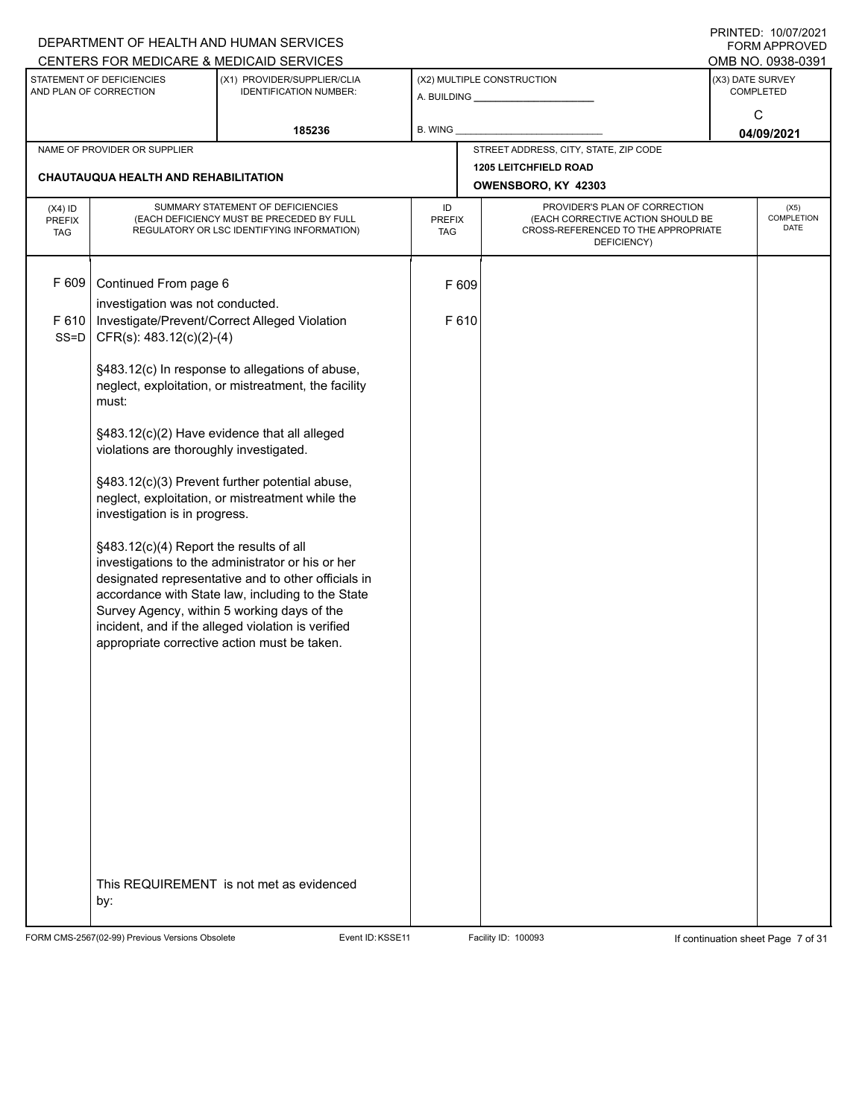|                                          |                                                     | DEPARTMENT OF HEALTH AND HUMAN SERVICES                                                                                                                                                                                                                                                                            |                            |                                                                                                                          |                  | $1 \times 1 \times 1 = 1$ . $1 \times 1 \times 1 = 1$<br>FORM APPROVED |
|------------------------------------------|-----------------------------------------------------|--------------------------------------------------------------------------------------------------------------------------------------------------------------------------------------------------------------------------------------------------------------------------------------------------------------------|----------------------------|--------------------------------------------------------------------------------------------------------------------------|------------------|------------------------------------------------------------------------|
|                                          |                                                     | CENTERS FOR MEDICARE & MEDICAID SERVICES                                                                                                                                                                                                                                                                           |                            |                                                                                                                          |                  | OMB NO. 0938-0391                                                      |
|                                          | STATEMENT OF DEFICIENCIES<br>AND PLAN OF CORRECTION | (X1) PROVIDER/SUPPLIER/CLIA<br><b>IDENTIFICATION NUMBER:</b>                                                                                                                                                                                                                                                       |                            | (X2) MULTIPLE CONSTRUCTION                                                                                               | (X3) DATE SURVEY | <b>COMPLETED</b>                                                       |
|                                          |                                                     | 185236                                                                                                                                                                                                                                                                                                             | B. WING                    |                                                                                                                          |                  | C<br>04/09/2021                                                        |
|                                          | NAME OF PROVIDER OR SUPPLIER                        |                                                                                                                                                                                                                                                                                                                    |                            | STREET ADDRESS, CITY, STATE, ZIP CODE                                                                                    |                  |                                                                        |
|                                          | <b>CHAUTAUQUA HEALTH AND REHABILITATION</b>         |                                                                                                                                                                                                                                                                                                                    |                            | <b>1205 LEITCHFIELD ROAD</b><br>OWENSBORO, KY 42303                                                                      |                  |                                                                        |
| $(X4)$ ID<br><b>PREFIX</b><br><b>TAG</b> |                                                     | SUMMARY STATEMENT OF DEFICIENCIES<br>(EACH DEFICIENCY MUST BE PRECEDED BY FULL<br>REGULATORY OR LSC IDENTIFYING INFORMATION)                                                                                                                                                                                       | ID<br><b>PREFIX</b><br>TAG | PROVIDER'S PLAN OF CORRECTION<br>(EACH CORRECTIVE ACTION SHOULD BE<br>CROSS-REFERENCED TO THE APPROPRIATE<br>DEFICIENCY) |                  | (X5)<br>COMPLETION<br>DATE                                             |
| F 609                                    | Continued From page 6                               |                                                                                                                                                                                                                                                                                                                    | F 609                      |                                                                                                                          |                  |                                                                        |
|                                          | investigation was not conducted.                    |                                                                                                                                                                                                                                                                                                                    |                            |                                                                                                                          |                  |                                                                        |
| F 610<br>$SS = D$                        | CFR(s): 483.12(c)(2)-(4)                            | Investigate/Prevent/Correct Alleged Violation                                                                                                                                                                                                                                                                      | F 610                      |                                                                                                                          |                  |                                                                        |
|                                          | must:                                               | §483.12(c) In response to allegations of abuse,<br>neglect, exploitation, or mistreatment, the facility                                                                                                                                                                                                            |                            |                                                                                                                          |                  |                                                                        |
|                                          | violations are thoroughly investigated.             | §483.12(c)(2) Have evidence that all alleged                                                                                                                                                                                                                                                                       |                            |                                                                                                                          |                  |                                                                        |
|                                          | investigation is in progress.                       | §483.12(c)(3) Prevent further potential abuse,<br>neglect, exploitation, or mistreatment while the                                                                                                                                                                                                                 |                            |                                                                                                                          |                  |                                                                        |
|                                          | §483.12(c)(4) Report the results of all             | investigations to the administrator or his or her<br>designated representative and to other officials in<br>accordance with State law, including to the State<br>Survey Agency, within 5 working days of the<br>incident, and if the alleged violation is verified<br>appropriate corrective action must be taken. |                            |                                                                                                                          |                  |                                                                        |
|                                          |                                                     |                                                                                                                                                                                                                                                                                                                    |                            |                                                                                                                          |                  |                                                                        |
|                                          | by:                                                 | This REQUIREMENT is not met as evidenced                                                                                                                                                                                                                                                                           |                            |                                                                                                                          |                  |                                                                        |

FORM CMS-2567(02-99) Previous Versions Obsolete Event ID:KSSE11 Facility ID: 100093 If continuation sheet Page 7 of 31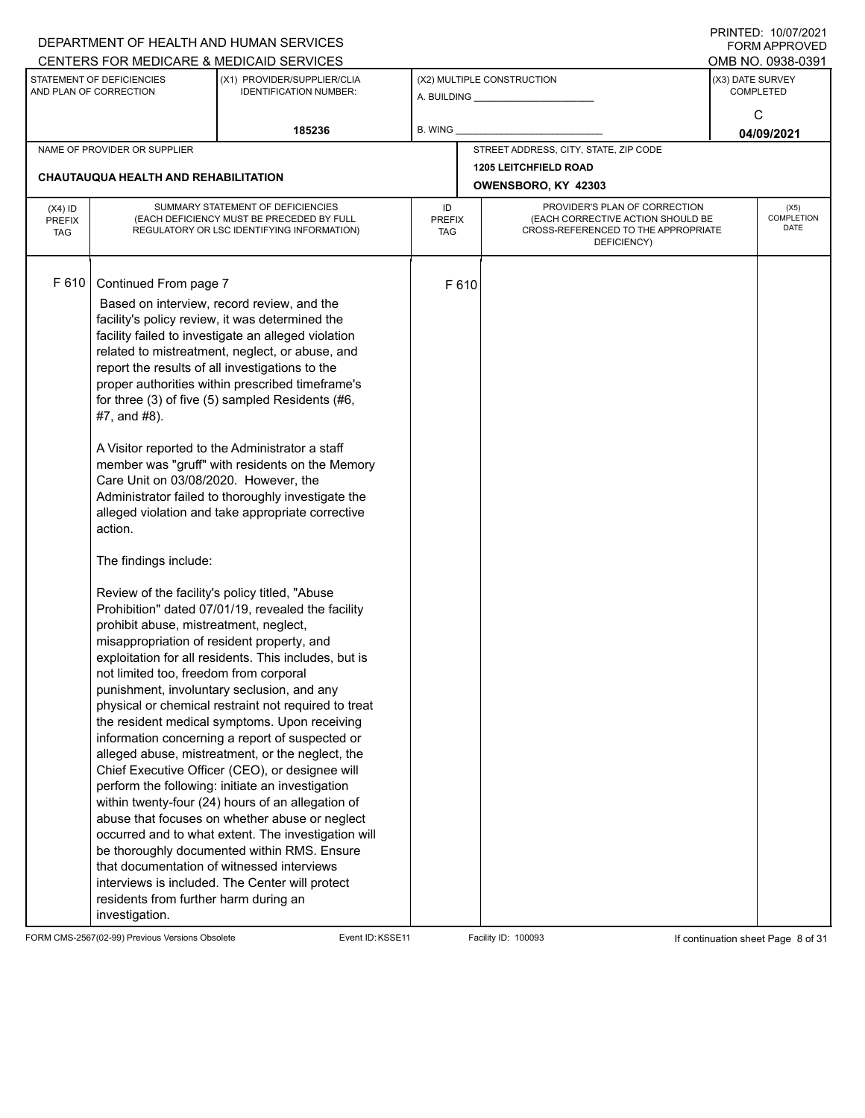|                                                                                                                                                                 |                                                                                                                                                                                                                                                                                                                                                                                                                                                                    | DEPARTMENT OF HEALTH AND HUMAN SERVICES                                                                                                                                                                                                                                                                                                                                                                                                                                                                                                                                                                                                                                                                                                                                                                                                                                                                                                                                                                                                                                                                                                                                                                                                                                              |                                   |                            |                                                                                                                          |                  | FININILU. IVIVIIZUZI<br><b>FORM APPROVED</b><br>OMB NO. 0938-0391 |
|-----------------------------------------------------------------------------------------------------------------------------------------------------------------|--------------------------------------------------------------------------------------------------------------------------------------------------------------------------------------------------------------------------------------------------------------------------------------------------------------------------------------------------------------------------------------------------------------------------------------------------------------------|--------------------------------------------------------------------------------------------------------------------------------------------------------------------------------------------------------------------------------------------------------------------------------------------------------------------------------------------------------------------------------------------------------------------------------------------------------------------------------------------------------------------------------------------------------------------------------------------------------------------------------------------------------------------------------------------------------------------------------------------------------------------------------------------------------------------------------------------------------------------------------------------------------------------------------------------------------------------------------------------------------------------------------------------------------------------------------------------------------------------------------------------------------------------------------------------------------------------------------------------------------------------------------------|-----------------------------------|----------------------------|--------------------------------------------------------------------------------------------------------------------------|------------------|-------------------------------------------------------------------|
| CENTERS FOR MEDICARE & MEDICAID SERVICES<br>STATEMENT OF DEFICIENCIES<br>(X1) PROVIDER/SUPPLIER/CLIA<br>AND PLAN OF CORRECTION<br><b>IDENTIFICATION NUMBER:</b> |                                                                                                                                                                                                                                                                                                                                                                                                                                                                    |                                                                                                                                                                                                                                                                                                                                                                                                                                                                                                                                                                                                                                                                                                                                                                                                                                                                                                                                                                                                                                                                                                                                                                                                                                                                                      |                                   | (X2) MULTIPLE CONSTRUCTION | (X3) DATE SURVEY                                                                                                         | <b>COMPLETED</b> |                                                                   |
|                                                                                                                                                                 |                                                                                                                                                                                                                                                                                                                                                                                                                                                                    | 185236                                                                                                                                                                                                                                                                                                                                                                                                                                                                                                                                                                                                                                                                                                                                                                                                                                                                                                                                                                                                                                                                                                                                                                                                                                                                               | B. WING                           |                            |                                                                                                                          |                  | C<br>04/09/2021                                                   |
|                                                                                                                                                                 | NAME OF PROVIDER OR SUPPLIER                                                                                                                                                                                                                                                                                                                                                                                                                                       |                                                                                                                                                                                                                                                                                                                                                                                                                                                                                                                                                                                                                                                                                                                                                                                                                                                                                                                                                                                                                                                                                                                                                                                                                                                                                      |                                   |                            | STREET ADDRESS, CITY, STATE, ZIP CODE                                                                                    |                  |                                                                   |
|                                                                                                                                                                 | <b>CHAUTAUQUA HEALTH AND REHABILITATION</b>                                                                                                                                                                                                                                                                                                                                                                                                                        |                                                                                                                                                                                                                                                                                                                                                                                                                                                                                                                                                                                                                                                                                                                                                                                                                                                                                                                                                                                                                                                                                                                                                                                                                                                                                      |                                   |                            | <b>1205 LEITCHFIELD ROAD</b><br>OWENSBORO, KY 42303                                                                      |                  |                                                                   |
| $(X4)$ ID<br><b>PREFIX</b><br><b>TAG</b>                                                                                                                        |                                                                                                                                                                                                                                                                                                                                                                                                                                                                    | SUMMARY STATEMENT OF DEFICIENCIES<br>(EACH DEFICIENCY MUST BE PRECEDED BY FULL<br>REGULATORY OR LSC IDENTIFYING INFORMATION)                                                                                                                                                                                                                                                                                                                                                                                                                                                                                                                                                                                                                                                                                                                                                                                                                                                                                                                                                                                                                                                                                                                                                         | ID<br><b>PREFIX</b><br><b>TAG</b> |                            | PROVIDER'S PLAN OF CORRECTION<br>(EACH CORRECTIVE ACTION SHOULD BE<br>CROSS-REFERENCED TO THE APPROPRIATE<br>DEFICIENCY) |                  | (X5)<br>COMPLETION<br><b>DATE</b>                                 |
| F 610                                                                                                                                                           | Continued From page 7<br>report the results of all investigations to the<br>#7, and #8).<br>Care Unit on 03/08/2020. However, the<br>action.<br>The findings include:<br>Review of the facility's policy titled, "Abuse<br>prohibit abuse, mistreatment, neglect,<br>misappropriation of resident property, and<br>not limited too, freedom from corporal<br>that documentation of witnessed interviews<br>residents from further harm during an<br>investigation. | Based on interview, record review, and the<br>facility's policy review, it was determined the<br>facility failed to investigate an alleged violation<br>related to mistreatment, neglect, or abuse, and<br>proper authorities within prescribed timeframe's<br>for three (3) of five (5) sampled Residents (#6,<br>A Visitor reported to the Administrator a staff<br>member was "gruff" with residents on the Memory<br>Administrator failed to thoroughly investigate the<br>alleged violation and take appropriate corrective<br>Prohibition" dated 07/01/19, revealed the facility<br>exploitation for all residents. This includes, but is<br>punishment, involuntary seclusion, and any<br>physical or chemical restraint not required to treat<br>the resident medical symptoms. Upon receiving<br>information concerning a report of suspected or<br>alleged abuse, mistreatment, or the neglect, the<br>Chief Executive Officer (CEO), or designee will<br>perform the following: initiate an investigation<br>within twenty-four (24) hours of an allegation of<br>abuse that focuses on whether abuse or neglect<br>occurred and to what extent. The investigation will<br>be thoroughly documented within RMS. Ensure<br>interviews is included. The Center will protect |                                   | F 610                      |                                                                                                                          |                  |                                                                   |

FORM CMS-2567(02-99) Previous Versions Obsolete Event ID:KSSE11 Facility ID: 100093 If continuation sheet Page 8 of 31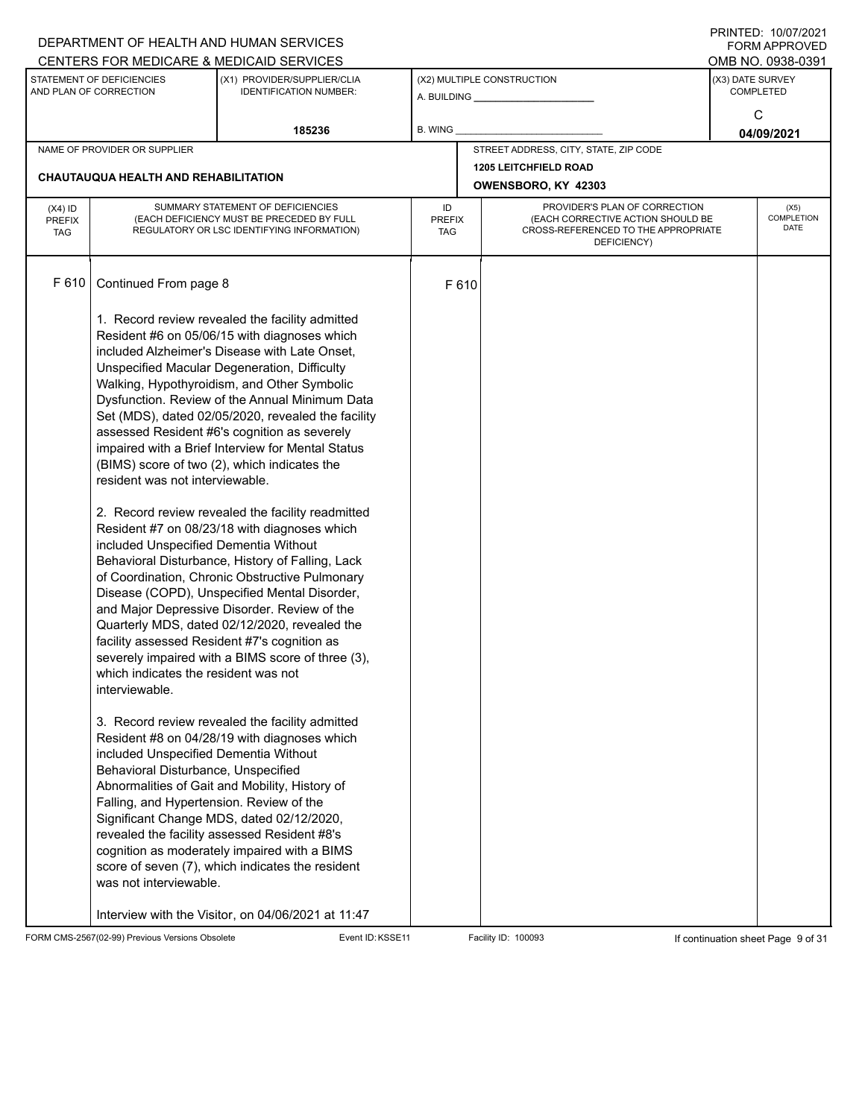|                                          |                                                                                                                                                                                                                                             | DEPARTMENT OF HEALTH AND HUMAN SERVICES<br>CENTERS FOR MEDICARE & MEDICAID SERVICES                                                                                                                                                                                                                                                                                                                                                                                                                                                                                                                                                                                                                                                                                                                                                                                                                                                                                                                                                                                              |                                   |       |                                                                                                                          |                  | FININILD. IVIVIIZUZI<br><b>FORM APPROVED</b><br>OMB NO. 0938-0391 |  |
|------------------------------------------|---------------------------------------------------------------------------------------------------------------------------------------------------------------------------------------------------------------------------------------------|----------------------------------------------------------------------------------------------------------------------------------------------------------------------------------------------------------------------------------------------------------------------------------------------------------------------------------------------------------------------------------------------------------------------------------------------------------------------------------------------------------------------------------------------------------------------------------------------------------------------------------------------------------------------------------------------------------------------------------------------------------------------------------------------------------------------------------------------------------------------------------------------------------------------------------------------------------------------------------------------------------------------------------------------------------------------------------|-----------------------------------|-------|--------------------------------------------------------------------------------------------------------------------------|------------------|-------------------------------------------------------------------|--|
|                                          | STATEMENT OF DEFICIENCIES<br>AND PLAN OF CORRECTION                                                                                                                                                                                         | (X1) PROVIDER/SUPPLIER/CLIA<br><b>IDENTIFICATION NUMBER:</b>                                                                                                                                                                                                                                                                                                                                                                                                                                                                                                                                                                                                                                                                                                                                                                                                                                                                                                                                                                                                                     |                                   |       | (X2) MULTIPLE CONSTRUCTION                                                                                               | (X3) DATE SURVEY | <b>COMPLETED</b>                                                  |  |
|                                          |                                                                                                                                                                                                                                             | 185236                                                                                                                                                                                                                                                                                                                                                                                                                                                                                                                                                                                                                                                                                                                                                                                                                                                                                                                                                                                                                                                                           | B. WING                           |       |                                                                                                                          |                  | C<br>04/09/2021                                                   |  |
|                                          | NAME OF PROVIDER OR SUPPLIER                                                                                                                                                                                                                |                                                                                                                                                                                                                                                                                                                                                                                                                                                                                                                                                                                                                                                                                                                                                                                                                                                                                                                                                                                                                                                                                  |                                   |       | STREET ADDRESS, CITY, STATE, ZIP CODE                                                                                    |                  |                                                                   |  |
|                                          | <b>CHAUTAUQUA HEALTH AND REHABILITATION</b>                                                                                                                                                                                                 |                                                                                                                                                                                                                                                                                                                                                                                                                                                                                                                                                                                                                                                                                                                                                                                                                                                                                                                                                                                                                                                                                  |                                   |       | <b>1205 LEITCHFIELD ROAD</b><br>OWENSBORO, KY 42303                                                                      |                  |                                                                   |  |
| $(X4)$ ID<br><b>PREFIX</b><br><b>TAG</b> |                                                                                                                                                                                                                                             | SUMMARY STATEMENT OF DEFICIENCIES<br>(EACH DEFICIENCY MUST BE PRECEDED BY FULL<br>REGULATORY OR LSC IDENTIFYING INFORMATION)                                                                                                                                                                                                                                                                                                                                                                                                                                                                                                                                                                                                                                                                                                                                                                                                                                                                                                                                                     | ID<br><b>PREFIX</b><br><b>TAG</b> |       | PROVIDER'S PLAN OF CORRECTION<br>(EACH CORRECTIVE ACTION SHOULD BE<br>CROSS-REFERENCED TO THE APPROPRIATE<br>DEFICIENCY) |                  | (X5)<br>COMPLETION<br><b>DATE</b>                                 |  |
| F 610                                    | Continued From page 8<br>resident was not interviewable.<br>included Unspecified Dementia Without<br>which indicates the resident was not<br>interviewable.<br>included Unspecified Dementia Without<br>Behavioral Disturbance, Unspecified | 1. Record review revealed the facility admitted<br>Resident #6 on 05/06/15 with diagnoses which<br>included Alzheimer's Disease with Late Onset,<br>Unspecified Macular Degeneration, Difficulty<br>Walking, Hypothyroidism, and Other Symbolic<br>Dysfunction. Review of the Annual Minimum Data<br>Set (MDS), dated 02/05/2020, revealed the facility<br>assessed Resident #6's cognition as severely<br>impaired with a Brief Interview for Mental Status<br>(BIMS) score of two (2), which indicates the<br>2. Record review revealed the facility readmitted<br>Resident #7 on 08/23/18 with diagnoses which<br>Behavioral Disturbance, History of Falling, Lack<br>of Coordination, Chronic Obstructive Pulmonary<br>Disease (COPD), Unspecified Mental Disorder,<br>and Major Depressive Disorder. Review of the<br>Quarterly MDS, dated 02/12/2020, revealed the<br>facility assessed Resident #7's cognition as<br>severely impaired with a BIMS score of three (3),<br>3. Record review revealed the facility admitted<br>Resident #8 on 04/28/19 with diagnoses which |                                   | F 610 |                                                                                                                          |                  |                                                                   |  |
|                                          | Falling, and Hypertension. Review of the<br>was not interviewable.                                                                                                                                                                          | Abnormalities of Gait and Mobility, History of<br>Significant Change MDS, dated 02/12/2020,<br>revealed the facility assessed Resident #8's<br>cognition as moderately impaired with a BIMS<br>score of seven (7), which indicates the resident<br>Interview with the Visitor, on 04/06/2021 at 11:47                                                                                                                                                                                                                                                                                                                                                                                                                                                                                                                                                                                                                                                                                                                                                                            |                                   |       |                                                                                                                          |                  |                                                                   |  |

FORM CMS-2567(02-99) Previous Versions Obsolete Event ID:KSSE11 Facility ID: 100093 If continuation sheet Page 9 of 31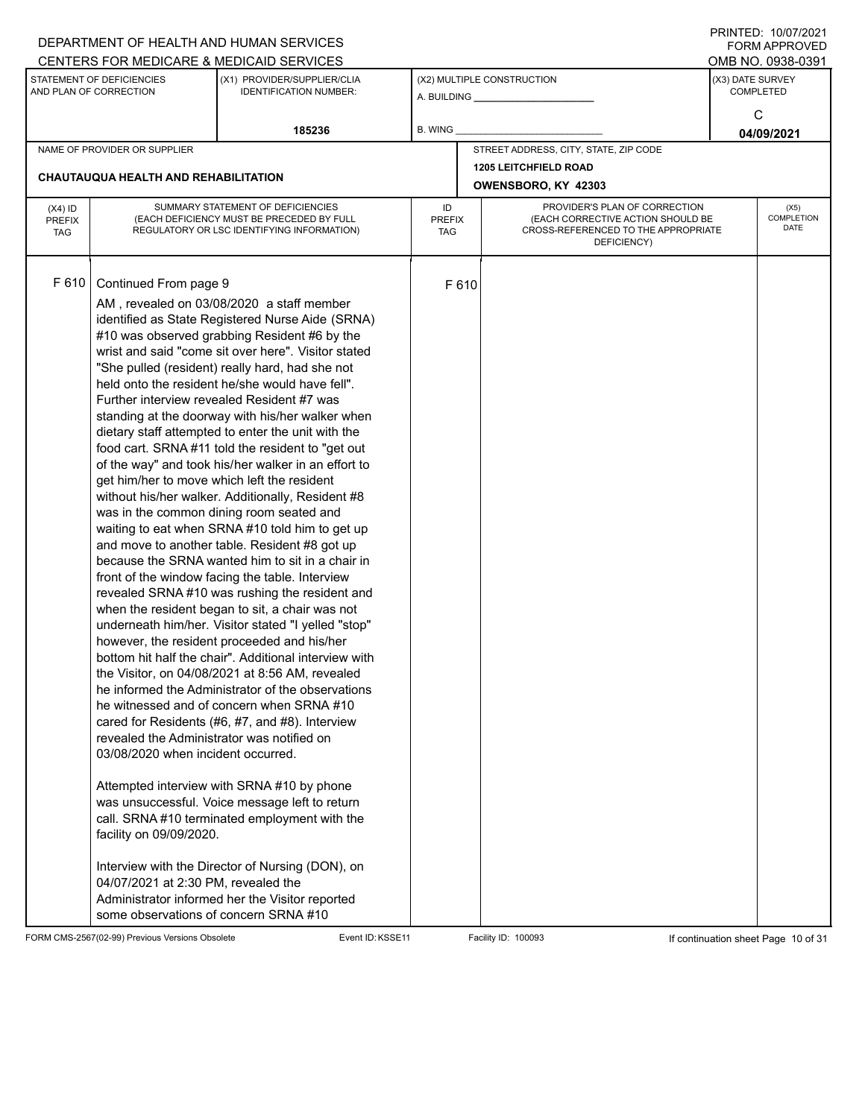|                                          |                                                                                                                                                                                                                                                                     | DEPARTMENT OF HEALTH AND HUMAN SERVICES<br>CENTERS FOR MEDICARE & MEDICAID SERVICES                                                                                                                                                                                                                                                                                                                                                                                                                                                                                                                                                                                                                                                                                                                                                                                                                                                                                                                                                                                                                                                                                                                                                                                                                                                                                                                                                                                                                                                                                                                                          |                                   |       |                                                                                                                          | FININILD. IVIVIIZUZI<br><b>FORM APPROVED</b><br>OMB NO. 0938-0391 |
|------------------------------------------|---------------------------------------------------------------------------------------------------------------------------------------------------------------------------------------------------------------------------------------------------------------------|------------------------------------------------------------------------------------------------------------------------------------------------------------------------------------------------------------------------------------------------------------------------------------------------------------------------------------------------------------------------------------------------------------------------------------------------------------------------------------------------------------------------------------------------------------------------------------------------------------------------------------------------------------------------------------------------------------------------------------------------------------------------------------------------------------------------------------------------------------------------------------------------------------------------------------------------------------------------------------------------------------------------------------------------------------------------------------------------------------------------------------------------------------------------------------------------------------------------------------------------------------------------------------------------------------------------------------------------------------------------------------------------------------------------------------------------------------------------------------------------------------------------------------------------------------------------------------------------------------------------------|-----------------------------------|-------|--------------------------------------------------------------------------------------------------------------------------|-------------------------------------------------------------------|
|                                          | STATEMENT OF DEFICIENCIES<br>AND PLAN OF CORRECTION                                                                                                                                                                                                                 | (X1) PROVIDER/SUPPLIER/CLIA<br><b>IDENTIFICATION NUMBER:</b>                                                                                                                                                                                                                                                                                                                                                                                                                                                                                                                                                                                                                                                                                                                                                                                                                                                                                                                                                                                                                                                                                                                                                                                                                                                                                                                                                                                                                                                                                                                                                                 |                                   |       | (X2) MULTIPLE CONSTRUCTION                                                                                               | (X3) DATE SURVEY<br><b>COMPLETED</b><br>C                         |
|                                          |                                                                                                                                                                                                                                                                     | 185236                                                                                                                                                                                                                                                                                                                                                                                                                                                                                                                                                                                                                                                                                                                                                                                                                                                                                                                                                                                                                                                                                                                                                                                                                                                                                                                                                                                                                                                                                                                                                                                                                       | B. WING                           |       |                                                                                                                          | 04/09/2021                                                        |
|                                          | NAME OF PROVIDER OR SUPPLIER                                                                                                                                                                                                                                        |                                                                                                                                                                                                                                                                                                                                                                                                                                                                                                                                                                                                                                                                                                                                                                                                                                                                                                                                                                                                                                                                                                                                                                                                                                                                                                                                                                                                                                                                                                                                                                                                                              |                                   |       | STREET ADDRESS, CITY, STATE, ZIP CODE                                                                                    |                                                                   |
|                                          | <b>CHAUTAUQUA HEALTH AND REHABILITATION</b>                                                                                                                                                                                                                         |                                                                                                                                                                                                                                                                                                                                                                                                                                                                                                                                                                                                                                                                                                                                                                                                                                                                                                                                                                                                                                                                                                                                                                                                                                                                                                                                                                                                                                                                                                                                                                                                                              |                                   |       | <b>1205 LEITCHFIELD ROAD</b><br>OWENSBORO, KY 42303                                                                      |                                                                   |
| $(X4)$ ID<br><b>PREFIX</b><br><b>TAG</b> |                                                                                                                                                                                                                                                                     | SUMMARY STATEMENT OF DEFICIENCIES<br>(EACH DEFICIENCY MUST BE PRECEDED BY FULL<br>REGULATORY OR LSC IDENTIFYING INFORMATION)                                                                                                                                                                                                                                                                                                                                                                                                                                                                                                                                                                                                                                                                                                                                                                                                                                                                                                                                                                                                                                                                                                                                                                                                                                                                                                                                                                                                                                                                                                 | ID<br><b>PREFIX</b><br><b>TAG</b> |       | PROVIDER'S PLAN OF CORRECTION<br>(EACH CORRECTIVE ACTION SHOULD BE<br>CROSS-REFERENCED TO THE APPROPRIATE<br>DEFICIENCY) | (X5)<br>COMPLETION<br><b>DATE</b>                                 |
| F 610                                    | Continued From page 9<br>get him/her to move which left the resident<br>revealed the Administrator was notified on<br>03/08/2020 when incident occurred.<br>facility on 09/09/2020.<br>04/07/2021 at 2:30 PM, revealed the<br>some observations of concern SRNA #10 | AM, revealed on 03/08/2020 a staff member<br>identified as State Registered Nurse Aide (SRNA)<br>#10 was observed grabbing Resident #6 by the<br>wrist and said "come sit over here". Visitor stated<br>"She pulled (resident) really hard, had she not<br>held onto the resident he/she would have fell".<br>Further interview revealed Resident #7 was<br>standing at the doorway with his/her walker when<br>dietary staff attempted to enter the unit with the<br>food cart. SRNA#11 told the resident to "get out<br>of the way" and took his/her walker in an effort to<br>without his/her walker. Additionally, Resident #8<br>was in the common dining room seated and<br>waiting to eat when SRNA #10 told him to get up<br>and move to another table. Resident #8 got up<br>because the SRNA wanted him to sit in a chair in<br>front of the window facing the table. Interview<br>revealed SRNA #10 was rushing the resident and<br>when the resident began to sit, a chair was not<br>underneath him/her. Visitor stated "I yelled "stop"<br>however, the resident proceeded and his/her<br>bottom hit half the chair". Additional interview with<br>the Visitor, on 04/08/2021 at 8:56 AM, revealed<br>he informed the Administrator of the observations<br>he witnessed and of concern when SRNA #10<br>cared for Residents (#6, #7, and #8). Interview<br>Attempted interview with SRNA #10 by phone<br>was unsuccessful. Voice message left to return<br>call. SRNA#10 terminated employment with the<br>Interview with the Director of Nursing (DON), on<br>Administrator informed her the Visitor reported |                                   | F 610 |                                                                                                                          |                                                                   |

FORM CMS-2567(02-99) Previous Versions Obsolete Event ID:KSSE11 Facility ID: 100093 If continuation sheet Page 10 of 31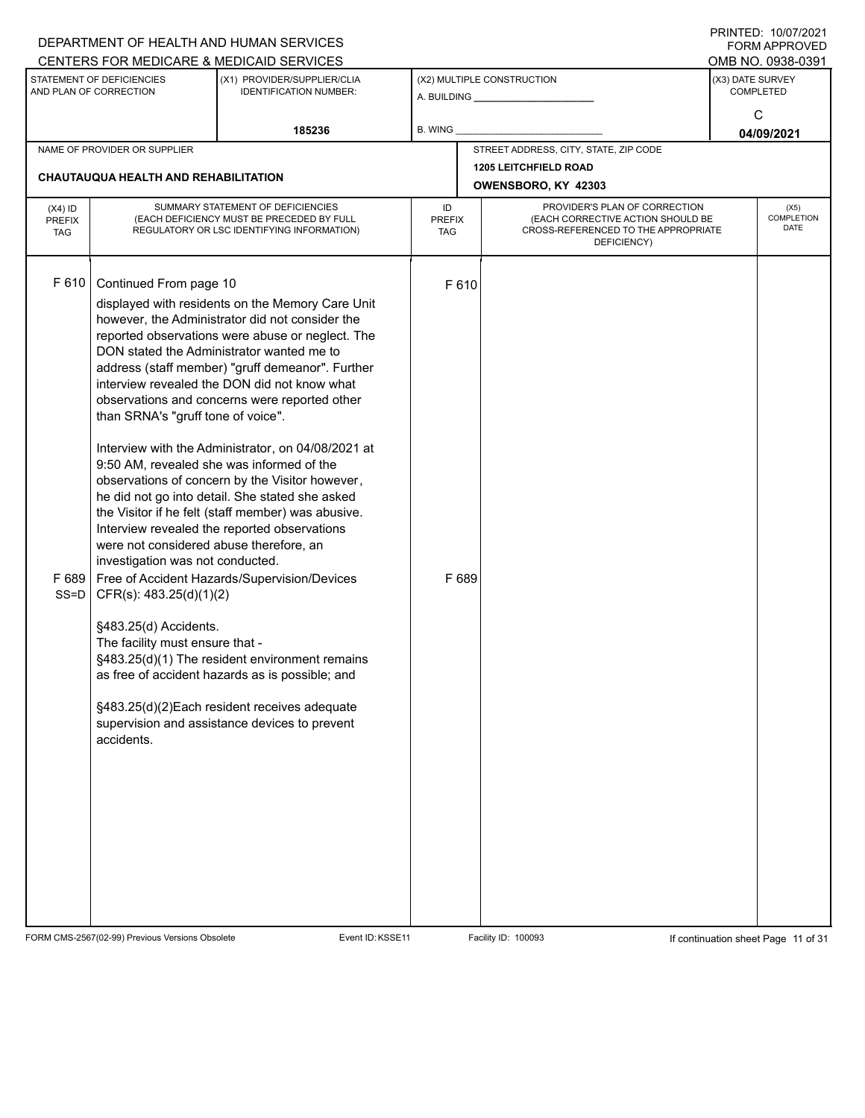|                                                                                                                     |                                                                                                                                                                                                                                                  | DEPARTMENT OF HEALTH AND HUMAN SERVICES<br>CENTERS FOR MEDICARE & MEDICAID SERVICES                                                                                                                                                                                                                                                                                                                                                                                                                                                                                                                                                                                                                                                                                                                                                                                                                                            |                                   |                            |                                                                                                                          |                  | I INITILD. IVIVIILVLI<br><b>FORM APPROVED</b><br>OMB NO. 0938-0391 |
|---------------------------------------------------------------------------------------------------------------------|--------------------------------------------------------------------------------------------------------------------------------------------------------------------------------------------------------------------------------------------------|--------------------------------------------------------------------------------------------------------------------------------------------------------------------------------------------------------------------------------------------------------------------------------------------------------------------------------------------------------------------------------------------------------------------------------------------------------------------------------------------------------------------------------------------------------------------------------------------------------------------------------------------------------------------------------------------------------------------------------------------------------------------------------------------------------------------------------------------------------------------------------------------------------------------------------|-----------------------------------|----------------------------|--------------------------------------------------------------------------------------------------------------------------|------------------|--------------------------------------------------------------------|
| STATEMENT OF DEFICIENCIES<br>(X1) PROVIDER/SUPPLIER/CLIA<br>AND PLAN OF CORRECTION<br><b>IDENTIFICATION NUMBER:</b> |                                                                                                                                                                                                                                                  |                                                                                                                                                                                                                                                                                                                                                                                                                                                                                                                                                                                                                                                                                                                                                                                                                                                                                                                                |                                   | (X2) MULTIPLE CONSTRUCTION | (X3) DATE SURVEY                                                                                                         | <b>COMPLETED</b> |                                                                    |
|                                                                                                                     |                                                                                                                                                                                                                                                  | 185236                                                                                                                                                                                                                                                                                                                                                                                                                                                                                                                                                                                                                                                                                                                                                                                                                                                                                                                         | <b>B. WING</b>                    |                            |                                                                                                                          | C                | 04/09/2021                                                         |
|                                                                                                                     | NAME OF PROVIDER OR SUPPLIER                                                                                                                                                                                                                     |                                                                                                                                                                                                                                                                                                                                                                                                                                                                                                                                                                                                                                                                                                                                                                                                                                                                                                                                |                                   |                            | STREET ADDRESS, CITY, STATE, ZIP CODE                                                                                    |                  |                                                                    |
|                                                                                                                     | CHAUTAUQUA HEALTH AND REHABILITATION                                                                                                                                                                                                             |                                                                                                                                                                                                                                                                                                                                                                                                                                                                                                                                                                                                                                                                                                                                                                                                                                                                                                                                |                                   |                            | <b>1205 LEITCHFIELD ROAD</b><br>OWENSBORO, KY 42303                                                                      |                  |                                                                    |
| $(X4)$ ID<br><b>PREFIX</b><br><b>TAG</b>                                                                            |                                                                                                                                                                                                                                                  | SUMMARY STATEMENT OF DEFICIENCIES<br>(EACH DEFICIENCY MUST BE PRECEDED BY FULL<br>REGULATORY OR LSC IDENTIFYING INFORMATION)                                                                                                                                                                                                                                                                                                                                                                                                                                                                                                                                                                                                                                                                                                                                                                                                   | ID<br><b>PREFIX</b><br><b>TAG</b> |                            | PROVIDER'S PLAN OF CORRECTION<br>(EACH CORRECTIVE ACTION SHOULD BE<br>CROSS-REFERENCED TO THE APPROPRIATE<br>DEFICIENCY) |                  | (X5)<br><b>COMPLETION</b><br>DATE                                  |
| F 610<br>F689<br>$SS = D$                                                                                           | Continued From page 10<br>than SRNA's "gruff tone of voice".<br>were not considered abuse therefore, an<br>investigation was not conducted.<br>CFR(s): 483.25(d)(1)(2)<br>§483.25(d) Accidents.<br>The facility must ensure that -<br>accidents. | displayed with residents on the Memory Care Unit<br>however, the Administrator did not consider the<br>reported observations were abuse or neglect. The<br>DON stated the Administrator wanted me to<br>address (staff member) "gruff demeanor". Further<br>interview revealed the DON did not know what<br>observations and concerns were reported other<br>Interview with the Administrator, on 04/08/2021 at<br>9:50 AM, revealed she was informed of the<br>observations of concern by the Visitor however,<br>he did not go into detail. She stated she asked<br>the Visitor if he felt (staff member) was abusive.<br>Interview revealed the reported observations<br>Free of Accident Hazards/Supervision/Devices<br>§483.25(d)(1) The resident environment remains<br>as free of accident hazards as is possible; and<br>§483.25(d)(2)Each resident receives adequate<br>supervision and assistance devices to prevent |                                   | F 610<br>F 689             |                                                                                                                          |                  |                                                                    |

FORM CMS-2567(02-99) Previous Versions Obsolete Event ID:KSSE11 Facility ID: 100093 If continuation sheet Page 11 of 31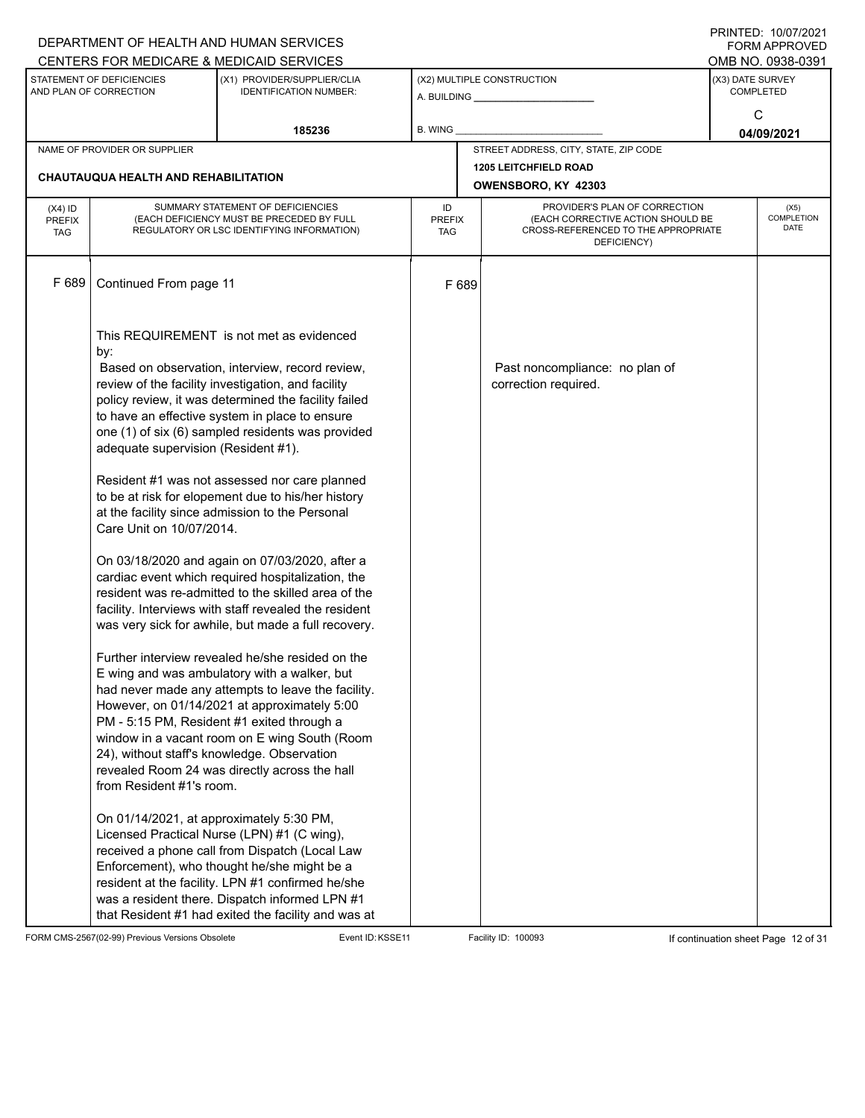|                                          |                                                                                                                                                | DEPARTMENT OF HEALTH AND HUMAN SERVICES<br>CENTERS FOR MEDICARE & MEDICAID SERVICES                                                                                                                                                                                                                                                                                                                                                                                                                                                                                                                                                                                                                                                                                                                                                                                                                                                                                                                                                                                                                                                                                                                                                                                                                                                                                                                                                                                             |                                   |                                                                                                                          |                  | FININILD. IVIVIIZUZI<br><b>FORM APPROVED</b><br>OMB NO. 0938-0391 |
|------------------------------------------|------------------------------------------------------------------------------------------------------------------------------------------------|---------------------------------------------------------------------------------------------------------------------------------------------------------------------------------------------------------------------------------------------------------------------------------------------------------------------------------------------------------------------------------------------------------------------------------------------------------------------------------------------------------------------------------------------------------------------------------------------------------------------------------------------------------------------------------------------------------------------------------------------------------------------------------------------------------------------------------------------------------------------------------------------------------------------------------------------------------------------------------------------------------------------------------------------------------------------------------------------------------------------------------------------------------------------------------------------------------------------------------------------------------------------------------------------------------------------------------------------------------------------------------------------------------------------------------------------------------------------------------|-----------------------------------|--------------------------------------------------------------------------------------------------------------------------|------------------|-------------------------------------------------------------------|
|                                          | STATEMENT OF DEFICIENCIES<br>(X1) PROVIDER/SUPPLIER/CLIA<br>AND PLAN OF CORRECTION<br><b>IDENTIFICATION NUMBER:</b>                            |                                                                                                                                                                                                                                                                                                                                                                                                                                                                                                                                                                                                                                                                                                                                                                                                                                                                                                                                                                                                                                                                                                                                                                                                                                                                                                                                                                                                                                                                                 |                                   | (X2) MULTIPLE CONSTRUCTION                                                                                               | (X3) DATE SURVEY | <b>COMPLETED</b>                                                  |
|                                          |                                                                                                                                                | 185236                                                                                                                                                                                                                                                                                                                                                                                                                                                                                                                                                                                                                                                                                                                                                                                                                                                                                                                                                                                                                                                                                                                                                                                                                                                                                                                                                                                                                                                                          | <b>B. WING</b>                    |                                                                                                                          |                  | C<br>04/09/2021                                                   |
|                                          | NAME OF PROVIDER OR SUPPLIER                                                                                                                   |                                                                                                                                                                                                                                                                                                                                                                                                                                                                                                                                                                                                                                                                                                                                                                                                                                                                                                                                                                                                                                                                                                                                                                                                                                                                                                                                                                                                                                                                                 |                                   | STREET ADDRESS, CITY, STATE, ZIP CODE                                                                                    |                  |                                                                   |
|                                          | <b>CHAUTAUQUA HEALTH AND REHABILITATION</b>                                                                                                    |                                                                                                                                                                                                                                                                                                                                                                                                                                                                                                                                                                                                                                                                                                                                                                                                                                                                                                                                                                                                                                                                                                                                                                                                                                                                                                                                                                                                                                                                                 |                                   | <b>1205 LEITCHFIELD ROAD</b><br>OWENSBORO, KY 42303                                                                      |                  |                                                                   |
| $(X4)$ ID<br><b>PREFIX</b><br><b>TAG</b> |                                                                                                                                                | SUMMARY STATEMENT OF DEFICIENCIES<br>(EACH DEFICIENCY MUST BE PRECEDED BY FULL<br>REGULATORY OR LSC IDENTIFYING INFORMATION)                                                                                                                                                                                                                                                                                                                                                                                                                                                                                                                                                                                                                                                                                                                                                                                                                                                                                                                                                                                                                                                                                                                                                                                                                                                                                                                                                    | ID<br><b>PREFIX</b><br><b>TAG</b> | PROVIDER'S PLAN OF CORRECTION<br>(EACH CORRECTIVE ACTION SHOULD BE<br>CROSS-REFERENCED TO THE APPROPRIATE<br>DEFICIENCY) |                  | (X5)<br><b>COMPLETION</b><br><b>DATE</b>                          |
| F 689                                    | Continued From page 11                                                                                                                         |                                                                                                                                                                                                                                                                                                                                                                                                                                                                                                                                                                                                                                                                                                                                                                                                                                                                                                                                                                                                                                                                                                                                                                                                                                                                                                                                                                                                                                                                                 | F 689                             |                                                                                                                          |                  |                                                                   |
|                                          | by:<br>adequate supervision (Resident #1).<br>Care Unit on 10/07/2014.<br>from Resident #1's room.<br>On 01/14/2021, at approximately 5:30 PM, | This REQUIREMENT is not met as evidenced<br>Based on observation, interview, record review,<br>review of the facility investigation, and facility<br>policy review, it was determined the facility failed<br>to have an effective system in place to ensure<br>one (1) of six (6) sampled residents was provided<br>Resident #1 was not assessed nor care planned<br>to be at risk for elopement due to his/her history<br>at the facility since admission to the Personal<br>On 03/18/2020 and again on 07/03/2020, after a<br>cardiac event which required hospitalization, the<br>resident was re-admitted to the skilled area of the<br>facility. Interviews with staff revealed the resident<br>was very sick for awhile, but made a full recovery.<br>Further interview revealed he/she resided on the<br>E wing and was ambulatory with a walker, but<br>had never made any attempts to leave the facility.<br>However, on 01/14/2021 at approximately 5:00<br>PM - 5:15 PM, Resident #1 exited through a<br>window in a vacant room on E wing South (Room<br>24), without staff's knowledge. Observation<br>revealed Room 24 was directly across the hall<br>Licensed Practical Nurse (LPN) #1 (C wing),<br>received a phone call from Dispatch (Local Law<br>Enforcement), who thought he/she might be a<br>resident at the facility. LPN #1 confirmed he/she<br>was a resident there. Dispatch informed LPN #1<br>that Resident #1 had exited the facility and was at |                                   | Past noncompliance: no plan of<br>correction required.                                                                   |                  |                                                                   |

FORM CMS-2567(02-99) Previous Versions Obsolete Event ID:KSSE11 Facility ID: 100093 If continuation sheet Page 12 of 31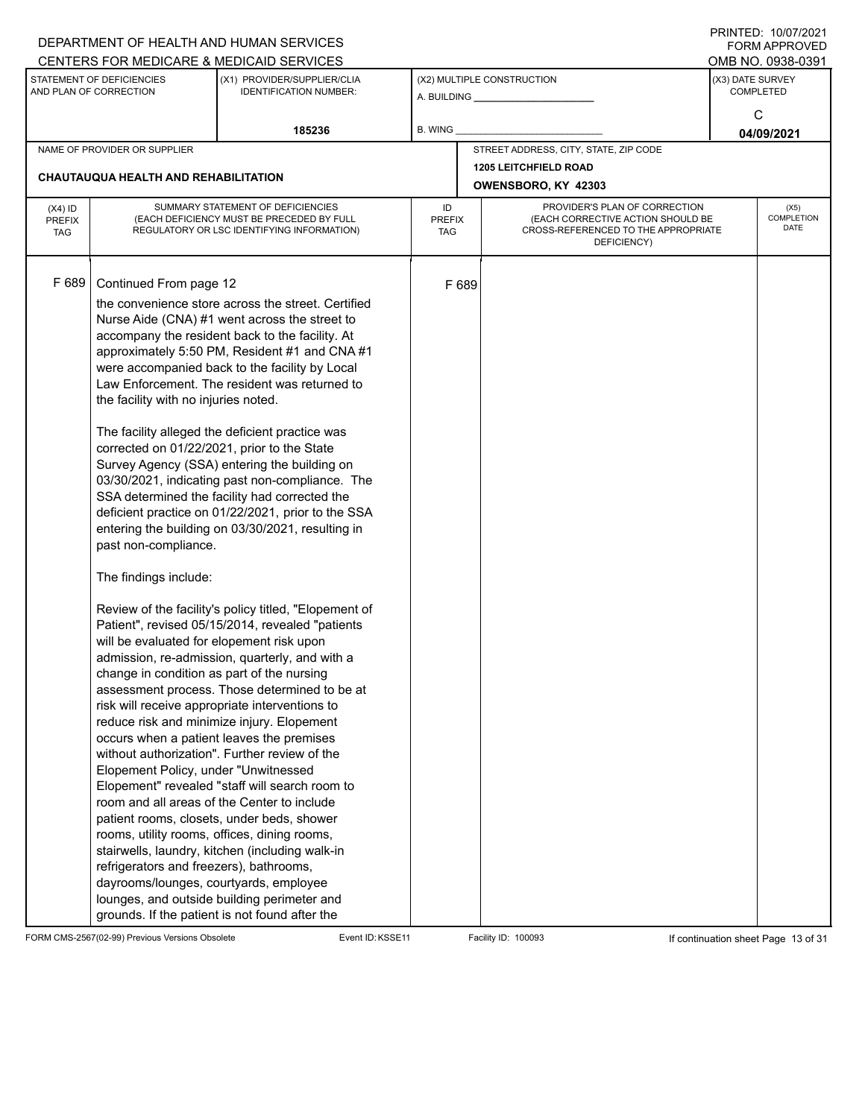|                                          |                                                                                                                                                                                                                                                                                                                                                                                                                                                                                                                                                                                      | DEPARTMENT OF HEALTH AND HUMAN SERVICES<br>CENTERS FOR MEDICARE & MEDICAID SERVICES                                                                                                                                                                                                                                                                                                                                                                                                                                                                                                                                                                                                                                                                                                                                                                                                                                                                                                                                                                                                                                                                                                             |                                   |       |                                                                                                                          |                                           | FININILD. IVIVIIZUZI<br><b>FORM APPROVED</b><br>OMB NO. 0938-0391 |
|------------------------------------------|--------------------------------------------------------------------------------------------------------------------------------------------------------------------------------------------------------------------------------------------------------------------------------------------------------------------------------------------------------------------------------------------------------------------------------------------------------------------------------------------------------------------------------------------------------------------------------------|-------------------------------------------------------------------------------------------------------------------------------------------------------------------------------------------------------------------------------------------------------------------------------------------------------------------------------------------------------------------------------------------------------------------------------------------------------------------------------------------------------------------------------------------------------------------------------------------------------------------------------------------------------------------------------------------------------------------------------------------------------------------------------------------------------------------------------------------------------------------------------------------------------------------------------------------------------------------------------------------------------------------------------------------------------------------------------------------------------------------------------------------------------------------------------------------------|-----------------------------------|-------|--------------------------------------------------------------------------------------------------------------------------|-------------------------------------------|-------------------------------------------------------------------|
|                                          | STATEMENT OF DEFICIENCIES<br>AND PLAN OF CORRECTION                                                                                                                                                                                                                                                                                                                                                                                                                                                                                                                                  | (X1) PROVIDER/SUPPLIER/CLIA<br><b>IDENTIFICATION NUMBER:</b>                                                                                                                                                                                                                                                                                                                                                                                                                                                                                                                                                                                                                                                                                                                                                                                                                                                                                                                                                                                                                                                                                                                                    |                                   |       | (X2) MULTIPLE CONSTRUCTION                                                                                               | (X3) DATE SURVEY<br><b>COMPLETED</b><br>C |                                                                   |
|                                          |                                                                                                                                                                                                                                                                                                                                                                                                                                                                                                                                                                                      | 185236                                                                                                                                                                                                                                                                                                                                                                                                                                                                                                                                                                                                                                                                                                                                                                                                                                                                                                                                                                                                                                                                                                                                                                                          | B. WING                           |       |                                                                                                                          |                                           | 04/09/2021                                                        |
|                                          | NAME OF PROVIDER OR SUPPLIER                                                                                                                                                                                                                                                                                                                                                                                                                                                                                                                                                         |                                                                                                                                                                                                                                                                                                                                                                                                                                                                                                                                                                                                                                                                                                                                                                                                                                                                                                                                                                                                                                                                                                                                                                                                 |                                   |       | STREET ADDRESS, CITY, STATE, ZIP CODE                                                                                    |                                           |                                                                   |
|                                          | <b>CHAUTAUQUA HEALTH AND REHABILITATION</b>                                                                                                                                                                                                                                                                                                                                                                                                                                                                                                                                          |                                                                                                                                                                                                                                                                                                                                                                                                                                                                                                                                                                                                                                                                                                                                                                                                                                                                                                                                                                                                                                                                                                                                                                                                 |                                   |       | <b>1205 LEITCHFIELD ROAD</b><br>OWENSBORO, KY 42303                                                                      |                                           |                                                                   |
| $(X4)$ ID<br><b>PREFIX</b><br><b>TAG</b> |                                                                                                                                                                                                                                                                                                                                                                                                                                                                                                                                                                                      | SUMMARY STATEMENT OF DEFICIENCIES<br>(EACH DEFICIENCY MUST BE PRECEDED BY FULL<br>REGULATORY OR LSC IDENTIFYING INFORMATION)                                                                                                                                                                                                                                                                                                                                                                                                                                                                                                                                                                                                                                                                                                                                                                                                                                                                                                                                                                                                                                                                    | ID<br><b>PREFIX</b><br><b>TAG</b> |       | PROVIDER'S PLAN OF CORRECTION<br>(EACH CORRECTIVE ACTION SHOULD BE<br>CROSS-REFERENCED TO THE APPROPRIATE<br>DEFICIENCY) |                                           | (X5)<br>COMPLETION<br><b>DATE</b>                                 |
| F 689                                    | Continued From page 12<br>the facility with no injuries noted.<br>corrected on 01/22/2021, prior to the State<br>past non-compliance.<br>The findings include:<br>will be evaluated for elopement risk upon<br>change in condition as part of the nursing<br>occurs when a patient leaves the premises<br>Elopement Policy, under "Unwitnessed<br>room and all areas of the Center to include<br>rooms, utility rooms, offices, dining rooms,<br>refrigerators and freezers), bathrooms,<br>dayrooms/lounges, courtyards, employee<br>grounds. If the patient is not found after the | the convenience store across the street. Certified<br>Nurse Aide (CNA) #1 went across the street to<br>accompany the resident back to the facility. At<br>approximately 5:50 PM, Resident #1 and CNA #1<br>were accompanied back to the facility by Local<br>Law Enforcement. The resident was returned to<br>The facility alleged the deficient practice was<br>Survey Agency (SSA) entering the building on<br>03/30/2021, indicating past non-compliance. The<br>SSA determined the facility had corrected the<br>deficient practice on 01/22/2021, prior to the SSA<br>entering the building on 03/30/2021, resulting in<br>Review of the facility's policy titled, "Elopement of<br>Patient", revised 05/15/2014, revealed "patients<br>admission, re-admission, quarterly, and with a<br>assessment process. Those determined to be at<br>risk will receive appropriate interventions to<br>reduce risk and minimize injury. Elopement<br>without authorization". Further review of the<br>Elopement" revealed "staff will search room to<br>patient rooms, closets, under beds, shower<br>stairwells, laundry, kitchen (including walk-in<br>lounges, and outside building perimeter and |                                   | F 689 |                                                                                                                          |                                           |                                                                   |

FORM CMS-2567(02-99) Previous Versions Obsolete Event ID:KSSE11 Facility ID: 100093 If continuation sheet Page 13 of 31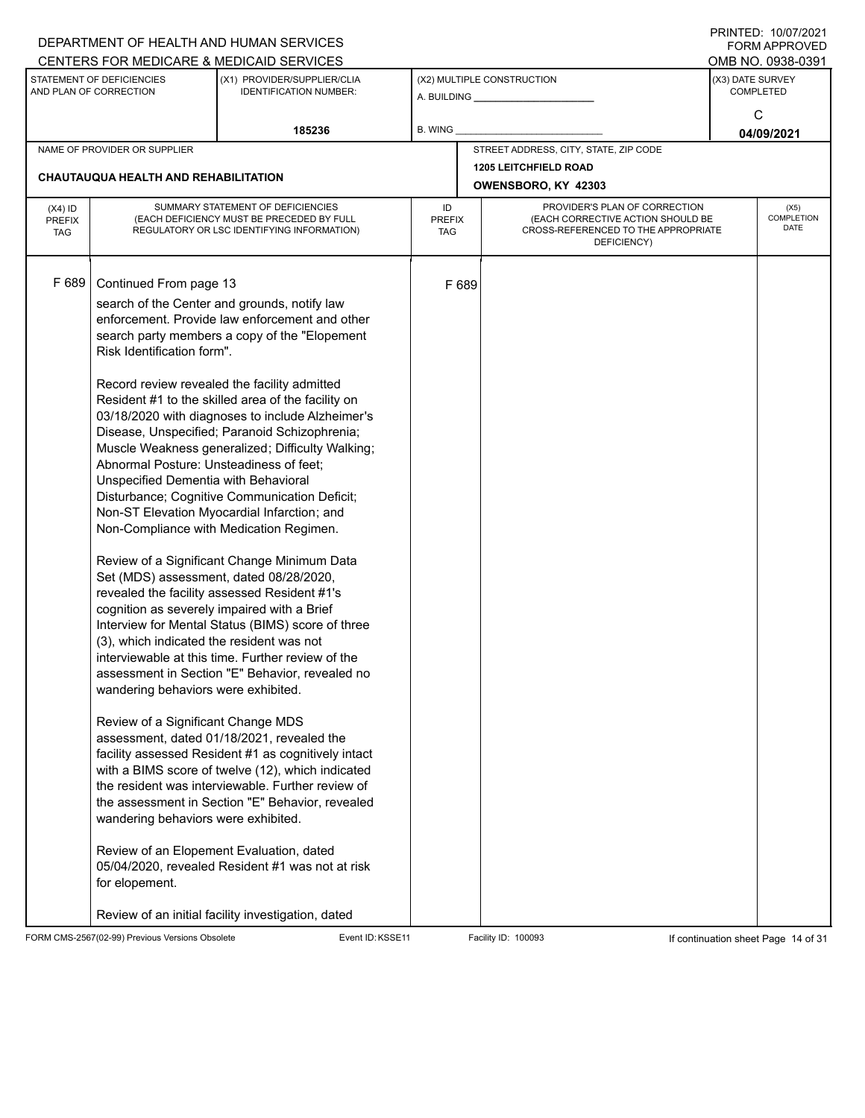|                            |                                                     | DEPARTMENT OF HEALTH AND HUMAN SERVICES                                                               |                     |                                                     |                                                                    |                                      | $1 \times 1 \times 1 = 1$ . $1 \times 1 \times 1 \times 1 = 1$<br><b>FORM APPROVED</b> |  |  |
|----------------------------|-----------------------------------------------------|-------------------------------------------------------------------------------------------------------|---------------------|-----------------------------------------------------|--------------------------------------------------------------------|--------------------------------------|----------------------------------------------------------------------------------------|--|--|
|                            |                                                     | CENTERS FOR MEDICARE & MEDICAID SERVICES                                                              |                     |                                                     |                                                                    |                                      | OMB NO. 0938-0391                                                                      |  |  |
|                            | STATEMENT OF DEFICIENCIES<br>AND PLAN OF CORRECTION | (X1) PROVIDER/SUPPLIER/CLIA<br><b>IDENTIFICATION NUMBER:</b>                                          |                     |                                                     | (X2) MULTIPLE CONSTRUCTION                                         | (X3) DATE SURVEY<br><b>COMPLETED</b> |                                                                                        |  |  |
|                            |                                                     |                                                                                                       |                     |                                                     |                                                                    |                                      |                                                                                        |  |  |
|                            |                                                     | 185236                                                                                                | B. WING             |                                                     |                                                                    |                                      | C                                                                                      |  |  |
|                            | NAME OF PROVIDER OR SUPPLIER                        |                                                                                                       |                     |                                                     | STREET ADDRESS, CITY, STATE, ZIP CODE                              |                                      | 04/09/2021                                                                             |  |  |
|                            |                                                     |                                                                                                       |                     |                                                     |                                                                    |                                      |                                                                                        |  |  |
|                            | CHAUTAUQUA HEALTH AND REHABILITATION                |                                                                                                       |                     | <b>1205 LEITCHFIELD ROAD</b><br>OWENSBORO, KY 42303 |                                                                    |                                      |                                                                                        |  |  |
|                            |                                                     |                                                                                                       |                     |                                                     |                                                                    |                                      |                                                                                        |  |  |
| $(X4)$ ID<br><b>PREFIX</b> |                                                     | SUMMARY STATEMENT OF DEFICIENCIES<br>(EACH DEFICIENCY MUST BE PRECEDED BY FULL                        | ID<br><b>PREFIX</b> |                                                     | PROVIDER'S PLAN OF CORRECTION<br>(EACH CORRECTIVE ACTION SHOULD BE |                                      | (X5)<br>COMPLETION                                                                     |  |  |
| <b>TAG</b>                 |                                                     | REGULATORY OR LSC IDENTIFYING INFORMATION)                                                            | TAG                 |                                                     | CROSS-REFERENCED TO THE APPROPRIATE                                |                                      | DATE                                                                                   |  |  |
|                            |                                                     |                                                                                                       |                     |                                                     | DEFICIENCY)                                                        |                                      |                                                                                        |  |  |
|                            |                                                     |                                                                                                       |                     |                                                     |                                                                    |                                      |                                                                                        |  |  |
| F 689                      | Continued From page 13                              |                                                                                                       |                     | F 689                                               |                                                                    |                                      |                                                                                        |  |  |
|                            |                                                     | search of the Center and grounds, notify law                                                          |                     |                                                     |                                                                    |                                      |                                                                                        |  |  |
|                            |                                                     | enforcement. Provide law enforcement and other                                                        |                     |                                                     |                                                                    |                                      |                                                                                        |  |  |
|                            |                                                     | search party members a copy of the "Elopement                                                         |                     |                                                     |                                                                    |                                      |                                                                                        |  |  |
|                            | Risk Identification form".                          |                                                                                                       |                     |                                                     |                                                                    |                                      |                                                                                        |  |  |
|                            |                                                     | Record review revealed the facility admitted                                                          |                     |                                                     |                                                                    |                                      |                                                                                        |  |  |
|                            |                                                     | Resident #1 to the skilled area of the facility on                                                    |                     |                                                     |                                                                    |                                      |                                                                                        |  |  |
|                            |                                                     | 03/18/2020 with diagnoses to include Alzheimer's                                                      |                     |                                                     |                                                                    |                                      |                                                                                        |  |  |
|                            |                                                     | Disease, Unspecified; Paranoid Schizophrenia;                                                         |                     |                                                     |                                                                    |                                      |                                                                                        |  |  |
|                            |                                                     | Muscle Weakness generalized; Difficulty Walking;                                                      |                     |                                                     |                                                                    |                                      |                                                                                        |  |  |
|                            | Abnormal Posture: Unsteadiness of feet;             |                                                                                                       |                     |                                                     |                                                                    |                                      |                                                                                        |  |  |
|                            | Unspecified Dementia with Behavioral                |                                                                                                       |                     |                                                     |                                                                    |                                      |                                                                                        |  |  |
|                            |                                                     | Disturbance; Cognitive Communication Deficit;                                                         |                     |                                                     |                                                                    |                                      |                                                                                        |  |  |
|                            |                                                     | Non-ST Elevation Myocardial Infarction; and<br>Non-Compliance with Medication Regimen.                |                     |                                                     |                                                                    |                                      |                                                                                        |  |  |
|                            |                                                     |                                                                                                       |                     |                                                     |                                                                    |                                      |                                                                                        |  |  |
|                            |                                                     | Review of a Significant Change Minimum Data                                                           |                     |                                                     |                                                                    |                                      |                                                                                        |  |  |
|                            |                                                     | Set (MDS) assessment, dated 08/28/2020,                                                               |                     |                                                     |                                                                    |                                      |                                                                                        |  |  |
|                            |                                                     | revealed the facility assessed Resident #1's                                                          |                     |                                                     |                                                                    |                                      |                                                                                        |  |  |
|                            |                                                     | cognition as severely impaired with a Brief                                                           |                     |                                                     |                                                                    |                                      |                                                                                        |  |  |
|                            |                                                     | Interview for Mental Status (BIMS) score of three                                                     |                     |                                                     |                                                                    |                                      |                                                                                        |  |  |
|                            | (3), which indicated the resident was not           | interviewable at this time. Further review of the                                                     |                     |                                                     |                                                                    |                                      |                                                                                        |  |  |
|                            |                                                     | assessment in Section "E" Behavior, revealed no                                                       |                     |                                                     |                                                                    |                                      |                                                                                        |  |  |
|                            | wandering behaviors were exhibited.                 |                                                                                                       |                     |                                                     |                                                                    |                                      |                                                                                        |  |  |
|                            |                                                     |                                                                                                       |                     |                                                     |                                                                    |                                      |                                                                                        |  |  |
|                            | Review of a Significant Change MDS                  |                                                                                                       |                     |                                                     |                                                                    |                                      |                                                                                        |  |  |
|                            |                                                     | assessment, dated 01/18/2021, revealed the                                                            |                     |                                                     |                                                                    |                                      |                                                                                        |  |  |
|                            |                                                     | facility assessed Resident #1 as cognitively intact                                                   |                     |                                                     |                                                                    |                                      |                                                                                        |  |  |
|                            |                                                     | with a BIMS score of twelve (12), which indicated                                                     |                     |                                                     |                                                                    |                                      |                                                                                        |  |  |
|                            |                                                     | the resident was interviewable. Further review of<br>the assessment in Section "E" Behavior, revealed |                     |                                                     |                                                                    |                                      |                                                                                        |  |  |
|                            | wandering behaviors were exhibited.                 |                                                                                                       |                     |                                                     |                                                                    |                                      |                                                                                        |  |  |
|                            |                                                     |                                                                                                       |                     |                                                     |                                                                    |                                      |                                                                                        |  |  |
|                            |                                                     | Review of an Elopement Evaluation, dated                                                              |                     |                                                     |                                                                    |                                      |                                                                                        |  |  |
|                            |                                                     | 05/04/2020, revealed Resident #1 was not at risk                                                      |                     |                                                     |                                                                    |                                      |                                                                                        |  |  |
|                            | for elopement.                                      |                                                                                                       |                     |                                                     |                                                                    |                                      |                                                                                        |  |  |
|                            |                                                     |                                                                                                       |                     |                                                     |                                                                    |                                      |                                                                                        |  |  |
|                            |                                                     | Review of an initial facility investigation, dated                                                    |                     |                                                     |                                                                    |                                      |                                                                                        |  |  |

FORM CMS-2567(02-99) Previous Versions Obsolete Event ID:KSSE11 Facility ID: 100093 If continuation sheet Page 14 of 31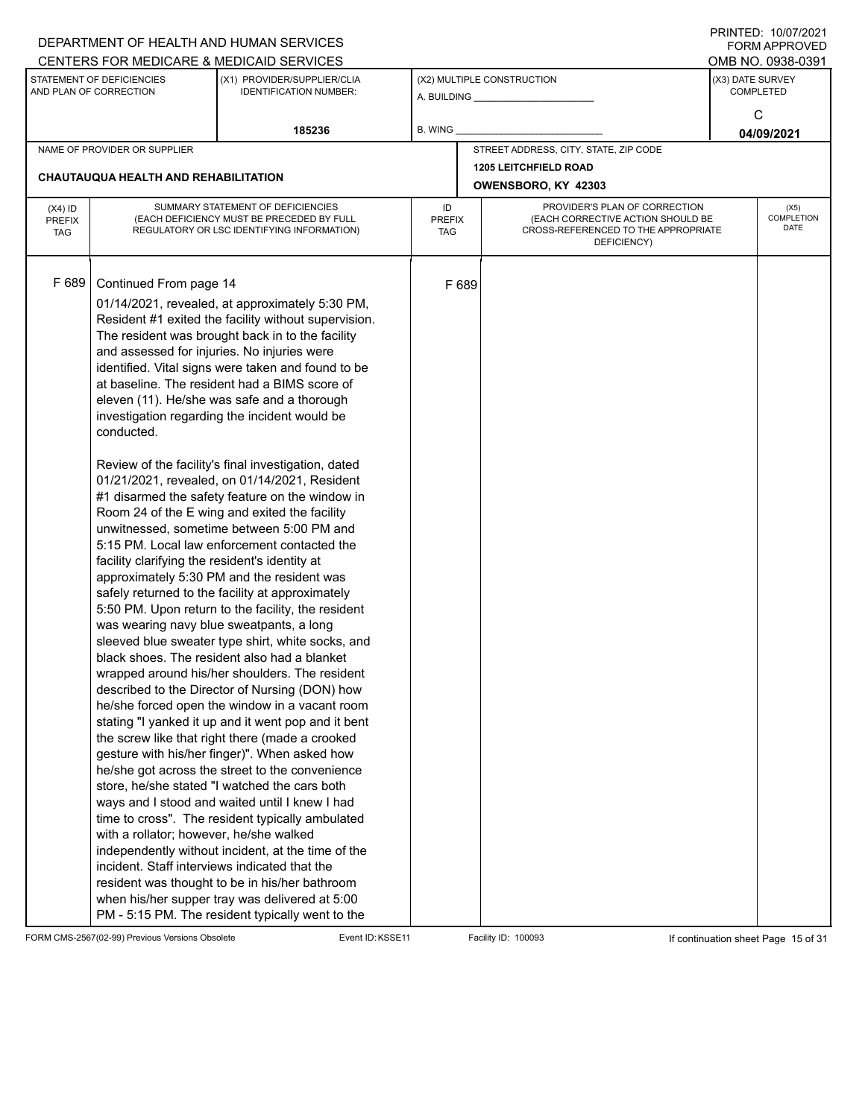|                                          |                                                                                                                                                                                                                                                                               | DEPARTMENT OF HEALTH AND HUMAN SERVICES                                                                                                                                                                                                                                                                                                                                                                                                                                                                                                                                                                                                                                                                                                                                                                                                                                                                                                                                                                                                                                                                                                                                                                                                                                                                                                                                                                                                                                                                                                                                                                                                                                           |                            |       |                                                                                                                          |                  | $1 \times 1 \times 1 = 1$ . $1 \times 1 \times 1 \times 1 = 1$<br>FORM APPROVED |
|------------------------------------------|-------------------------------------------------------------------------------------------------------------------------------------------------------------------------------------------------------------------------------------------------------------------------------|-----------------------------------------------------------------------------------------------------------------------------------------------------------------------------------------------------------------------------------------------------------------------------------------------------------------------------------------------------------------------------------------------------------------------------------------------------------------------------------------------------------------------------------------------------------------------------------------------------------------------------------------------------------------------------------------------------------------------------------------------------------------------------------------------------------------------------------------------------------------------------------------------------------------------------------------------------------------------------------------------------------------------------------------------------------------------------------------------------------------------------------------------------------------------------------------------------------------------------------------------------------------------------------------------------------------------------------------------------------------------------------------------------------------------------------------------------------------------------------------------------------------------------------------------------------------------------------------------------------------------------------------------------------------------------------|----------------------------|-------|--------------------------------------------------------------------------------------------------------------------------|------------------|---------------------------------------------------------------------------------|
|                                          |                                                                                                                                                                                                                                                                               | CENTERS FOR MEDICARE & MEDICAID SERVICES                                                                                                                                                                                                                                                                                                                                                                                                                                                                                                                                                                                                                                                                                                                                                                                                                                                                                                                                                                                                                                                                                                                                                                                                                                                                                                                                                                                                                                                                                                                                                                                                                                          |                            |       |                                                                                                                          |                  | OMB NO. 0938-0391                                                               |
|                                          | STATEMENT OF DEFICIENCIES<br>AND PLAN OF CORRECTION                                                                                                                                                                                                                           | (X1) PROVIDER/SUPPLIER/CLIA<br><b>IDENTIFICATION NUMBER:</b>                                                                                                                                                                                                                                                                                                                                                                                                                                                                                                                                                                                                                                                                                                                                                                                                                                                                                                                                                                                                                                                                                                                                                                                                                                                                                                                                                                                                                                                                                                                                                                                                                      |                            |       | (X2) MULTIPLE CONSTRUCTION                                                                                               | (X3) DATE SURVEY | <b>COMPLETED</b>                                                                |
|                                          |                                                                                                                                                                                                                                                                               | 185236                                                                                                                                                                                                                                                                                                                                                                                                                                                                                                                                                                                                                                                                                                                                                                                                                                                                                                                                                                                                                                                                                                                                                                                                                                                                                                                                                                                                                                                                                                                                                                                                                                                                            | B. WING                    |       |                                                                                                                          |                  | C<br>04/09/2021                                                                 |
|                                          | NAME OF PROVIDER OR SUPPLIER                                                                                                                                                                                                                                                  |                                                                                                                                                                                                                                                                                                                                                                                                                                                                                                                                                                                                                                                                                                                                                                                                                                                                                                                                                                                                                                                                                                                                                                                                                                                                                                                                                                                                                                                                                                                                                                                                                                                                                   |                            |       | STREET ADDRESS, CITY, STATE, ZIP CODE                                                                                    |                  |                                                                                 |
|                                          |                                                                                                                                                                                                                                                                               |                                                                                                                                                                                                                                                                                                                                                                                                                                                                                                                                                                                                                                                                                                                                                                                                                                                                                                                                                                                                                                                                                                                                                                                                                                                                                                                                                                                                                                                                                                                                                                                                                                                                                   |                            |       | <b>1205 LEITCHFIELD ROAD</b>                                                                                             |                  |                                                                                 |
|                                          | CHAUTAUQUA HEALTH AND REHABILITATION                                                                                                                                                                                                                                          |                                                                                                                                                                                                                                                                                                                                                                                                                                                                                                                                                                                                                                                                                                                                                                                                                                                                                                                                                                                                                                                                                                                                                                                                                                                                                                                                                                                                                                                                                                                                                                                                                                                                                   |                            |       | OWENSBORO, KY 42303                                                                                                      |                  |                                                                                 |
| $(X4)$ ID<br><b>PREFIX</b><br><b>TAG</b> |                                                                                                                                                                                                                                                                               | SUMMARY STATEMENT OF DEFICIENCIES<br>(EACH DEFICIENCY MUST BE PRECEDED BY FULL<br>REGULATORY OR LSC IDENTIFYING INFORMATION)                                                                                                                                                                                                                                                                                                                                                                                                                                                                                                                                                                                                                                                                                                                                                                                                                                                                                                                                                                                                                                                                                                                                                                                                                                                                                                                                                                                                                                                                                                                                                      | ID<br><b>PREFIX</b><br>TAG |       | PROVIDER'S PLAN OF CORRECTION<br>(EACH CORRECTIVE ACTION SHOULD BE<br>CROSS-REFERENCED TO THE APPROPRIATE<br>DEFICIENCY) |                  | (X5)<br>COMPLETION<br>DATE                                                      |
| F 689                                    | Continued From page 14<br>and assessed for injuries. No injuries were<br>conducted.<br>facility clarifying the resident's identity at<br>was wearing navy blue sweatpants, a long<br>with a rollator; however, he/she walked<br>incident. Staff interviews indicated that the | 01/14/2021, revealed, at approximately 5:30 PM,<br>Resident #1 exited the facility without supervision.<br>The resident was brought back in to the facility<br>identified. Vital signs were taken and found to be<br>at baseline. The resident had a BIMS score of<br>eleven (11). He/she was safe and a thorough<br>investigation regarding the incident would be<br>Review of the facility's final investigation, dated<br>01/21/2021, revealed, on 01/14/2021, Resident<br>#1 disarmed the safety feature on the window in<br>Room 24 of the E wing and exited the facility<br>unwitnessed, sometime between 5:00 PM and<br>5:15 PM. Local law enforcement contacted the<br>approximately 5:30 PM and the resident was<br>safely returned to the facility at approximately<br>5:50 PM. Upon return to the facility, the resident<br>sleeved blue sweater type shirt, white socks, and<br>black shoes. The resident also had a blanket<br>wrapped around his/her shoulders. The resident<br>described to the Director of Nursing (DON) how<br>he/she forced open the window in a vacant room<br>stating "I yanked it up and it went pop and it bent<br>the screw like that right there (made a crooked<br>gesture with his/her finger)". When asked how<br>he/she got across the street to the convenience<br>store, he/she stated "I watched the cars both<br>ways and I stood and waited until I knew I had<br>time to cross". The resident typically ambulated<br>independently without incident, at the time of the<br>resident was thought to be in his/her bathroom<br>when his/her supper tray was delivered at 5:00<br>PM - 5:15 PM. The resident typically went to the |                            | F 689 |                                                                                                                          |                  |                                                                                 |

FORM CMS-2567(02-99) Previous Versions Obsolete Event ID:KSSE11 Facility ID: 100093 If continuation sheet Page 15 of 31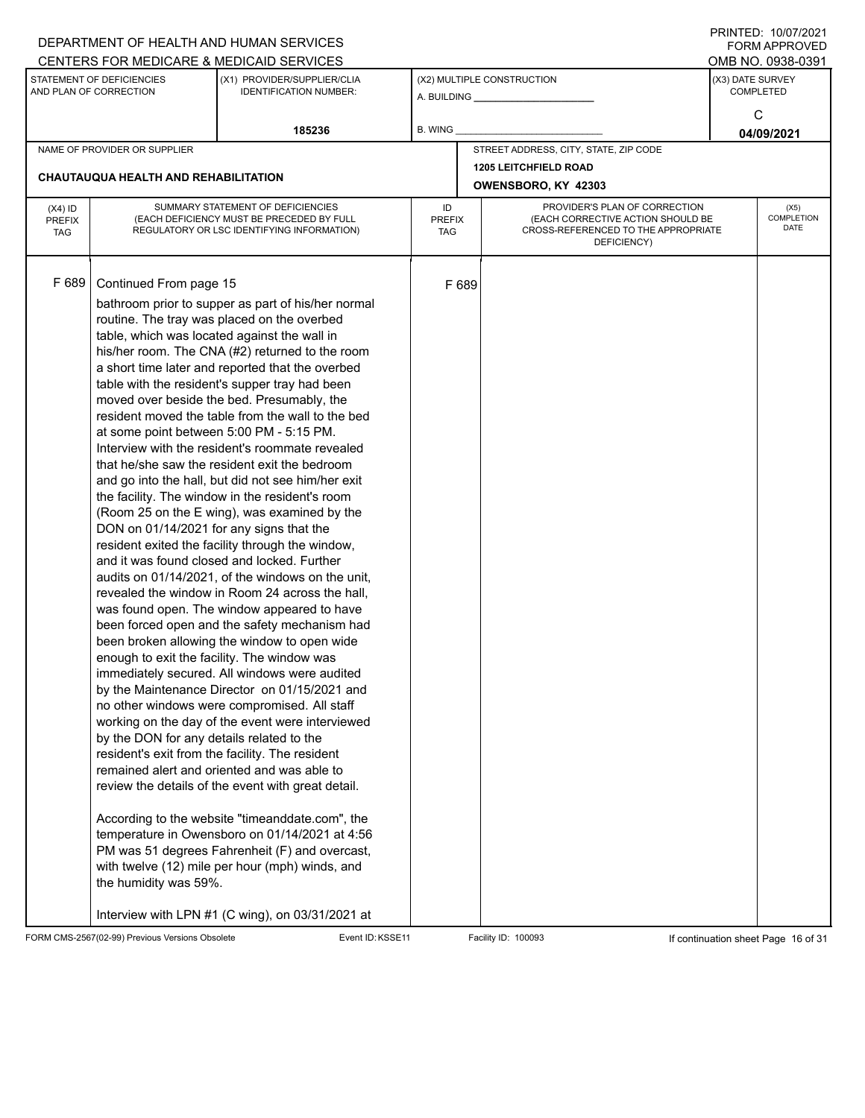| CENTERS FOR MEDICARE & MEDICAID SERVICES<br>OMB NO. 0938-0391<br>STATEMENT OF DEFICIENCIES<br>(X2) MULTIPLE CONSTRUCTION<br>(X3) DATE SURVEY<br>(X1) PROVIDER/SUPPLIER/CLIA<br>AND PLAN OF CORRECTION<br><b>IDENTIFICATION NUMBER:</b><br><b>COMPLETED</b><br>A. BUILDING A. BUILDING<br>C<br>185236<br><b>B. WING</b><br>04/09/2021<br>STREET ADDRESS, CITY, STATE, ZIP CODE<br>NAME OF PROVIDER OR SUPPLIER<br><b>1205 LEITCHFIELD ROAD</b><br>CHAUTAUQUA HEALTH AND REHABILITATION<br>OWENSBORO, KY 42303<br>SUMMARY STATEMENT OF DEFICIENCIES<br>PROVIDER'S PLAN OF CORRECTION<br>ID<br>$(X4)$ ID<br>(X5)<br>(EACH DEFICIENCY MUST BE PRECEDED BY FULL<br><b>PREFIX</b><br>(EACH CORRECTIVE ACTION SHOULD BE<br><b>PREFIX</b><br><b>DATE</b><br>REGULATORY OR LSC IDENTIFYING INFORMATION)<br>CROSS-REFERENCED TO THE APPROPRIATE<br><b>TAG</b><br><b>TAG</b><br>DEFICIENCY)<br>F 689<br>Continued From page 15<br>F 689<br>bathroom prior to supper as part of his/her normal<br>routine. The tray was placed on the overbed<br>table, which was located against the wall in<br>his/her room. The CNA (#2) returned to the room<br>a short time later and reported that the overbed<br>table with the resident's supper tray had been<br>moved over beside the bed. Presumably, the<br>resident moved the table from the wall to the bed<br>at some point between 5:00 PM - 5:15 PM.<br>Interview with the resident's roommate revealed<br>that he/she saw the resident exit the bedroom<br>and go into the hall, but did not see him/her exit<br>the facility. The window in the resident's room<br>(Room 25 on the E wing), was examined by the<br>DON on 01/14/2021 for any signs that the<br>resident exited the facility through the window,<br>and it was found closed and locked. Further<br>audits on 01/14/2021, of the windows on the unit,<br>revealed the window in Room 24 across the hall,<br>was found open. The window appeared to have<br>been forced open and the safety mechanism had<br>been broken allowing the window to open wide<br>enough to exit the facility. The window was<br>immediately secured. All windows were audited<br>by the Maintenance Director on 01/15/2021 and<br>no other windows were compromised. All staff<br>working on the day of the event were interviewed<br>by the DON for any details related to the<br>resident's exit from the facility. The resident<br>remained alert and oriented and was able to<br>review the details of the event with great detail.<br>According to the website "timeanddate.com", the<br>temperature in Owensboro on 01/14/2021 at 4:56<br>PM was 51 degrees Fahrenheit (F) and overcast,<br>with twelve (12) mile per hour (mph) winds, and<br>the humidity was 59%. |  | DEPARTMENT OF HEALTH AND HUMAN SERVICES |  |  | I INITILD. IVIVIILVLI<br><b>FORM APPROVED</b> |  |  |  |
|------------------------------------------------------------------------------------------------------------------------------------------------------------------------------------------------------------------------------------------------------------------------------------------------------------------------------------------------------------------------------------------------------------------------------------------------------------------------------------------------------------------------------------------------------------------------------------------------------------------------------------------------------------------------------------------------------------------------------------------------------------------------------------------------------------------------------------------------------------------------------------------------------------------------------------------------------------------------------------------------------------------------------------------------------------------------------------------------------------------------------------------------------------------------------------------------------------------------------------------------------------------------------------------------------------------------------------------------------------------------------------------------------------------------------------------------------------------------------------------------------------------------------------------------------------------------------------------------------------------------------------------------------------------------------------------------------------------------------------------------------------------------------------------------------------------------------------------------------------------------------------------------------------------------------------------------------------------------------------------------------------------------------------------------------------------------------------------------------------------------------------------------------------------------------------------------------------------------------------------------------------------------------------------------------------------------------------------------------------------------------------------------------------------------------------------------------------------------------------------------------------------------------------------------------------------------------------------------------------------------------------------------------------------------------------------------------------------------------------------------------------|--|-----------------------------------------|--|--|-----------------------------------------------|--|--|--|
|                                                                                                                                                                                                                                                                                                                                                                                                                                                                                                                                                                                                                                                                                                                                                                                                                                                                                                                                                                                                                                                                                                                                                                                                                                                                                                                                                                                                                                                                                                                                                                                                                                                                                                                                                                                                                                                                                                                                                                                                                                                                                                                                                                                                                                                                                                                                                                                                                                                                                                                                                                                                                                                                                                                                                            |  |                                         |  |  |                                               |  |  |  |
|                                                                                                                                                                                                                                                                                                                                                                                                                                                                                                                                                                                                                                                                                                                                                                                                                                                                                                                                                                                                                                                                                                                                                                                                                                                                                                                                                                                                                                                                                                                                                                                                                                                                                                                                                                                                                                                                                                                                                                                                                                                                                                                                                                                                                                                                                                                                                                                                                                                                                                                                                                                                                                                                                                                                                            |  |                                         |  |  |                                               |  |  |  |
|                                                                                                                                                                                                                                                                                                                                                                                                                                                                                                                                                                                                                                                                                                                                                                                                                                                                                                                                                                                                                                                                                                                                                                                                                                                                                                                                                                                                                                                                                                                                                                                                                                                                                                                                                                                                                                                                                                                                                                                                                                                                                                                                                                                                                                                                                                                                                                                                                                                                                                                                                                                                                                                                                                                                                            |  |                                         |  |  |                                               |  |  |  |
|                                                                                                                                                                                                                                                                                                                                                                                                                                                                                                                                                                                                                                                                                                                                                                                                                                                                                                                                                                                                                                                                                                                                                                                                                                                                                                                                                                                                                                                                                                                                                                                                                                                                                                                                                                                                                                                                                                                                                                                                                                                                                                                                                                                                                                                                                                                                                                                                                                                                                                                                                                                                                                                                                                                                                            |  |                                         |  |  |                                               |  |  |  |
|                                                                                                                                                                                                                                                                                                                                                                                                                                                                                                                                                                                                                                                                                                                                                                                                                                                                                                                                                                                                                                                                                                                                                                                                                                                                                                                                                                                                                                                                                                                                                                                                                                                                                                                                                                                                                                                                                                                                                                                                                                                                                                                                                                                                                                                                                                                                                                                                                                                                                                                                                                                                                                                                                                                                                            |  |                                         |  |  |                                               |  |  |  |
|                                                                                                                                                                                                                                                                                                                                                                                                                                                                                                                                                                                                                                                                                                                                                                                                                                                                                                                                                                                                                                                                                                                                                                                                                                                                                                                                                                                                                                                                                                                                                                                                                                                                                                                                                                                                                                                                                                                                                                                                                                                                                                                                                                                                                                                                                                                                                                                                                                                                                                                                                                                                                                                                                                                                                            |  |                                         |  |  | <b>COMPLETION</b>                             |  |  |  |
| Interview with LPN #1 (C wing), on 03/31/2021 at                                                                                                                                                                                                                                                                                                                                                                                                                                                                                                                                                                                                                                                                                                                                                                                                                                                                                                                                                                                                                                                                                                                                                                                                                                                                                                                                                                                                                                                                                                                                                                                                                                                                                                                                                                                                                                                                                                                                                                                                                                                                                                                                                                                                                                                                                                                                                                                                                                                                                                                                                                                                                                                                                                           |  |                                         |  |  |                                               |  |  |  |

FORM CMS-2567(02-99) Previous Versions Obsolete Event ID:KSSE11 Facility ID: 100093 If continuation sheet Page 16 of 31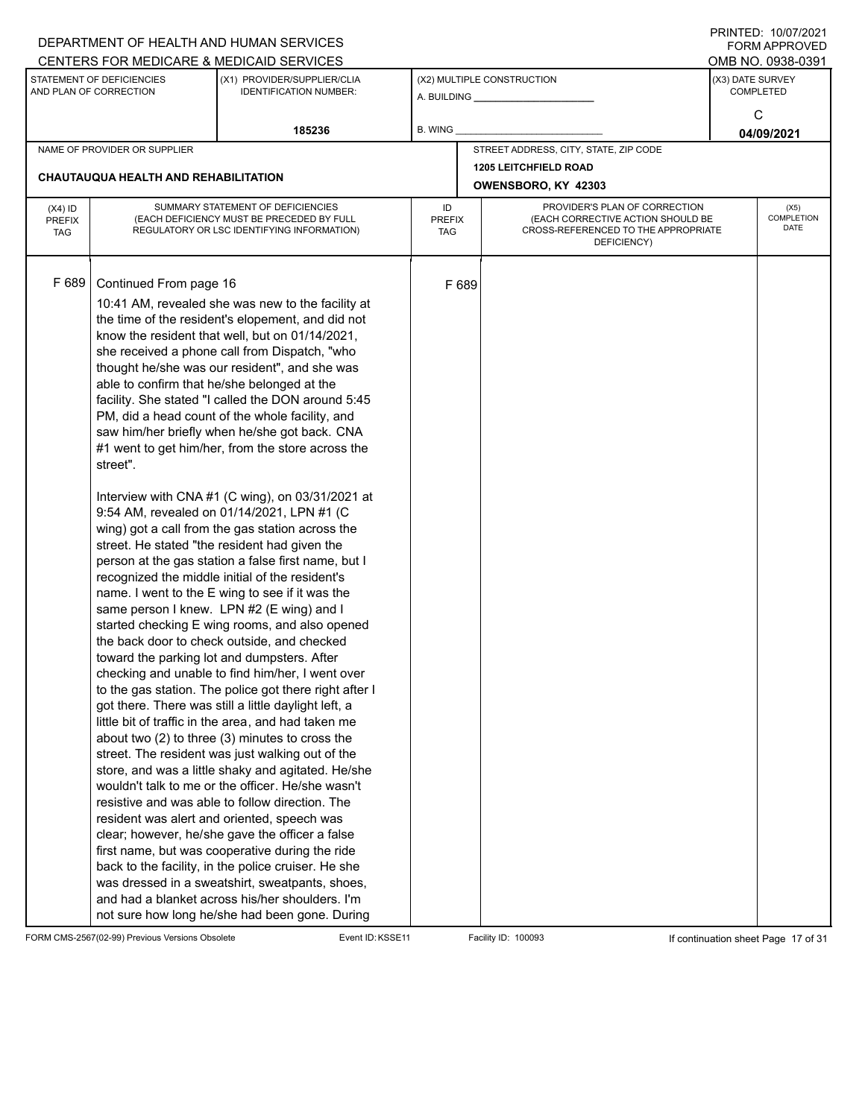| CENTERS FOR MEDICARE & MEDICAID SERVICES<br>OMB NO. 0938-0391<br>STATEMENT OF DEFICIENCIES<br>(X3) DATE SURVEY<br>(X1) PROVIDER/SUPPLIER/CLIA<br>(X2) MULTIPLE CONSTRUCTION<br>AND PLAN OF CORRECTION<br><b>COMPLETED</b><br><b>IDENTIFICATION NUMBER:</b><br>C                                                                                                                                                                                                                                                                                                                                                                                                                                                                                                                                                                                                                                                                                                                                                                                                                                                                                                                                                                                                                                                                                                                                                                                                                                                                                                                                                                                                                                                                                                                                                                                                                                                                                                        |                                   |
|------------------------------------------------------------------------------------------------------------------------------------------------------------------------------------------------------------------------------------------------------------------------------------------------------------------------------------------------------------------------------------------------------------------------------------------------------------------------------------------------------------------------------------------------------------------------------------------------------------------------------------------------------------------------------------------------------------------------------------------------------------------------------------------------------------------------------------------------------------------------------------------------------------------------------------------------------------------------------------------------------------------------------------------------------------------------------------------------------------------------------------------------------------------------------------------------------------------------------------------------------------------------------------------------------------------------------------------------------------------------------------------------------------------------------------------------------------------------------------------------------------------------------------------------------------------------------------------------------------------------------------------------------------------------------------------------------------------------------------------------------------------------------------------------------------------------------------------------------------------------------------------------------------------------------------------------------------------------|-----------------------------------|
|                                                                                                                                                                                                                                                                                                                                                                                                                                                                                                                                                                                                                                                                                                                                                                                                                                                                                                                                                                                                                                                                                                                                                                                                                                                                                                                                                                                                                                                                                                                                                                                                                                                                                                                                                                                                                                                                                                                                                                        |                                   |
|                                                                                                                                                                                                                                                                                                                                                                                                                                                                                                                                                                                                                                                                                                                                                                                                                                                                                                                                                                                                                                                                                                                                                                                                                                                                                                                                                                                                                                                                                                                                                                                                                                                                                                                                                                                                                                                                                                                                                                        |                                   |
| 185236<br>B. WING<br>04/09/2021                                                                                                                                                                                                                                                                                                                                                                                                                                                                                                                                                                                                                                                                                                                                                                                                                                                                                                                                                                                                                                                                                                                                                                                                                                                                                                                                                                                                                                                                                                                                                                                                                                                                                                                                                                                                                                                                                                                                        |                                   |
| STREET ADDRESS, CITY, STATE, ZIP CODE<br>NAME OF PROVIDER OR SUPPLIER                                                                                                                                                                                                                                                                                                                                                                                                                                                                                                                                                                                                                                                                                                                                                                                                                                                                                                                                                                                                                                                                                                                                                                                                                                                                                                                                                                                                                                                                                                                                                                                                                                                                                                                                                                                                                                                                                                  |                                   |
| <b>1205 LEITCHFIELD ROAD</b>                                                                                                                                                                                                                                                                                                                                                                                                                                                                                                                                                                                                                                                                                                                                                                                                                                                                                                                                                                                                                                                                                                                                                                                                                                                                                                                                                                                                                                                                                                                                                                                                                                                                                                                                                                                                                                                                                                                                           |                                   |
| <b>CHAUTAUQUA HEALTH AND REHABILITATION</b><br>OWENSBORO, KY 42303                                                                                                                                                                                                                                                                                                                                                                                                                                                                                                                                                                                                                                                                                                                                                                                                                                                                                                                                                                                                                                                                                                                                                                                                                                                                                                                                                                                                                                                                                                                                                                                                                                                                                                                                                                                                                                                                                                     |                                   |
| SUMMARY STATEMENT OF DEFICIENCIES<br>PROVIDER'S PLAN OF CORRECTION<br>ID<br>$(X4)$ ID<br>(EACH DEFICIENCY MUST BE PRECEDED BY FULL<br>(EACH CORRECTIVE ACTION SHOULD BE<br><b>PREFIX</b><br><b>PREFIX</b><br>REGULATORY OR LSC IDENTIFYING INFORMATION)<br>CROSS-REFERENCED TO THE APPROPRIATE<br><b>TAG</b><br>TAG<br>DEFICIENCY)                                                                                                                                                                                                                                                                                                                                                                                                                                                                                                                                                                                                                                                                                                                                                                                                                                                                                                                                                                                                                                                                                                                                                                                                                                                                                                                                                                                                                                                                                                                                                                                                                                     | (X5)<br><b>COMPLETION</b><br>DATE |
| F 689<br>Continued From page 16<br>F 689<br>10:41 AM, revealed she was new to the facility at<br>the time of the resident's elopement, and did not<br>know the resident that well, but on 01/14/2021,<br>she received a phone call from Dispatch, "who<br>thought he/she was our resident", and she was<br>able to confirm that he/she belonged at the<br>facility. She stated "I called the DON around 5:45<br>PM, did a head count of the whole facility, and<br>saw him/her briefly when he/she got back. CNA<br>#1 went to get him/her, from the store across the<br>street".<br>Interview with CNA #1 (C wing), on 03/31/2021 at<br>9:54 AM, revealed on 01/14/2021, LPN #1 (C<br>wing) got a call from the gas station across the<br>street. He stated "the resident had given the<br>person at the gas station a false first name, but I<br>recognized the middle initial of the resident's<br>name. I went to the E wing to see if it was the<br>same person I knew. LPN #2 (E wing) and I<br>started checking E wing rooms, and also opened<br>the back door to check outside, and checked<br>toward the parking lot and dumpsters. After<br>checking and unable to find him/her, I went over<br>to the gas station. The police got there right after I<br>got there. There was still a little daylight left, a<br>little bit of traffic in the area, and had taken me<br>about two (2) to three (3) minutes to cross the<br>street. The resident was just walking out of the<br>store, and was a little shaky and agitated. He/she<br>wouldn't talk to me or the officer. He/she wasn't<br>resistive and was able to follow direction. The<br>resident was alert and oriented, speech was<br>clear; however, he/she gave the officer a false<br>first name, but was cooperative during the ride<br>back to the facility, in the police cruiser. He she<br>was dressed in a sweatshirt, sweatpants, shoes,<br>and had a blanket across his/her shoulders. I'm |                                   |

FORM CMS-2567(02-99) Previous Versions Obsolete Event ID:KSSE11 Facility ID: 100093 If continuation sheet Page 17 of 31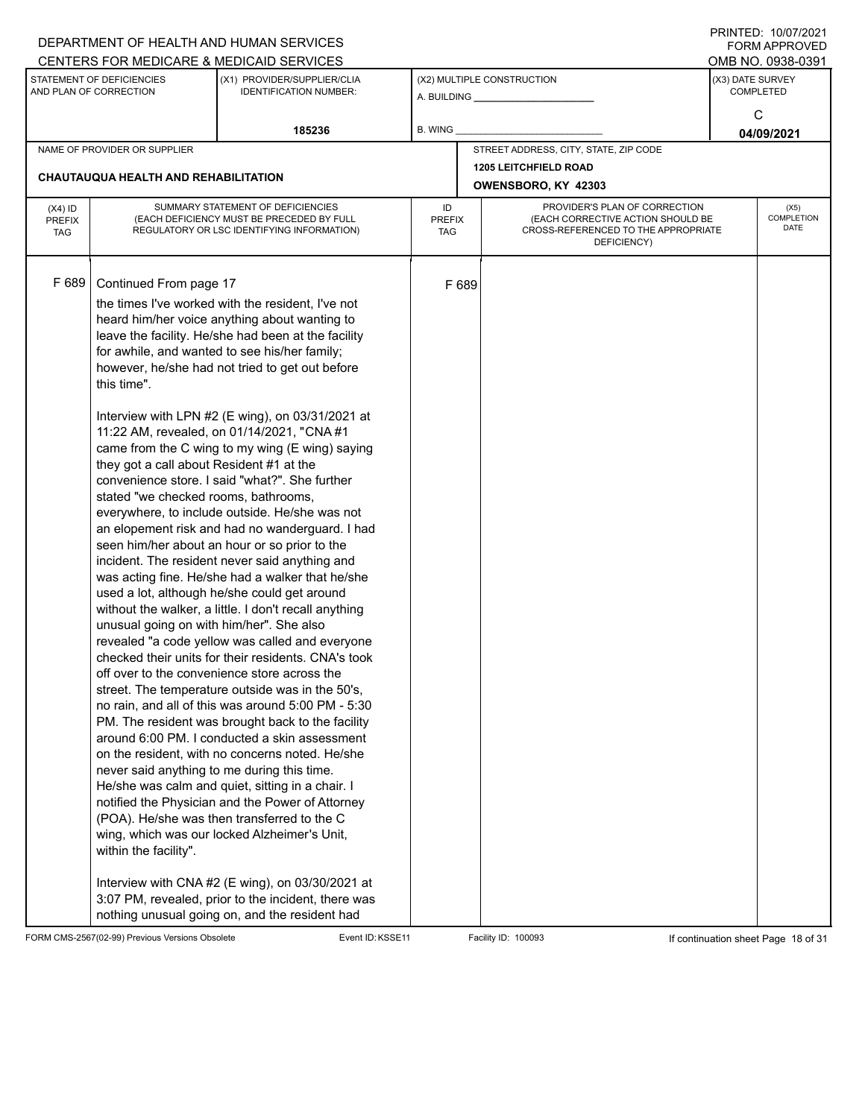|                                          |                                                                                                                                                                                                                                               | DEPARTMENT OF HEALTH AND HUMAN SERVICES                                                                                                                                                                                                                                                                                                                                                                                                                                                                                                                                                                                                                                                                                                                                                                                                                                                                                                                                                                                                                                                                                                                                                                                                                                                                                                                                                                                                                                                                                                                                                  |                            |       |                                                                                                                          |                  | $1 \times 1 \times 1 = 1$ . $1 \times 1 \times 1 \times 1 = 1$<br>FORM APPROVED |
|------------------------------------------|-----------------------------------------------------------------------------------------------------------------------------------------------------------------------------------------------------------------------------------------------|------------------------------------------------------------------------------------------------------------------------------------------------------------------------------------------------------------------------------------------------------------------------------------------------------------------------------------------------------------------------------------------------------------------------------------------------------------------------------------------------------------------------------------------------------------------------------------------------------------------------------------------------------------------------------------------------------------------------------------------------------------------------------------------------------------------------------------------------------------------------------------------------------------------------------------------------------------------------------------------------------------------------------------------------------------------------------------------------------------------------------------------------------------------------------------------------------------------------------------------------------------------------------------------------------------------------------------------------------------------------------------------------------------------------------------------------------------------------------------------------------------------------------------------------------------------------------------------|----------------------------|-------|--------------------------------------------------------------------------------------------------------------------------|------------------|---------------------------------------------------------------------------------|
|                                          |                                                                                                                                                                                                                                               | CENTERS FOR MEDICARE & MEDICAID SERVICES                                                                                                                                                                                                                                                                                                                                                                                                                                                                                                                                                                                                                                                                                                                                                                                                                                                                                                                                                                                                                                                                                                                                                                                                                                                                                                                                                                                                                                                                                                                                                 |                            |       |                                                                                                                          |                  | OMB NO. 0938-0391                                                               |
|                                          | STATEMENT OF DEFICIENCIES<br>AND PLAN OF CORRECTION                                                                                                                                                                                           | (X1) PROVIDER/SUPPLIER/CLIA<br><b>IDENTIFICATION NUMBER:</b>                                                                                                                                                                                                                                                                                                                                                                                                                                                                                                                                                                                                                                                                                                                                                                                                                                                                                                                                                                                                                                                                                                                                                                                                                                                                                                                                                                                                                                                                                                                             |                            |       | (X2) MULTIPLE CONSTRUCTION                                                                                               | (X3) DATE SURVEY | <b>COMPLETED</b>                                                                |
|                                          |                                                                                                                                                                                                                                               | 185236                                                                                                                                                                                                                                                                                                                                                                                                                                                                                                                                                                                                                                                                                                                                                                                                                                                                                                                                                                                                                                                                                                                                                                                                                                                                                                                                                                                                                                                                                                                                                                                   | B. WING                    |       |                                                                                                                          |                  | C<br>04/09/2021                                                                 |
|                                          | NAME OF PROVIDER OR SUPPLIER                                                                                                                                                                                                                  |                                                                                                                                                                                                                                                                                                                                                                                                                                                                                                                                                                                                                                                                                                                                                                                                                                                                                                                                                                                                                                                                                                                                                                                                                                                                                                                                                                                                                                                                                                                                                                                          |                            |       | STREET ADDRESS, CITY, STATE, ZIP CODE                                                                                    |                  |                                                                                 |
|                                          | CHAUTAUQUA HEALTH AND REHABILITATION                                                                                                                                                                                                          |                                                                                                                                                                                                                                                                                                                                                                                                                                                                                                                                                                                                                                                                                                                                                                                                                                                                                                                                                                                                                                                                                                                                                                                                                                                                                                                                                                                                                                                                                                                                                                                          |                            |       | <b>1205 LEITCHFIELD ROAD</b><br>OWENSBORO, KY 42303                                                                      |                  |                                                                                 |
| $(X4)$ ID<br><b>PREFIX</b><br><b>TAG</b> |                                                                                                                                                                                                                                               | SUMMARY STATEMENT OF DEFICIENCIES<br>(EACH DEFICIENCY MUST BE PRECEDED BY FULL<br>REGULATORY OR LSC IDENTIFYING INFORMATION)                                                                                                                                                                                                                                                                                                                                                                                                                                                                                                                                                                                                                                                                                                                                                                                                                                                                                                                                                                                                                                                                                                                                                                                                                                                                                                                                                                                                                                                             | ID<br><b>PREFIX</b><br>TAG |       | PROVIDER'S PLAN OF CORRECTION<br>(EACH CORRECTIVE ACTION SHOULD BE<br>CROSS-REFERENCED TO THE APPROPRIATE<br>DEFICIENCY) |                  | (X5)<br><b>COMPLETION</b><br>DATE                                               |
| F 689                                    | Continued From page 17<br>this time".<br>they got a call about Resident #1 at the<br>stated "we checked rooms, bathrooms,<br>unusual going on with him/her". She also<br>never said anything to me during this time.<br>within the facility". | the times I've worked with the resident, I've not<br>heard him/her voice anything about wanting to<br>leave the facility. He/she had been at the facility<br>for awhile, and wanted to see his/her family;<br>however, he/she had not tried to get out before<br>Interview with LPN #2 (E wing), on 03/31/2021 at<br>11:22 AM, revealed, on 01/14/2021, "CNA #1<br>came from the C wing to my wing (E wing) saying<br>convenience store. I said "what?". She further<br>everywhere, to include outside. He/she was not<br>an elopement risk and had no wanderguard. I had<br>seen him/her about an hour or so prior to the<br>incident. The resident never said anything and<br>was acting fine. He/she had a walker that he/she<br>used a lot, although he/she could get around<br>without the walker, a little. I don't recall anything<br>revealed "a code yellow was called and everyone<br>checked their units for their residents. CNA's took<br>off over to the convenience store across the<br>street. The temperature outside was in the 50's,<br>no rain, and all of this was around 5:00 PM - 5:30<br>PM. The resident was brought back to the facility<br>around 6:00 PM. I conducted a skin assessment<br>on the resident, with no concerns noted. He/she<br>He/she was calm and quiet, sitting in a chair. I<br>notified the Physician and the Power of Attorney<br>(POA). He/she was then transferred to the C<br>wing, which was our locked Alzheimer's Unit,<br>Interview with CNA #2 (E wing), on 03/30/2021 at<br>3:07 PM, revealed, prior to the incident, there was |                            | F 689 |                                                                                                                          |                  |                                                                                 |
|                                          |                                                                                                                                                                                                                                               | nothing unusual going on, and the resident had                                                                                                                                                                                                                                                                                                                                                                                                                                                                                                                                                                                                                                                                                                                                                                                                                                                                                                                                                                                                                                                                                                                                                                                                                                                                                                                                                                                                                                                                                                                                           |                            |       |                                                                                                                          |                  |                                                                                 |

FORM CMS-2567(02-99) Previous Versions Obsolete Event ID:KSSE11 Facility ID: 100093 If continuation sheet Page 18 of 31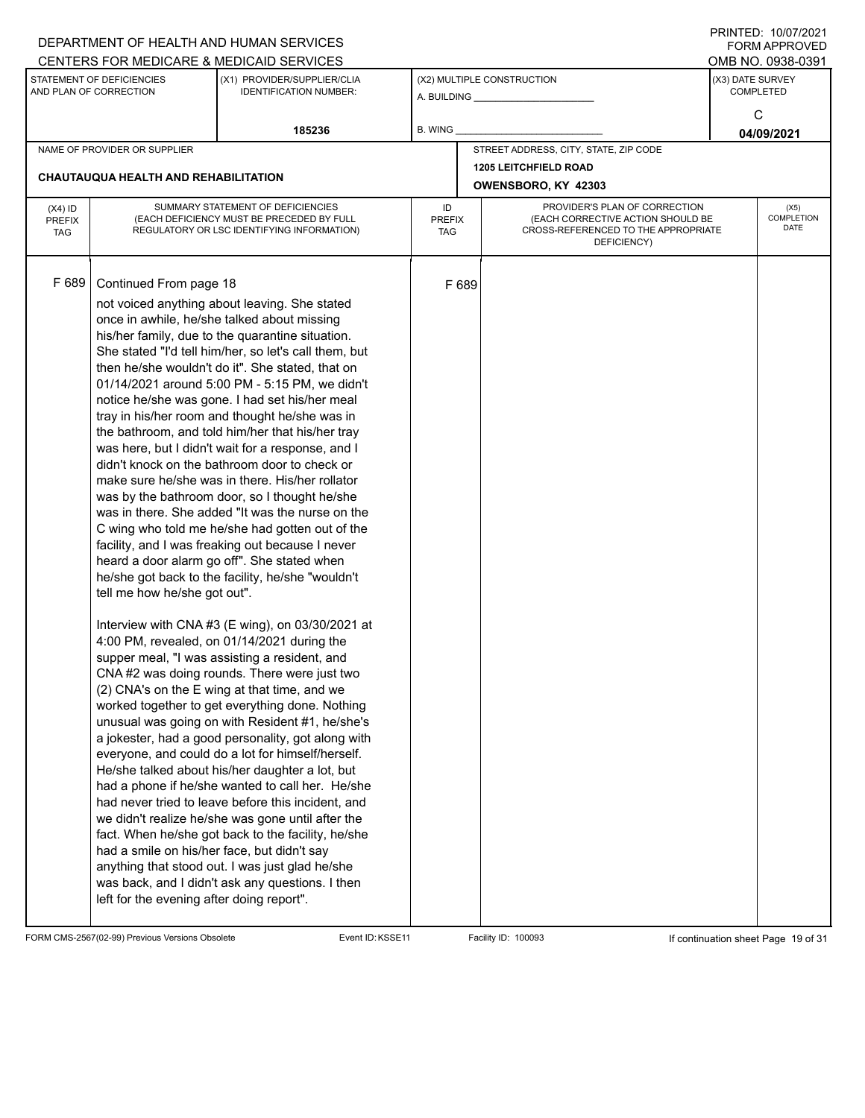|               |                                                     | DEPARTMENT OF HEALTH AND HUMAN SERVICES                                                            |               |       |                                                    |                  | $1 \times 1 \times 1 = 1$ . $1 \times 1 \times 1 = 1$<br>FORM APPROVED |  |
|---------------|-----------------------------------------------------|----------------------------------------------------------------------------------------------------|---------------|-------|----------------------------------------------------|------------------|------------------------------------------------------------------------|--|
|               |                                                     | CENTERS FOR MEDICARE & MEDICAID SERVICES                                                           |               |       |                                                    |                  | OMB NO. 0938-0391                                                      |  |
|               | STATEMENT OF DEFICIENCIES<br>AND PLAN OF CORRECTION | (X1) PROVIDER/SUPPLIER/CLIA<br><b>IDENTIFICATION NUMBER:</b>                                       |               |       | (X2) MULTIPLE CONSTRUCTION                         | (X3) DATE SURVEY | <b>COMPLETED</b>                                                       |  |
|               |                                                     |                                                                                                    |               |       |                                                    |                  |                                                                        |  |
|               |                                                     |                                                                                                    |               |       |                                                    |                  | C                                                                      |  |
|               |                                                     | 185236                                                                                             | B. WING       |       |                                                    |                  | 04/09/2021                                                             |  |
|               | NAME OF PROVIDER OR SUPPLIER                        |                                                                                                    |               |       | STREET ADDRESS, CITY, STATE, ZIP CODE              |                  |                                                                        |  |
|               | <b>CHAUTAUQUA HEALTH AND REHABILITATION</b>         |                                                                                                    |               |       | <b>1205 LEITCHFIELD ROAD</b>                       |                  |                                                                        |  |
|               |                                                     |                                                                                                    |               |       | OWENSBORO, KY 42303                                |                  |                                                                        |  |
| $(X4)$ ID     |                                                     | SUMMARY STATEMENT OF DEFICIENCIES                                                                  | ID            |       | PROVIDER'S PLAN OF CORRECTION                      |                  | (X5)                                                                   |  |
| <b>PREFIX</b> |                                                     | (EACH DEFICIENCY MUST BE PRECEDED BY FULL                                                          | <b>PREFIX</b> |       | (EACH CORRECTIVE ACTION SHOULD BE                  |                  | <b>COMPLETION</b><br>DATE                                              |  |
| <b>TAG</b>    |                                                     | REGULATORY OR LSC IDENTIFYING INFORMATION)                                                         | TAG           |       | CROSS-REFERENCED TO THE APPROPRIATE<br>DEFICIENCY) |                  |                                                                        |  |
|               |                                                     |                                                                                                    |               |       |                                                    |                  |                                                                        |  |
|               |                                                     |                                                                                                    |               |       |                                                    |                  |                                                                        |  |
| F 689         | Continued From page 18                              |                                                                                                    |               | F 689 |                                                    |                  |                                                                        |  |
|               |                                                     | not voiced anything about leaving. She stated                                                      |               |       |                                                    |                  |                                                                        |  |
|               |                                                     | once in awhile, he/she talked about missing                                                        |               |       |                                                    |                  |                                                                        |  |
|               |                                                     | his/her family, due to the quarantine situation.                                                   |               |       |                                                    |                  |                                                                        |  |
|               |                                                     | She stated "I'd tell him/her, so let's call them, but                                              |               |       |                                                    |                  |                                                                        |  |
|               |                                                     | then he/she wouldn't do it". She stated, that on                                                   |               |       |                                                    |                  |                                                                        |  |
|               |                                                     | 01/14/2021 around 5:00 PM - 5:15 PM, we didn't                                                     |               |       |                                                    |                  |                                                                        |  |
|               |                                                     | notice he/she was gone. I had set his/her meal                                                     |               |       |                                                    |                  |                                                                        |  |
|               |                                                     | tray in his/her room and thought he/she was in<br>the bathroom, and told him/her that his/her tray |               |       |                                                    |                  |                                                                        |  |
|               |                                                     | was here, but I didn't wait for a response, and I                                                  |               |       |                                                    |                  |                                                                        |  |
|               |                                                     | didn't knock on the bathroom door to check or                                                      |               |       |                                                    |                  |                                                                        |  |
|               |                                                     | make sure he/she was in there. His/her rollator                                                    |               |       |                                                    |                  |                                                                        |  |
|               |                                                     | was by the bathroom door, so I thought he/she                                                      |               |       |                                                    |                  |                                                                        |  |
|               |                                                     | was in there. She added "It was the nurse on the                                                   |               |       |                                                    |                  |                                                                        |  |
|               |                                                     | C wing who told me he/she had gotten out of the                                                    |               |       |                                                    |                  |                                                                        |  |
|               |                                                     | facility, and I was freaking out because I never                                                   |               |       |                                                    |                  |                                                                        |  |
|               |                                                     | heard a door alarm go off". She stated when                                                        |               |       |                                                    |                  |                                                                        |  |
|               |                                                     | he/she got back to the facility, he/she "wouldn't                                                  |               |       |                                                    |                  |                                                                        |  |
|               | tell me how he/she got out".                        |                                                                                                    |               |       |                                                    |                  |                                                                        |  |
|               |                                                     |                                                                                                    |               |       |                                                    |                  |                                                                        |  |
|               |                                                     | Interview with CNA #3 (E wing), on 03/30/2021 at                                                   |               |       |                                                    |                  |                                                                        |  |
|               |                                                     | 4:00 PM, revealed, on 01/14/2021 during the                                                        |               |       |                                                    |                  |                                                                        |  |
|               |                                                     | supper meal, "I was assisting a resident, and<br>CNA #2 was doing rounds. There were just two      |               |       |                                                    |                  |                                                                        |  |
|               |                                                     | (2) CNA's on the E wing at that time, and we                                                       |               |       |                                                    |                  |                                                                        |  |
|               |                                                     | worked together to get everything done. Nothing                                                    |               |       |                                                    |                  |                                                                        |  |
|               |                                                     | unusual was going on with Resident #1, he/she's                                                    |               |       |                                                    |                  |                                                                        |  |
|               |                                                     | a jokester, had a good personality, got along with                                                 |               |       |                                                    |                  |                                                                        |  |
|               |                                                     | everyone, and could do a lot for himself/herself.                                                  |               |       |                                                    |                  |                                                                        |  |
|               |                                                     | He/she talked about his/her daughter a lot, but                                                    |               |       |                                                    |                  |                                                                        |  |
|               |                                                     | had a phone if he/she wanted to call her. He/she                                                   |               |       |                                                    |                  |                                                                        |  |
|               |                                                     | had never tried to leave before this incident, and                                                 |               |       |                                                    |                  |                                                                        |  |
|               |                                                     | we didn't realize he/she was gone until after the                                                  |               |       |                                                    |                  |                                                                        |  |
|               |                                                     | fact. When he/she got back to the facility, he/she                                                 |               |       |                                                    |                  |                                                                        |  |
|               | had a smile on his/her face, but didn't say         |                                                                                                    |               |       |                                                    |                  |                                                                        |  |
|               |                                                     | anything that stood out. I was just glad he/she                                                    |               |       |                                                    |                  |                                                                        |  |
|               |                                                     | was back, and I didn't ask any questions. I then                                                   |               |       |                                                    |                  |                                                                        |  |
|               | left for the evening after doing report".           |                                                                                                    |               |       |                                                    |                  |                                                                        |  |
|               |                                                     |                                                                                                    |               |       |                                                    |                  |                                                                        |  |

FORM CMS-2567(02-99) Previous Versions Obsolete Event ID:KSSE11 Facility ID: 100093 If continuation sheet Page 19 of 31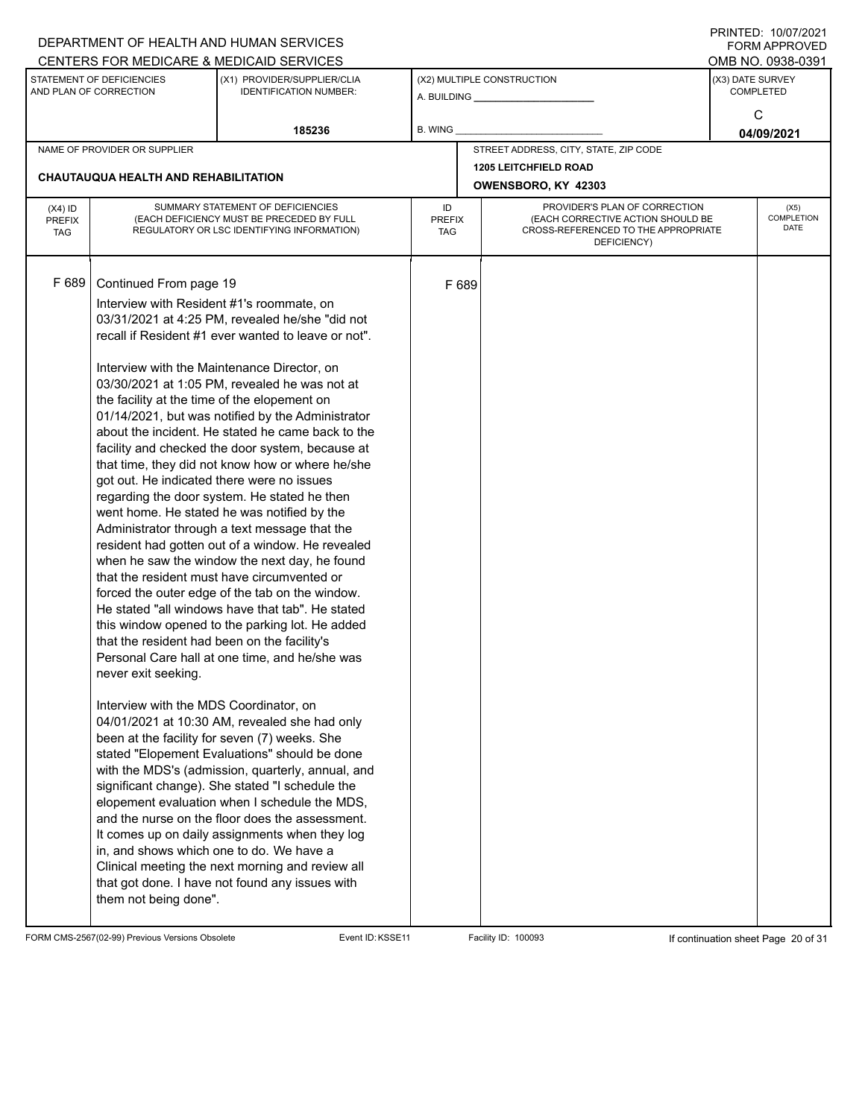|                                          |                                                                                                                                                                                                                                                                                                                                                         | DEPARTMENT OF HEALTH AND HUMAN SERVICES                                                                                                                                                                                                                                                                                                                                                                                                                                                                                                                                                                                                                                                                                                                                                                                                                                                                                                                                                                                                                                                                                                                                                                                                                                                                                                                                                                                                                          |                            |       |                                                                                                                          |                  | 11111111127. 110101112021<br>FORM APPROVED |
|------------------------------------------|---------------------------------------------------------------------------------------------------------------------------------------------------------------------------------------------------------------------------------------------------------------------------------------------------------------------------------------------------------|------------------------------------------------------------------------------------------------------------------------------------------------------------------------------------------------------------------------------------------------------------------------------------------------------------------------------------------------------------------------------------------------------------------------------------------------------------------------------------------------------------------------------------------------------------------------------------------------------------------------------------------------------------------------------------------------------------------------------------------------------------------------------------------------------------------------------------------------------------------------------------------------------------------------------------------------------------------------------------------------------------------------------------------------------------------------------------------------------------------------------------------------------------------------------------------------------------------------------------------------------------------------------------------------------------------------------------------------------------------------------------------------------------------------------------------------------------------|----------------------------|-------|--------------------------------------------------------------------------------------------------------------------------|------------------|--------------------------------------------|
|                                          |                                                                                                                                                                                                                                                                                                                                                         | CENTERS FOR MEDICARE & MEDICAID SERVICES                                                                                                                                                                                                                                                                                                                                                                                                                                                                                                                                                                                                                                                                                                                                                                                                                                                                                                                                                                                                                                                                                                                                                                                                                                                                                                                                                                                                                         |                            |       |                                                                                                                          |                  | OMB NO. 0938-0391                          |
|                                          | STATEMENT OF DEFICIENCIES<br>AND PLAN OF CORRECTION                                                                                                                                                                                                                                                                                                     | (X1) PROVIDER/SUPPLIER/CLIA<br><b>IDENTIFICATION NUMBER:</b>                                                                                                                                                                                                                                                                                                                                                                                                                                                                                                                                                                                                                                                                                                                                                                                                                                                                                                                                                                                                                                                                                                                                                                                                                                                                                                                                                                                                     |                            |       | (X2) MULTIPLE CONSTRUCTION                                                                                               | (X3) DATE SURVEY | <b>COMPLETED</b>                           |
|                                          |                                                                                                                                                                                                                                                                                                                                                         | 185236                                                                                                                                                                                                                                                                                                                                                                                                                                                                                                                                                                                                                                                                                                                                                                                                                                                                                                                                                                                                                                                                                                                                                                                                                                                                                                                                                                                                                                                           | B. WING                    |       |                                                                                                                          |                  | C<br>04/09/2021                            |
|                                          | NAME OF PROVIDER OR SUPPLIER                                                                                                                                                                                                                                                                                                                            |                                                                                                                                                                                                                                                                                                                                                                                                                                                                                                                                                                                                                                                                                                                                                                                                                                                                                                                                                                                                                                                                                                                                                                                                                                                                                                                                                                                                                                                                  |                            |       | STREET ADDRESS, CITY, STATE, ZIP CODE                                                                                    |                  |                                            |
|                                          |                                                                                                                                                                                                                                                                                                                                                         |                                                                                                                                                                                                                                                                                                                                                                                                                                                                                                                                                                                                                                                                                                                                                                                                                                                                                                                                                                                                                                                                                                                                                                                                                                                                                                                                                                                                                                                                  |                            |       | <b>1205 LEITCHFIELD ROAD</b>                                                                                             |                  |                                            |
|                                          | CHAUTAUQUA HEALTH AND REHABILITATION                                                                                                                                                                                                                                                                                                                    |                                                                                                                                                                                                                                                                                                                                                                                                                                                                                                                                                                                                                                                                                                                                                                                                                                                                                                                                                                                                                                                                                                                                                                                                                                                                                                                                                                                                                                                                  |                            |       | OWENSBORO, KY 42303                                                                                                      |                  |                                            |
| $(X4)$ ID<br><b>PREFIX</b><br><b>TAG</b> |                                                                                                                                                                                                                                                                                                                                                         | SUMMARY STATEMENT OF DEFICIENCIES<br>(EACH DEFICIENCY MUST BE PRECEDED BY FULL<br>REGULATORY OR LSC IDENTIFYING INFORMATION)                                                                                                                                                                                                                                                                                                                                                                                                                                                                                                                                                                                                                                                                                                                                                                                                                                                                                                                                                                                                                                                                                                                                                                                                                                                                                                                                     | ID<br><b>PREFIX</b><br>TAG |       | PROVIDER'S PLAN OF CORRECTION<br>(EACH CORRECTIVE ACTION SHOULD BE<br>CROSS-REFERENCED TO THE APPROPRIATE<br>DEFICIENCY) |                  | (X5)<br>COMPLETION<br>DATE                 |
| F 689                                    | Continued From page 19<br>Interview with Resident #1's roommate, on<br>the facility at the time of the elopement on<br>got out. He indicated there were no issues<br>that the resident had been on the facility's<br>never exit seeking.<br>Interview with the MDS Coordinator, on<br>in, and shows which one to do. We have a<br>them not being done". | 03/31/2021 at 4:25 PM, revealed he/she "did not<br>recall if Resident #1 ever wanted to leave or not".<br>Interview with the Maintenance Director, on<br>03/30/2021 at 1:05 PM, revealed he was not at<br>01/14/2021, but was notified by the Administrator<br>about the incident. He stated he came back to the<br>facility and checked the door system, because at<br>that time, they did not know how or where he/she<br>regarding the door system. He stated he then<br>went home. He stated he was notified by the<br>Administrator through a text message that the<br>resident had gotten out of a window. He revealed<br>when he saw the window the next day, he found<br>that the resident must have circumvented or<br>forced the outer edge of the tab on the window.<br>He stated "all windows have that tab". He stated<br>this window opened to the parking lot. He added<br>Personal Care hall at one time, and he/she was<br>04/01/2021 at 10:30 AM, revealed she had only<br>been at the facility for seven (7) weeks. She<br>stated "Elopement Evaluations" should be done<br>with the MDS's (admission, quarterly, annual, and<br>significant change). She stated "I schedule the<br>elopement evaluation when I schedule the MDS,<br>and the nurse on the floor does the assessment.<br>It comes up on daily assignments when they log<br>Clinical meeting the next morning and review all<br>that got done. I have not found any issues with |                            | F 689 |                                                                                                                          |                  |                                            |

FORM CMS-2567(02-99) Previous Versions Obsolete Event ID:KSSE11 Facility ID: 100093 If continuation sheet Page 20 of 31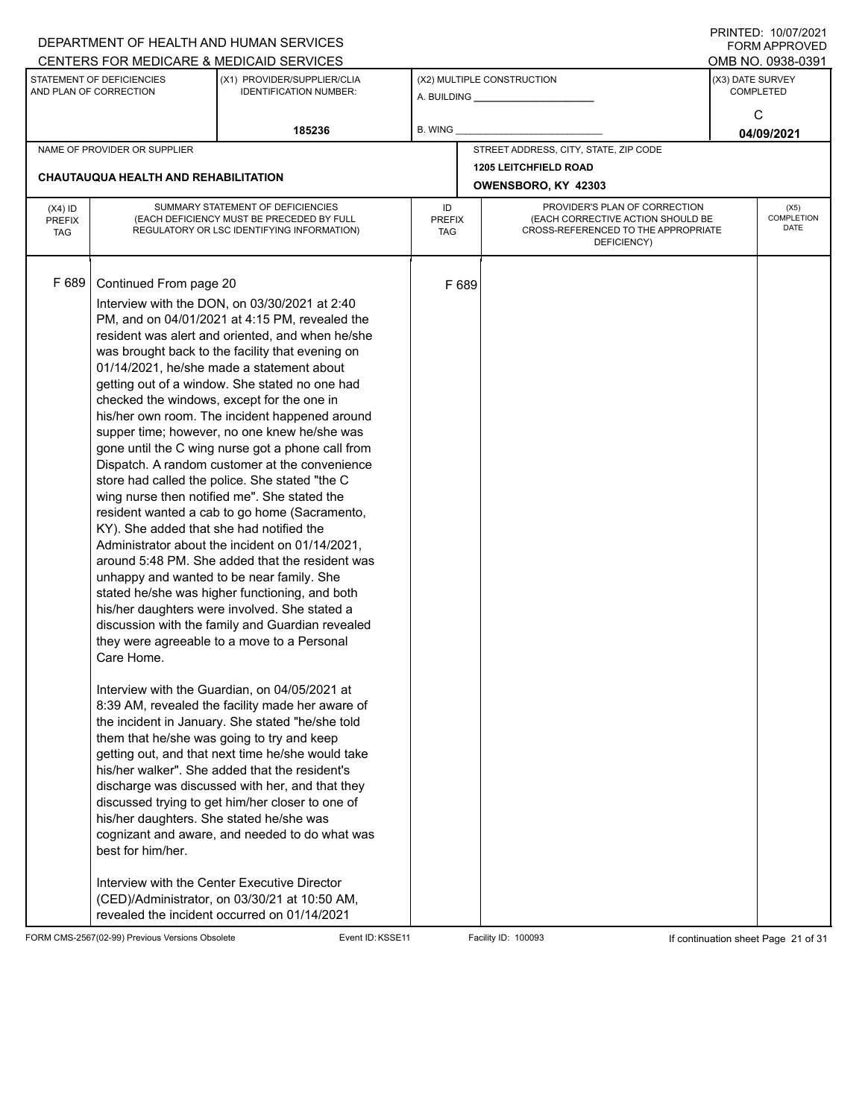|                                          |                                                                                                                                                   | DEPARTMENT OF HEALTH AND HUMAN SERVICES                                                                                                                                                                                                                                                                                                                                                                                                                                                                                                                                                                                                                                                                                                                                                                                                                                                                                                                                                                                                                                                                                                                                                                                                                                                                                                                                                                                                                                                                                                          |                            |       |                                                                                                                          | 11111111127. 110101112021<br>FORM APPROVED |
|------------------------------------------|---------------------------------------------------------------------------------------------------------------------------------------------------|--------------------------------------------------------------------------------------------------------------------------------------------------------------------------------------------------------------------------------------------------------------------------------------------------------------------------------------------------------------------------------------------------------------------------------------------------------------------------------------------------------------------------------------------------------------------------------------------------------------------------------------------------------------------------------------------------------------------------------------------------------------------------------------------------------------------------------------------------------------------------------------------------------------------------------------------------------------------------------------------------------------------------------------------------------------------------------------------------------------------------------------------------------------------------------------------------------------------------------------------------------------------------------------------------------------------------------------------------------------------------------------------------------------------------------------------------------------------------------------------------------------------------------------------------|----------------------------|-------|--------------------------------------------------------------------------------------------------------------------------|--------------------------------------------|
|                                          |                                                                                                                                                   | CENTERS FOR MEDICARE & MEDICAID SERVICES                                                                                                                                                                                                                                                                                                                                                                                                                                                                                                                                                                                                                                                                                                                                                                                                                                                                                                                                                                                                                                                                                                                                                                                                                                                                                                                                                                                                                                                                                                         |                            |       |                                                                                                                          | OMB NO. 0938-0391                          |
|                                          | STATEMENT OF DEFICIENCIES<br>AND PLAN OF CORRECTION                                                                                               | (X1) PROVIDER/SUPPLIER/CLIA<br><b>IDENTIFICATION NUMBER:</b>                                                                                                                                                                                                                                                                                                                                                                                                                                                                                                                                                                                                                                                                                                                                                                                                                                                                                                                                                                                                                                                                                                                                                                                                                                                                                                                                                                                                                                                                                     |                            |       | (X2) MULTIPLE CONSTRUCTION                                                                                               | (X3) DATE SURVEY<br><b>COMPLETED</b>       |
|                                          |                                                                                                                                                   | 185236                                                                                                                                                                                                                                                                                                                                                                                                                                                                                                                                                                                                                                                                                                                                                                                                                                                                                                                                                                                                                                                                                                                                                                                                                                                                                                                                                                                                                                                                                                                                           | B. WING                    |       |                                                                                                                          | C<br>04/09/2021                            |
|                                          | NAME OF PROVIDER OR SUPPLIER                                                                                                                      |                                                                                                                                                                                                                                                                                                                                                                                                                                                                                                                                                                                                                                                                                                                                                                                                                                                                                                                                                                                                                                                                                                                                                                                                                                                                                                                                                                                                                                                                                                                                                  |                            |       | STREET ADDRESS, CITY, STATE, ZIP CODE                                                                                    |                                            |
|                                          | <b>CHAUTAUQUA HEALTH AND REHABILITATION</b>                                                                                                       |                                                                                                                                                                                                                                                                                                                                                                                                                                                                                                                                                                                                                                                                                                                                                                                                                                                                                                                                                                                                                                                                                                                                                                                                                                                                                                                                                                                                                                                                                                                                                  |                            |       |                                                                                                                          |                                            |
|                                          |                                                                                                                                                   |                                                                                                                                                                                                                                                                                                                                                                                                                                                                                                                                                                                                                                                                                                                                                                                                                                                                                                                                                                                                                                                                                                                                                                                                                                                                                                                                                                                                                                                                                                                                                  |                            |       | OWENSBORO, KY 42303                                                                                                      |                                            |
| $(X4)$ ID<br><b>PREFIX</b><br><b>TAG</b> |                                                                                                                                                   | SUMMARY STATEMENT OF DEFICIENCIES<br>(EACH DEFICIENCY MUST BE PRECEDED BY FULL<br>REGULATORY OR LSC IDENTIFYING INFORMATION)                                                                                                                                                                                                                                                                                                                                                                                                                                                                                                                                                                                                                                                                                                                                                                                                                                                                                                                                                                                                                                                                                                                                                                                                                                                                                                                                                                                                                     | ID<br><b>PREFIX</b><br>TAG |       | PROVIDER'S PLAN OF CORRECTION<br>(EACH CORRECTIVE ACTION SHOULD BE<br>CROSS-REFERENCED TO THE APPROPRIATE<br>DEFICIENCY) | (X5)<br>COMPLETION<br>DATE                 |
| F 689                                    | Continued From page 20<br>KY). She added that she had notified the<br>Care Home.<br>his/her daughters. She stated he/she was<br>best for him/her. | Interview with the DON, on 03/30/2021 at 2:40<br>PM, and on 04/01/2021 at 4:15 PM, revealed the<br>resident was alert and oriented, and when he/she<br>was brought back to the facility that evening on<br>01/14/2021, he/she made a statement about<br>getting out of a window. She stated no one had<br>checked the windows, except for the one in<br>his/her own room. The incident happened around<br>supper time; however, no one knew he/she was<br>gone until the C wing nurse got a phone call from<br>Dispatch. A random customer at the convenience<br>store had called the police. She stated "the C<br>wing nurse then notified me". She stated the<br>resident wanted a cab to go home (Sacramento,<br>Administrator about the incident on 01/14/2021,<br>around 5:48 PM. She added that the resident was<br>unhappy and wanted to be near family. She<br>stated he/she was higher functioning, and both<br>his/her daughters were involved. She stated a<br>discussion with the family and Guardian revealed<br>they were agreeable to a move to a Personal<br>Interview with the Guardian, on 04/05/2021 at<br>8:39 AM, revealed the facility made her aware of<br>the incident in January. She stated "he/she told<br>them that he/she was going to try and keep<br>getting out, and that next time he/she would take<br>his/her walker". She added that the resident's<br>discharge was discussed with her, and that they<br>discussed trying to get him/her closer to one of<br>cognizant and aware, and needed to do what was |                            | F 689 |                                                                                                                          |                                            |
|                                          |                                                                                                                                                   | Interview with the Center Executive Director<br>(CED)/Administrator, on 03/30/21 at 10:50 AM,<br>revealed the incident occurred on 01/14/2021                                                                                                                                                                                                                                                                                                                                                                                                                                                                                                                                                                                                                                                                                                                                                                                                                                                                                                                                                                                                                                                                                                                                                                                                                                                                                                                                                                                                    |                            |       |                                                                                                                          |                                            |

FORM CMS-2567(02-99) Previous Versions Obsolete Event ID:KSSE11 Facility ID: 100093 If continuation sheet Page 21 of 31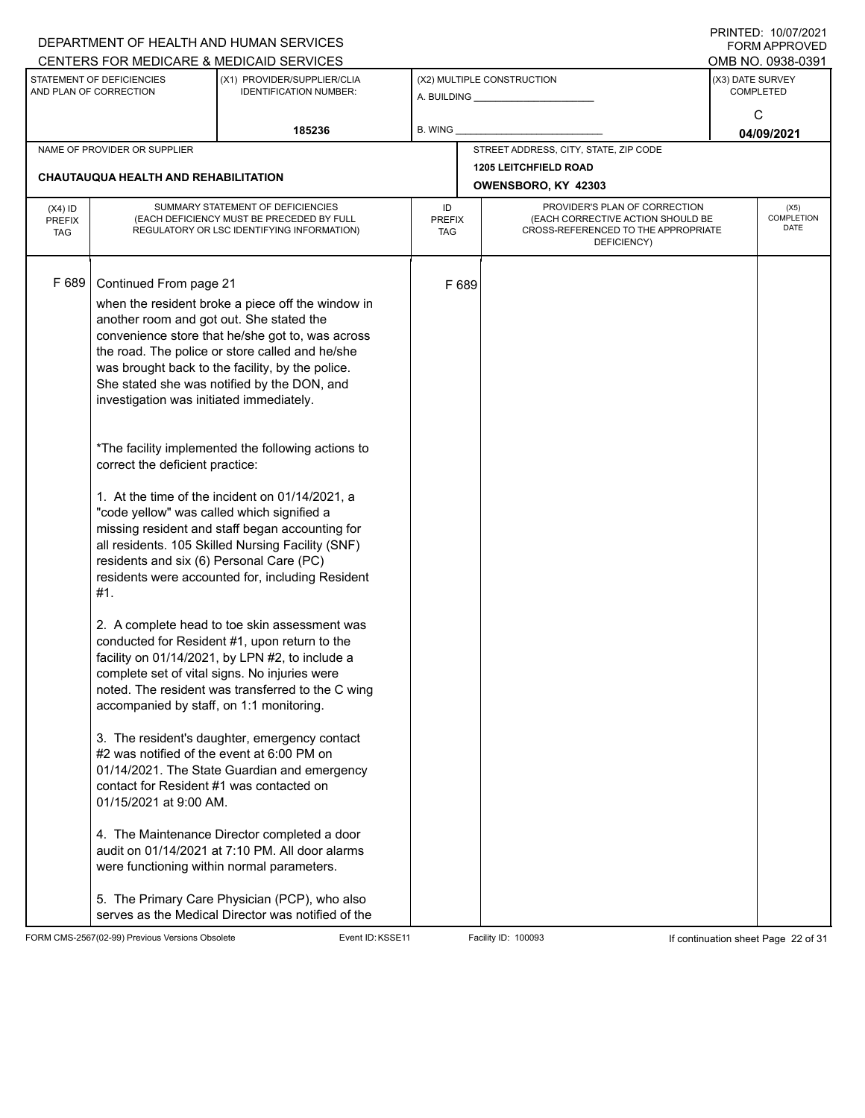|                                          |                                                                                                                                                              | DEPARTMENT OF HEALTH AND HUMAN SERVICES<br>CENTERS FOR MEDICARE & MEDICAID SERVICES                                                                                                                                                                                                                                                                                                                                                                                                                       |                                   |       |                                                                                                                          | FININILD. IVIVIIZUZI<br><b>FORM APPROVED</b><br>OMB NO. 0938-0391 |
|------------------------------------------|--------------------------------------------------------------------------------------------------------------------------------------------------------------|-----------------------------------------------------------------------------------------------------------------------------------------------------------------------------------------------------------------------------------------------------------------------------------------------------------------------------------------------------------------------------------------------------------------------------------------------------------------------------------------------------------|-----------------------------------|-------|--------------------------------------------------------------------------------------------------------------------------|-------------------------------------------------------------------|
|                                          | STATEMENT OF DEFICIENCIES<br>AND PLAN OF CORRECTION                                                                                                          | (X1) PROVIDER/SUPPLIER/CLIA<br><b>IDENTIFICATION NUMBER:</b>                                                                                                                                                                                                                                                                                                                                                                                                                                              |                                   |       | (X2) MULTIPLE CONSTRUCTION                                                                                               | (X3) DATE SURVEY<br><b>COMPLETED</b><br>C                         |
|                                          |                                                                                                                                                              | 185236                                                                                                                                                                                                                                                                                                                                                                                                                                                                                                    | B. WING                           |       |                                                                                                                          | 04/09/2021                                                        |
|                                          | NAME OF PROVIDER OR SUPPLIER                                                                                                                                 |                                                                                                                                                                                                                                                                                                                                                                                                                                                                                                           |                                   |       | STREET ADDRESS, CITY, STATE, ZIP CODE                                                                                    |                                                                   |
|                                          | <b>CHAUTAUQUA HEALTH AND REHABILITATION</b>                                                                                                                  |                                                                                                                                                                                                                                                                                                                                                                                                                                                                                                           |                                   |       | <b>1205 LEITCHFIELD ROAD</b><br>OWENSBORO, KY 42303                                                                      |                                                                   |
| $(X4)$ ID<br><b>PREFIX</b><br><b>TAG</b> |                                                                                                                                                              | SUMMARY STATEMENT OF DEFICIENCIES<br>(EACH DEFICIENCY MUST BE PRECEDED BY FULL<br>REGULATORY OR LSC IDENTIFYING INFORMATION)                                                                                                                                                                                                                                                                                                                                                                              | ID<br><b>PREFIX</b><br><b>TAG</b> |       | PROVIDER'S PLAN OF CORRECTION<br>(EACH CORRECTIVE ACTION SHOULD BE<br>CROSS-REFERENCED TO THE APPROPRIATE<br>DEFICIENCY) | (X5)<br><b>COMPLETION</b><br><b>DATE</b>                          |
| F 689                                    | Continued From page 21<br>another room and got out. She stated the<br>investigation was initiated immediately.                                               | when the resident broke a piece off the window in<br>convenience store that he/she got to, was across<br>the road. The police or store called and he/she<br>was brought back to the facility, by the police.<br>She stated she was notified by the DON, and<br>*The facility implemented the following actions to                                                                                                                                                                                         |                                   | F 689 |                                                                                                                          |                                                                   |
|                                          | correct the deficient practice:<br>"code yellow" was called which signified a<br>residents and six (6) Personal Care (PC)<br>#1.                             | 1. At the time of the incident on 01/14/2021, a<br>missing resident and staff began accounting for<br>all residents. 105 Skilled Nursing Facility (SNF)<br>residents were accounted for, including Resident                                                                                                                                                                                                                                                                                               |                                   |       |                                                                                                                          |                                                                   |
|                                          | accompanied by staff, on 1:1 monitoring.<br>#2 was notified of the event at 6:00 PM on<br>contact for Resident #1 was contacted on<br>01/15/2021 at 9:00 AM. | 2. A complete head to toe skin assessment was<br>conducted for Resident #1, upon return to the<br>facility on 01/14/2021, by LPN #2, to include a<br>complete set of vital signs. No injuries were<br>noted. The resident was transferred to the C wing<br>3. The resident's daughter, emergency contact<br>01/14/2021. The State Guardian and emergency<br>4. The Maintenance Director completed a door<br>audit on 01/14/2021 at 7:10 PM. All door alarms<br>were functioning within normal parameters. |                                   |       |                                                                                                                          |                                                                   |
|                                          |                                                                                                                                                              | 5. The Primary Care Physician (PCP), who also<br>serves as the Medical Director was notified of the                                                                                                                                                                                                                                                                                                                                                                                                       |                                   |       |                                                                                                                          |                                                                   |

FORM CMS-2567(02-99) Previous Versions Obsolete Event ID:KSSE11 Facility ID: 100093 If continuation sheet Page 22 of 31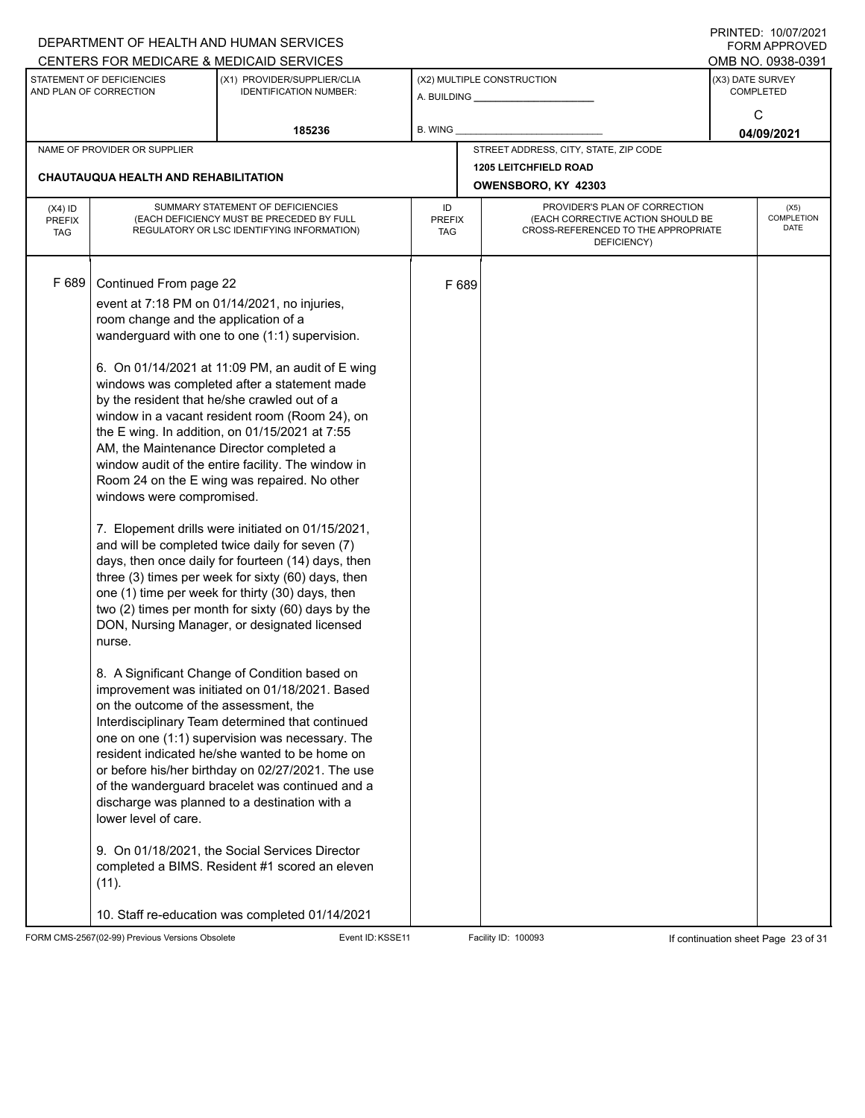|                                          |                                                                                                                                                                                                                             | DEPARTMENT OF HEALTH AND HUMAN SERVICES<br>CENTERS FOR MEDICARE & MEDICAID SERVICES                                                                                                                                                                                                                                                                                                                                                                                                                                                                                                                                                                                                                                                                                                                                                                                                                                                                                                                                                                                                                                                                                                                                                                                                                                                                                                                                    |                                   |       |                                                                                                                          |                  | FININILD. IVIVIIZUZI<br><b>FORM APPROVED</b><br>OMB NO. 0938-0391 |
|------------------------------------------|-----------------------------------------------------------------------------------------------------------------------------------------------------------------------------------------------------------------------------|------------------------------------------------------------------------------------------------------------------------------------------------------------------------------------------------------------------------------------------------------------------------------------------------------------------------------------------------------------------------------------------------------------------------------------------------------------------------------------------------------------------------------------------------------------------------------------------------------------------------------------------------------------------------------------------------------------------------------------------------------------------------------------------------------------------------------------------------------------------------------------------------------------------------------------------------------------------------------------------------------------------------------------------------------------------------------------------------------------------------------------------------------------------------------------------------------------------------------------------------------------------------------------------------------------------------------------------------------------------------------------------------------------------------|-----------------------------------|-------|--------------------------------------------------------------------------------------------------------------------------|------------------|-------------------------------------------------------------------|
|                                          | STATEMENT OF DEFICIENCIES<br>AND PLAN OF CORRECTION                                                                                                                                                                         | (X1) PROVIDER/SUPPLIER/CLIA<br><b>IDENTIFICATION NUMBER:</b>                                                                                                                                                                                                                                                                                                                                                                                                                                                                                                                                                                                                                                                                                                                                                                                                                                                                                                                                                                                                                                                                                                                                                                                                                                                                                                                                                           |                                   |       | (X2) MULTIPLE CONSTRUCTION                                                                                               | (X3) DATE SURVEY | <b>COMPLETED</b>                                                  |
|                                          |                                                                                                                                                                                                                             | 185236                                                                                                                                                                                                                                                                                                                                                                                                                                                                                                                                                                                                                                                                                                                                                                                                                                                                                                                                                                                                                                                                                                                                                                                                                                                                                                                                                                                                                 | <b>B. WING</b>                    |       |                                                                                                                          |                  | C<br>04/09/2021                                                   |
|                                          | NAME OF PROVIDER OR SUPPLIER                                                                                                                                                                                                |                                                                                                                                                                                                                                                                                                                                                                                                                                                                                                                                                                                                                                                                                                                                                                                                                                                                                                                                                                                                                                                                                                                                                                                                                                                                                                                                                                                                                        |                                   |       | STREET ADDRESS, CITY, STATE, ZIP CODE                                                                                    |                  |                                                                   |
|                                          | <b>CHAUTAUQUA HEALTH AND REHABILITATION</b>                                                                                                                                                                                 |                                                                                                                                                                                                                                                                                                                                                                                                                                                                                                                                                                                                                                                                                                                                                                                                                                                                                                                                                                                                                                                                                                                                                                                                                                                                                                                                                                                                                        |                                   |       | <b>1205 LEITCHFIELD ROAD</b><br>OWENSBORO, KY 42303                                                                      |                  |                                                                   |
| $(X4)$ ID<br><b>PREFIX</b><br><b>TAG</b> |                                                                                                                                                                                                                             | SUMMARY STATEMENT OF DEFICIENCIES<br>(EACH DEFICIENCY MUST BE PRECEDED BY FULL<br>REGULATORY OR LSC IDENTIFYING INFORMATION)                                                                                                                                                                                                                                                                                                                                                                                                                                                                                                                                                                                                                                                                                                                                                                                                                                                                                                                                                                                                                                                                                                                                                                                                                                                                                           | ID<br><b>PREFIX</b><br><b>TAG</b> |       | PROVIDER'S PLAN OF CORRECTION<br>(EACH CORRECTIVE ACTION SHOULD BE<br>CROSS-REFERENCED TO THE APPROPRIATE<br>DEFICIENCY) |                  | (X5)<br>COMPLETION<br><b>DATE</b>                                 |
| F 689                                    | Continued From page 22<br>room change and the application of a<br>AM, the Maintenance Director completed a<br>windows were compromised.<br>nurse.<br>on the outcome of the assessment, the<br>lower level of care.<br>(11). | event at 7:18 PM on 01/14/2021, no injuries,<br>wanderguard with one to one (1:1) supervision.<br>6. On 01/14/2021 at 11:09 PM, an audit of E wing<br>windows was completed after a statement made<br>by the resident that he/she crawled out of a<br>window in a vacant resident room (Room 24), on<br>the E wing. In addition, on 01/15/2021 at 7:55<br>window audit of the entire facility. The window in<br>Room 24 on the E wing was repaired. No other<br>7. Elopement drills were initiated on 01/15/2021,<br>and will be completed twice daily for seven (7)<br>days, then once daily for fourteen (14) days, then<br>three (3) times per week for sixty (60) days, then<br>one (1) time per week for thirty (30) days, then<br>two (2) times per month for sixty (60) days by the<br>DON, Nursing Manager, or designated licensed<br>8. A Significant Change of Condition based on<br>improvement was initiated on 01/18/2021. Based<br>Interdisciplinary Team determined that continued<br>one on one (1:1) supervision was necessary. The<br>resident indicated he/she wanted to be home on<br>or before his/her birthday on 02/27/2021. The use<br>of the wanderguard bracelet was continued and a<br>discharge was planned to a destination with a<br>9. On 01/18/2021, the Social Services Director<br>completed a BIMS. Resident #1 scored an eleven<br>10. Staff re-education was completed 01/14/2021 |                                   | F 689 |                                                                                                                          |                  |                                                                   |

FORM CMS-2567(02-99) Previous Versions Obsolete Event ID:KSSE11 Facility ID: 100093 If continuation sheet Page 23 of 31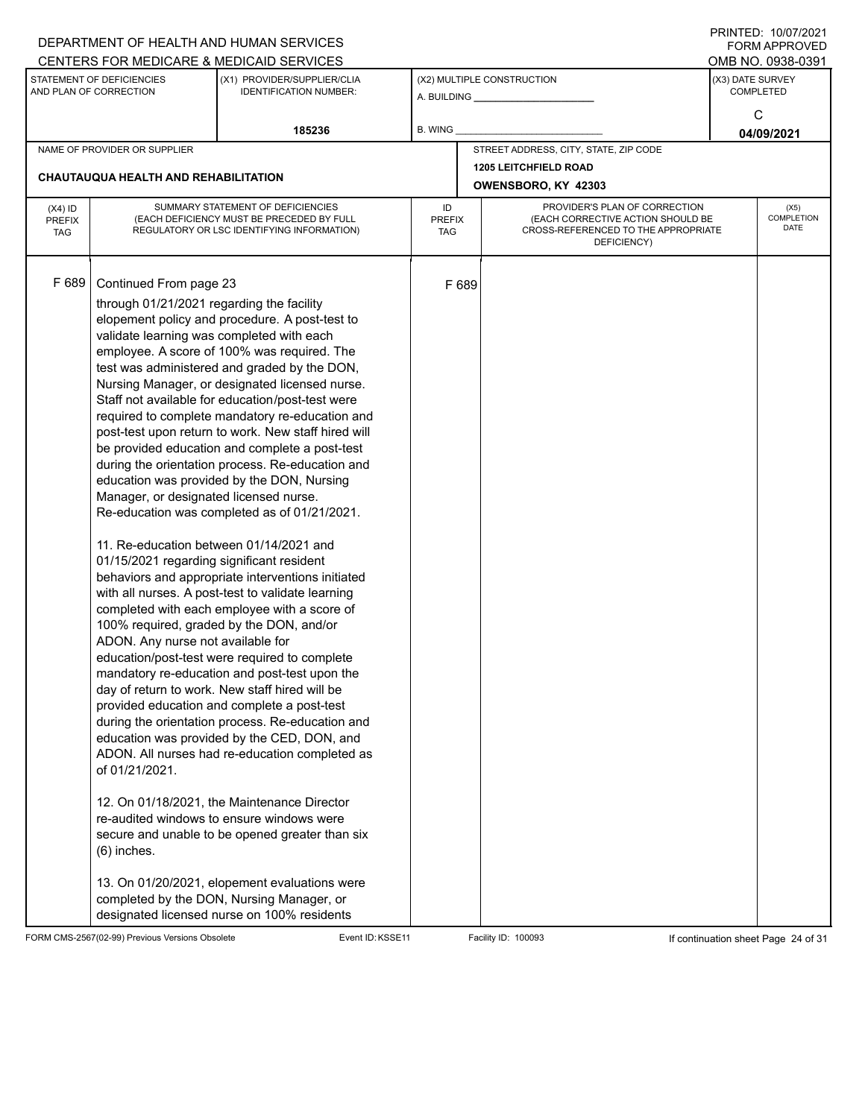|                             |                                                     | DEPARTMENT OF HEALTH AND HUMAN SERVICES                                                        |                             |       |                                                                          |                  | $1 \times 1 \times 1 = 1$ . $1 \times 1 \times 1 = 1$<br>FORM APPROVED |  |  |
|-----------------------------|-----------------------------------------------------|------------------------------------------------------------------------------------------------|-----------------------------|-------|--------------------------------------------------------------------------|------------------|------------------------------------------------------------------------|--|--|
|                             |                                                     | CENTERS FOR MEDICARE & MEDICAID SERVICES                                                       |                             |       |                                                                          |                  | OMB NO. 0938-0391                                                      |  |  |
|                             | STATEMENT OF DEFICIENCIES<br>AND PLAN OF CORRECTION | (X1) PROVIDER/SUPPLIER/CLIA<br><b>IDENTIFICATION NUMBER:</b>                                   |                             |       | (X2) MULTIPLE CONSTRUCTION                                               | (X3) DATE SURVEY | <b>COMPLETED</b>                                                       |  |  |
|                             |                                                     |                                                                                                |                             |       |                                                                          |                  |                                                                        |  |  |
|                             |                                                     | 185236                                                                                         | B. WING                     |       |                                                                          |                  | C<br>04/09/2021                                                        |  |  |
|                             | NAME OF PROVIDER OR SUPPLIER                        |                                                                                                |                             |       | STREET ADDRESS, CITY, STATE, ZIP CODE                                    |                  |                                                                        |  |  |
|                             |                                                     |                                                                                                |                             |       | <b>1205 LEITCHFIELD ROAD</b>                                             |                  |                                                                        |  |  |
|                             | <b>CHAUTAUQUA HEALTH AND REHABILITATION</b>         |                                                                                                |                             |       | OWENSBORO, KY 42303                                                      |                  |                                                                        |  |  |
| $(X4)$ ID                   |                                                     | SUMMARY STATEMENT OF DEFICIENCIES                                                              | ID                          |       | PROVIDER'S PLAN OF CORRECTION                                            |                  | (X5)                                                                   |  |  |
| <b>PREFIX</b><br><b>TAG</b> |                                                     | (EACH DEFICIENCY MUST BE PRECEDED BY FULL<br>REGULATORY OR LSC IDENTIFYING INFORMATION)        | <b>PREFIX</b><br><b>TAG</b> |       | (EACH CORRECTIVE ACTION SHOULD BE<br>CROSS-REFERENCED TO THE APPROPRIATE |                  | COMPLETION<br>DATE                                                     |  |  |
|                             |                                                     |                                                                                                |                             |       | DEFICIENCY)                                                              |                  |                                                                        |  |  |
|                             |                                                     |                                                                                                |                             |       |                                                                          |                  |                                                                        |  |  |
| F 689                       | Continued From page 23                              |                                                                                                |                             | F 689 |                                                                          |                  |                                                                        |  |  |
|                             | through 01/21/2021 regarding the facility           |                                                                                                |                             |       |                                                                          |                  |                                                                        |  |  |
|                             |                                                     | elopement policy and procedure. A post-test to                                                 |                             |       |                                                                          |                  |                                                                        |  |  |
|                             | validate learning was completed with each           |                                                                                                |                             |       |                                                                          |                  |                                                                        |  |  |
|                             |                                                     | employee. A score of 100% was required. The<br>test was administered and graded by the DON,    |                             |       |                                                                          |                  |                                                                        |  |  |
|                             |                                                     | Nursing Manager, or designated licensed nurse.                                                 |                             |       |                                                                          |                  |                                                                        |  |  |
|                             |                                                     | Staff not available for education/post-test were                                               |                             |       |                                                                          |                  |                                                                        |  |  |
|                             |                                                     | required to complete mandatory re-education and                                                |                             |       |                                                                          |                  |                                                                        |  |  |
|                             |                                                     | post-test upon return to work. New staff hired will                                            |                             |       |                                                                          |                  |                                                                        |  |  |
|                             |                                                     | be provided education and complete a post-test                                                 |                             |       |                                                                          |                  |                                                                        |  |  |
|                             |                                                     | during the orientation process. Re-education and<br>education was provided by the DON, Nursing |                             |       |                                                                          |                  |                                                                        |  |  |
|                             | Manager, or designated licensed nurse.              |                                                                                                |                             |       |                                                                          |                  |                                                                        |  |  |
|                             |                                                     | Re-education was completed as of 01/21/2021.                                                   |                             |       |                                                                          |                  |                                                                        |  |  |
|                             | 11. Re-education between 01/14/2021 and             |                                                                                                |                             |       |                                                                          |                  |                                                                        |  |  |
|                             | 01/15/2021 regarding significant resident           |                                                                                                |                             |       |                                                                          |                  |                                                                        |  |  |
|                             |                                                     | behaviors and appropriate interventions initiated                                              |                             |       |                                                                          |                  |                                                                        |  |  |
|                             |                                                     | with all nurses. A post-test to validate learning                                              |                             |       |                                                                          |                  |                                                                        |  |  |
|                             |                                                     | completed with each employee with a score of                                                   |                             |       |                                                                          |                  |                                                                        |  |  |
|                             |                                                     | 100% required, graded by the DON, and/or                                                       |                             |       |                                                                          |                  |                                                                        |  |  |
|                             | ADON. Any nurse not available for                   | education/post-test were required to complete                                                  |                             |       |                                                                          |                  |                                                                        |  |  |
|                             |                                                     | mandatory re-education and post-test upon the                                                  |                             |       |                                                                          |                  |                                                                        |  |  |
|                             |                                                     | day of return to work. New staff hired will be                                                 |                             |       |                                                                          |                  |                                                                        |  |  |
|                             |                                                     | provided education and complete a post-test                                                    |                             |       |                                                                          |                  |                                                                        |  |  |
|                             |                                                     | during the orientation process. Re-education and                                               |                             |       |                                                                          |                  |                                                                        |  |  |
|                             |                                                     | education was provided by the CED, DON, and                                                    |                             |       |                                                                          |                  |                                                                        |  |  |
|                             |                                                     | ADON. All nurses had re-education completed as                                                 |                             |       |                                                                          |                  |                                                                        |  |  |
|                             | of 01/21/2021.                                      |                                                                                                |                             |       |                                                                          |                  |                                                                        |  |  |
|                             |                                                     | 12. On 01/18/2021, the Maintenance Director                                                    |                             |       |                                                                          |                  |                                                                        |  |  |
|                             |                                                     | re-audited windows to ensure windows were                                                      |                             |       |                                                                          |                  |                                                                        |  |  |
|                             |                                                     | secure and unable to be opened greater than six                                                |                             |       |                                                                          |                  |                                                                        |  |  |
|                             | $(6)$ inches.                                       |                                                                                                |                             |       |                                                                          |                  |                                                                        |  |  |
|                             |                                                     | 13. On 01/20/2021, elopement evaluations were                                                  |                             |       |                                                                          |                  |                                                                        |  |  |
|                             |                                                     | completed by the DON, Nursing Manager, or                                                      |                             |       |                                                                          |                  |                                                                        |  |  |
|                             |                                                     | designated licensed nurse on 100% residents                                                    |                             |       |                                                                          |                  |                                                                        |  |  |

FORM CMS-2567(02-99) Previous Versions Obsolete Event ID:KSSE11 Facility ID: 100093 If continuation sheet Page 24 of 31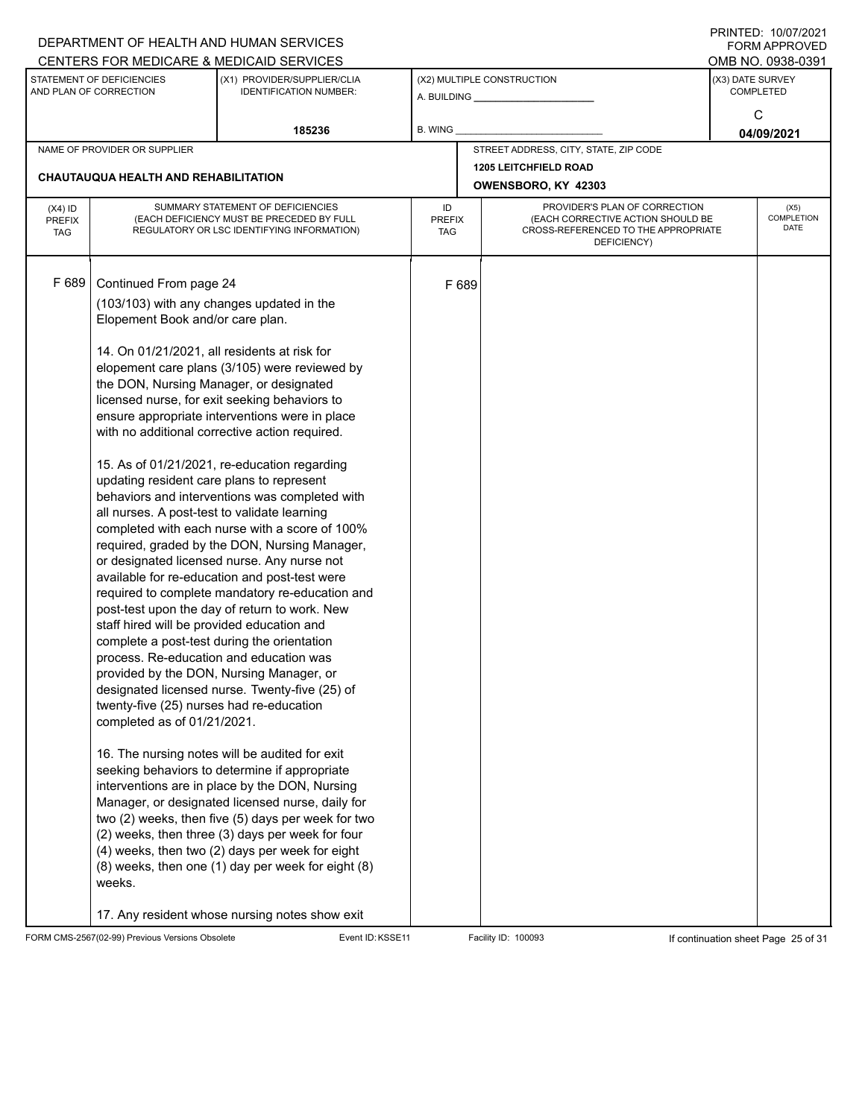|                                          |                                                                                                                                                                                                                                                                                                                                                                                                                                                                                 | DEPARTMENT OF HEALTH AND HUMAN SERVICES                                                                                                                                                                                                                                                                                                                                                                                                                                                                                                                                                                                                                                                                                                                                                                                                                                                                                                                                                                                                                                                                                                                                            |         |        |                                                                                                                          |                  | $1 \times 1 \times 1 = 1$ . $1 \times 1 \times 1 = 1$<br>FORM APPROVED |  |
|------------------------------------------|---------------------------------------------------------------------------------------------------------------------------------------------------------------------------------------------------------------------------------------------------------------------------------------------------------------------------------------------------------------------------------------------------------------------------------------------------------------------------------|------------------------------------------------------------------------------------------------------------------------------------------------------------------------------------------------------------------------------------------------------------------------------------------------------------------------------------------------------------------------------------------------------------------------------------------------------------------------------------------------------------------------------------------------------------------------------------------------------------------------------------------------------------------------------------------------------------------------------------------------------------------------------------------------------------------------------------------------------------------------------------------------------------------------------------------------------------------------------------------------------------------------------------------------------------------------------------------------------------------------------------------------------------------------------------|---------|--------|--------------------------------------------------------------------------------------------------------------------------|------------------|------------------------------------------------------------------------|--|
|                                          |                                                                                                                                                                                                                                                                                                                                                                                                                                                                                 | CENTERS FOR MEDICARE & MEDICAID SERVICES                                                                                                                                                                                                                                                                                                                                                                                                                                                                                                                                                                                                                                                                                                                                                                                                                                                                                                                                                                                                                                                                                                                                           |         |        |                                                                                                                          |                  | OMB NO. 0938-0391                                                      |  |
|                                          | STATEMENT OF DEFICIENCIES<br>AND PLAN OF CORRECTION                                                                                                                                                                                                                                                                                                                                                                                                                             | (X1) PROVIDER/SUPPLIER/CLIA<br><b>IDENTIFICATION NUMBER:</b>                                                                                                                                                                                                                                                                                                                                                                                                                                                                                                                                                                                                                                                                                                                                                                                                                                                                                                                                                                                                                                                                                                                       |         |        | (X2) MULTIPLE CONSTRUCTION                                                                                               | (X3) DATE SURVEY | <b>COMPLETED</b>                                                       |  |
|                                          |                                                                                                                                                                                                                                                                                                                                                                                                                                                                                 | 185236                                                                                                                                                                                                                                                                                                                                                                                                                                                                                                                                                                                                                                                                                                                                                                                                                                                                                                                                                                                                                                                                                                                                                                             | B. WING |        |                                                                                                                          | C<br>04/09/2021  |                                                                        |  |
|                                          | NAME OF PROVIDER OR SUPPLIER                                                                                                                                                                                                                                                                                                                                                                                                                                                    |                                                                                                                                                                                                                                                                                                                                                                                                                                                                                                                                                                                                                                                                                                                                                                                                                                                                                                                                                                                                                                                                                                                                                                                    |         |        | STREET ADDRESS, CITY, STATE, ZIP CODE                                                                                    |                  |                                                                        |  |
|                                          |                                                                                                                                                                                                                                                                                                                                                                                                                                                                                 |                                                                                                                                                                                                                                                                                                                                                                                                                                                                                                                                                                                                                                                                                                                                                                                                                                                                                                                                                                                                                                                                                                                                                                                    |         |        | <b>1205 LEITCHFIELD ROAD</b>                                                                                             |                  |                                                                        |  |
|                                          | CHAUTAUQUA HEALTH AND REHABILITATION                                                                                                                                                                                                                                                                                                                                                                                                                                            |                                                                                                                                                                                                                                                                                                                                                                                                                                                                                                                                                                                                                                                                                                                                                                                                                                                                                                                                                                                                                                                                                                                                                                                    |         |        | OWENSBORO, KY 42303                                                                                                      |                  |                                                                        |  |
| $(X4)$ ID<br><b>PREFIX</b><br><b>TAG</b> | SUMMARY STATEMENT OF DEFICIENCIES<br>(EACH DEFICIENCY MUST BE PRECEDED BY FULL<br>REGULATORY OR LSC IDENTIFYING INFORMATION)                                                                                                                                                                                                                                                                                                                                                    |                                                                                                                                                                                                                                                                                                                                                                                                                                                                                                                                                                                                                                                                                                                                                                                                                                                                                                                                                                                                                                                                                                                                                                                    |         | PREFIX | PROVIDER'S PLAN OF CORRECTION<br>(EACH CORRECTIVE ACTION SHOULD BE<br>CROSS-REFERENCED TO THE APPROPRIATE<br>DEFICIENCY) |                  | (X5)<br>COMPLETION<br>DATE                                             |  |
| F 689                                    | Continued From page 24<br>Elopement Book and/or care plan.<br>14. On 01/21/2021, all residents at risk for<br>the DON, Nursing Manager, or designated<br>updating resident care plans to represent<br>all nurses. A post-test to validate learning<br>staff hired will be provided education and<br>complete a post-test during the orientation<br>process. Re-education and education was<br>twenty-five (25) nurses had re-education<br>completed as of 01/21/2021.<br>weeks. | (103/103) with any changes updated in the<br>elopement care plans (3/105) were reviewed by<br>licensed nurse, for exit seeking behaviors to<br>ensure appropriate interventions were in place<br>with no additional corrective action required.<br>15. As of 01/21/2021, re-education regarding<br>behaviors and interventions was completed with<br>completed with each nurse with a score of 100%<br>required, graded by the DON, Nursing Manager,<br>or designated licensed nurse. Any nurse not<br>available for re-education and post-test were<br>required to complete mandatory re-education and<br>post-test upon the day of return to work. New<br>provided by the DON, Nursing Manager, or<br>designated licensed nurse. Twenty-five (25) of<br>16. The nursing notes will be audited for exit<br>seeking behaviors to determine if appropriate<br>interventions are in place by the DON, Nursing<br>Manager, or designated licensed nurse, daily for<br>two (2) weeks, then five (5) days per week for two<br>(2) weeks, then three (3) days per week for four<br>(4) weeks, then two (2) days per week for eight<br>(8) weeks, then one (1) day per week for eight (8) |         | F 689  |                                                                                                                          |                  |                                                                        |  |
|                                          |                                                                                                                                                                                                                                                                                                                                                                                                                                                                                 | 17. Any resident whose nursing notes show exit                                                                                                                                                                                                                                                                                                                                                                                                                                                                                                                                                                                                                                                                                                                                                                                                                                                                                                                                                                                                                                                                                                                                     |         |        |                                                                                                                          |                  |                                                                        |  |

FORM CMS-2567(02-99) Previous Versions Obsolete Event ID:KSSE11 Facility ID: 100093 If continuation sheet Page 25 of 31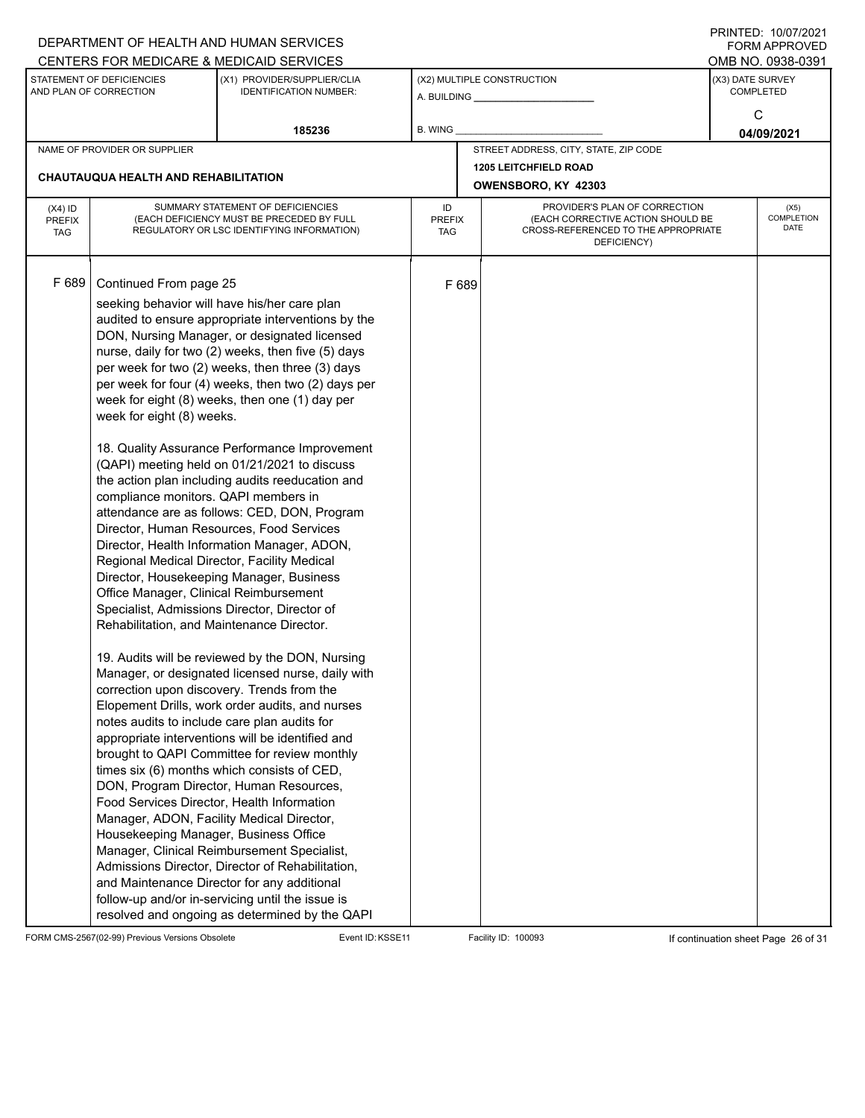| DEPARTMENT OF HEALTH AND HUMAN SERVICES                      |                                                                                                                              |                                                                                                                                                                                                                                                                                                                                                                                                                                                                                                                                                                                                                                                                                                                                                                                                                                                                                                                                                                                                                                                                                                                                                                                                                                                                                                                                                                                                                                                                                                                                                                                                                                                                                                                                                                                                  |         |                      |                                                                                                                          |                 | $1 \times 1 \times 1 = 1$ . $1 \times 1 \times 1 \times 1 = 1$<br>FORM APPROVED |  |
|--------------------------------------------------------------|------------------------------------------------------------------------------------------------------------------------------|--------------------------------------------------------------------------------------------------------------------------------------------------------------------------------------------------------------------------------------------------------------------------------------------------------------------------------------------------------------------------------------------------------------------------------------------------------------------------------------------------------------------------------------------------------------------------------------------------------------------------------------------------------------------------------------------------------------------------------------------------------------------------------------------------------------------------------------------------------------------------------------------------------------------------------------------------------------------------------------------------------------------------------------------------------------------------------------------------------------------------------------------------------------------------------------------------------------------------------------------------------------------------------------------------------------------------------------------------------------------------------------------------------------------------------------------------------------------------------------------------------------------------------------------------------------------------------------------------------------------------------------------------------------------------------------------------------------------------------------------------------------------------------------------------|---------|----------------------|--------------------------------------------------------------------------------------------------------------------------|-----------------|---------------------------------------------------------------------------------|--|
| CENTERS FOR MEDICARE & MEDICAID SERVICES                     |                                                                                                                              |                                                                                                                                                                                                                                                                                                                                                                                                                                                                                                                                                                                                                                                                                                                                                                                                                                                                                                                                                                                                                                                                                                                                                                                                                                                                                                                                                                                                                                                                                                                                                                                                                                                                                                                                                                                                  |         |                      |                                                                                                                          |                 | OMB NO. 0938-0391                                                               |  |
| STATEMENT OF DEFICIENCIES<br>AND PLAN OF CORRECTION          |                                                                                                                              | (X1) PROVIDER/SUPPLIER/CLIA<br><b>IDENTIFICATION NUMBER:</b>                                                                                                                                                                                                                                                                                                                                                                                                                                                                                                                                                                                                                                                                                                                                                                                                                                                                                                                                                                                                                                                                                                                                                                                                                                                                                                                                                                                                                                                                                                                                                                                                                                                                                                                                     |         |                      | (X2) MULTIPLE CONSTRUCTION                                                                                               |                 | (X3) DATE SURVEY<br><b>COMPLETED</b>                                            |  |
|                                                              |                                                                                                                              | 185236                                                                                                                                                                                                                                                                                                                                                                                                                                                                                                                                                                                                                                                                                                                                                                                                                                                                                                                                                                                                                                                                                                                                                                                                                                                                                                                                                                                                                                                                                                                                                                                                                                                                                                                                                                                           | B. WING |                      |                                                                                                                          | C<br>04/09/2021 |                                                                                 |  |
| NAME OF PROVIDER OR SUPPLIER                                 |                                                                                                                              |                                                                                                                                                                                                                                                                                                                                                                                                                                                                                                                                                                                                                                                                                                                                                                                                                                                                                                                                                                                                                                                                                                                                                                                                                                                                                                                                                                                                                                                                                                                                                                                                                                                                                                                                                                                                  |         |                      | STREET ADDRESS, CITY, STATE, ZIP CODE                                                                                    |                 |                                                                                 |  |
|                                                              |                                                                                                                              |                                                                                                                                                                                                                                                                                                                                                                                                                                                                                                                                                                                                                                                                                                                                                                                                                                                                                                                                                                                                                                                                                                                                                                                                                                                                                                                                                                                                                                                                                                                                                                                                                                                                                                                                                                                                  |         |                      | <b>1205 LEITCHFIELD ROAD</b>                                                                                             |                 |                                                                                 |  |
|                                                              | <b>CHAUTAUQUA HEALTH AND REHABILITATION</b>                                                                                  |                                                                                                                                                                                                                                                                                                                                                                                                                                                                                                                                                                                                                                                                                                                                                                                                                                                                                                                                                                                                                                                                                                                                                                                                                                                                                                                                                                                                                                                                                                                                                                                                                                                                                                                                                                                                  |         |                      | OWENSBORO, KY 42303                                                                                                      |                 |                                                                                 |  |
| $(X4)$ ID<br><b>PREFIX</b><br><b>TAG</b>                     | SUMMARY STATEMENT OF DEFICIENCIES<br>(EACH DEFICIENCY MUST BE PRECEDED BY FULL<br>REGULATORY OR LSC IDENTIFYING INFORMATION) |                                                                                                                                                                                                                                                                                                                                                                                                                                                                                                                                                                                                                                                                                                                                                                                                                                                                                                                                                                                                                                                                                                                                                                                                                                                                                                                                                                                                                                                                                                                                                                                                                                                                                                                                                                                                  |         | <b>PREFIX</b><br>TAG | PROVIDER'S PLAN OF CORRECTION<br>(EACH CORRECTIVE ACTION SHOULD BE<br>CROSS-REFERENCED TO THE APPROPRIATE<br>DEFICIENCY) |                 | (X5)<br>COMPLETION<br>DATE                                                      |  |
| F 689<br>Continued From page 25<br>week for eight (8) weeks. |                                                                                                                              | seeking behavior will have his/her care plan<br>audited to ensure appropriate interventions by the<br>DON, Nursing Manager, or designated licensed<br>nurse, daily for two (2) weeks, then five (5) days<br>per week for two (2) weeks, then three (3) days<br>per week for four (4) weeks, then two (2) days per<br>week for eight (8) weeks, then one (1) day per<br>18. Quality Assurance Performance Improvement<br>(QAPI) meeting held on 01/21/2021 to discuss<br>the action plan including audits reeducation and<br>compliance monitors. QAPI members in<br>attendance are as follows: CED, DON, Program<br>Director, Human Resources, Food Services<br>Director, Health Information Manager, ADON,<br>Regional Medical Director, Facility Medical<br>Director, Housekeeping Manager, Business<br>Office Manager, Clinical Reimbursement<br>Specialist, Admissions Director, Director of<br>Rehabilitation, and Maintenance Director.<br>19. Audits will be reviewed by the DON, Nursing<br>Manager, or designated licensed nurse, daily with<br>correction upon discovery. Trends from the<br>Elopement Drills, work order audits, and nurses<br>notes audits to include care plan audits for<br>appropriate interventions will be identified and<br>brought to QAPI Committee for review monthly<br>times six (6) months which consists of CED,<br>DON, Program Director, Human Resources,<br>Food Services Director, Health Information<br>Manager, ADON, Facility Medical Director,<br>Housekeeping Manager, Business Office<br>Manager, Clinical Reimbursement Specialist,<br>Admissions Director, Director of Rehabilitation,<br>and Maintenance Director for any additional<br>follow-up and/or in-servicing until the issue is<br>resolved and ongoing as determined by the QAPI |         | F 689                |                                                                                                                          |                 |                                                                                 |  |

FORM CMS-2567(02-99) Previous Versions Obsolete Event ID:KSSE11 Facility ID: 100093 If continuation sheet Page 26 of 31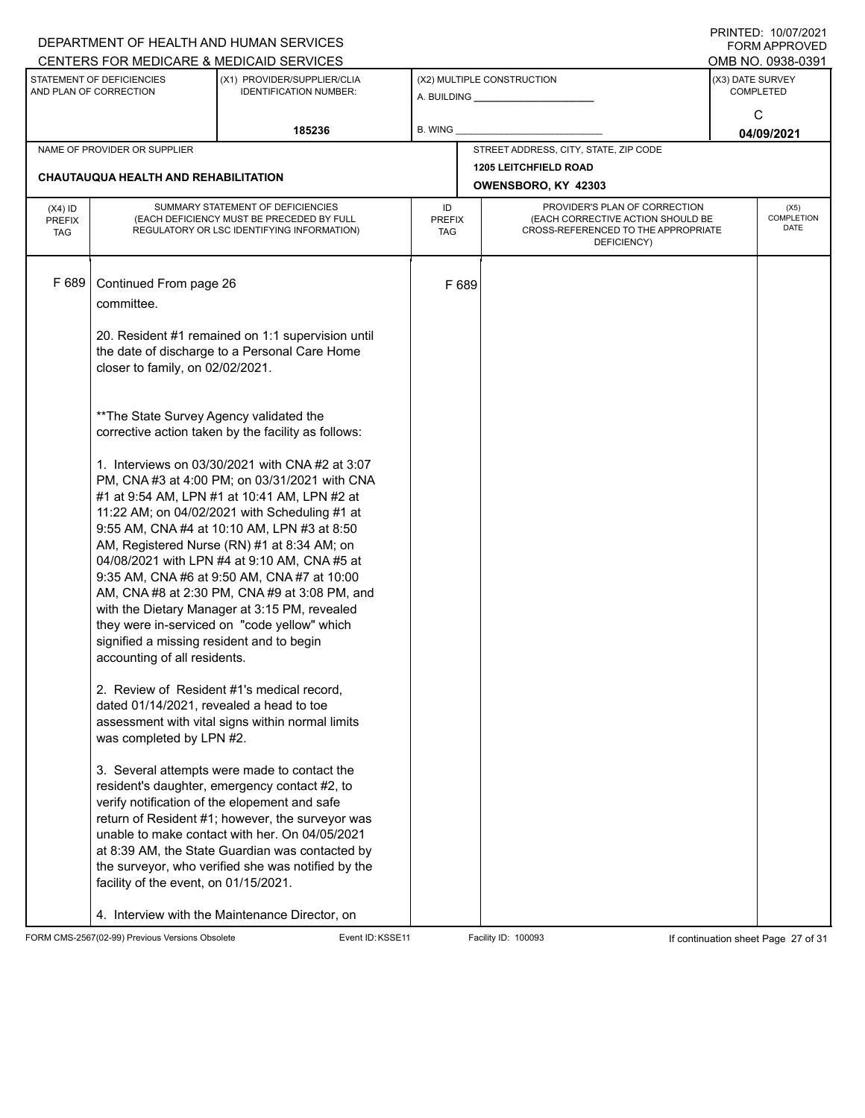|                                                     |                                                                                                                              | DEPARTMENT OF HEALTH AND HUMAN SERVICES                                                           |         |                      |                                                                          |                  | I INITILD. IVIVIILVLI<br><b>FORM APPROVED</b> |  |
|-----------------------------------------------------|------------------------------------------------------------------------------------------------------------------------------|---------------------------------------------------------------------------------------------------|---------|----------------------|--------------------------------------------------------------------------|------------------|-----------------------------------------------|--|
|                                                     |                                                                                                                              | CENTERS FOR MEDICARE & MEDICAID SERVICES                                                          |         |                      |                                                                          |                  | OMB NO. 0938-0391                             |  |
| STATEMENT OF DEFICIENCIES<br>AND PLAN OF CORRECTION |                                                                                                                              | (X1) PROVIDER/SUPPLIER/CLIA<br><b>IDENTIFICATION NUMBER:</b>                                      |         |                      | (X2) MULTIPLE CONSTRUCTION<br>A. BUILDING <b>A.</b> BUILDING             | (X3) DATE SURVEY | <b>COMPLETED</b>                              |  |
|                                                     |                                                                                                                              |                                                                                                   |         |                      |                                                                          |                  | C                                             |  |
|                                                     |                                                                                                                              | 185236                                                                                            | B. WING |                      |                                                                          |                  | 04/09/2021                                    |  |
|                                                     | NAME OF PROVIDER OR SUPPLIER                                                                                                 |                                                                                                   |         |                      | STREET ADDRESS, CITY, STATE, ZIP CODE                                    |                  |                                               |  |
|                                                     |                                                                                                                              |                                                                                                   |         |                      | <b>1205 LEITCHFIELD ROAD</b>                                             |                  |                                               |  |
|                                                     | <b>CHAUTAUQUA HEALTH AND REHABILITATION</b>                                                                                  |                                                                                                   |         |                      | OWENSBORO, KY 42303                                                      |                  |                                               |  |
| $(X4)$ ID                                           | SUMMARY STATEMENT OF DEFICIENCIES<br>(EACH DEFICIENCY MUST BE PRECEDED BY FULL<br>REGULATORY OR LSC IDENTIFYING INFORMATION) |                                                                                                   |         |                      | PROVIDER'S PLAN OF CORRECTION                                            |                  | (X5)                                          |  |
| <b>PREFIX</b><br><b>TAG</b>                         |                                                                                                                              |                                                                                                   |         | <b>PREFIX</b><br>TAG | (EACH CORRECTIVE ACTION SHOULD BE<br>CROSS-REFERENCED TO THE APPROPRIATE |                  | <b>COMPLETION</b><br><b>DATE</b>              |  |
|                                                     |                                                                                                                              |                                                                                                   |         |                      | DEFICIENCY)                                                              |                  |                                               |  |
|                                                     |                                                                                                                              |                                                                                                   |         |                      |                                                                          |                  |                                               |  |
| F 689                                               | Continued From page 26                                                                                                       |                                                                                                   |         | F 689                |                                                                          |                  |                                               |  |
|                                                     | committee.                                                                                                                   |                                                                                                   |         |                      |                                                                          |                  |                                               |  |
|                                                     |                                                                                                                              | 20. Resident #1 remained on 1:1 supervision until                                                 |         |                      |                                                                          |                  |                                               |  |
|                                                     |                                                                                                                              | the date of discharge to a Personal Care Home                                                     |         |                      |                                                                          |                  |                                               |  |
|                                                     | closer to family, on 02/02/2021.                                                                                             |                                                                                                   |         |                      |                                                                          |                  |                                               |  |
|                                                     |                                                                                                                              |                                                                                                   |         |                      |                                                                          |                  |                                               |  |
|                                                     | ** The State Survey Agency validated the                                                                                     |                                                                                                   |         |                      |                                                                          |                  |                                               |  |
|                                                     |                                                                                                                              | corrective action taken by the facility as follows:                                               |         |                      |                                                                          |                  |                                               |  |
|                                                     |                                                                                                                              |                                                                                                   |         |                      |                                                                          |                  |                                               |  |
|                                                     |                                                                                                                              | 1. Interviews on 03/30/2021 with CNA#2 at 3:07                                                    |         |                      |                                                                          |                  |                                               |  |
|                                                     |                                                                                                                              | PM, CNA #3 at 4:00 PM; on 03/31/2021 with CNA<br>#1 at 9:54 AM, LPN #1 at 10:41 AM, LPN #2 at     |         |                      |                                                                          |                  |                                               |  |
|                                                     |                                                                                                                              | 11:22 AM; on 04/02/2021 with Scheduling #1 at                                                     |         |                      |                                                                          |                  |                                               |  |
|                                                     |                                                                                                                              | 9:55 AM, CNA #4 at 10:10 AM, LPN #3 at 8:50                                                       |         |                      |                                                                          |                  |                                               |  |
|                                                     |                                                                                                                              | AM, Registered Nurse (RN) #1 at 8:34 AM; on                                                       |         |                      |                                                                          |                  |                                               |  |
|                                                     |                                                                                                                              | 04/08/2021 with LPN #4 at 9:10 AM, CNA #5 at                                                      |         |                      |                                                                          |                  |                                               |  |
|                                                     |                                                                                                                              | 9:35 AM, CNA #6 at 9:50 AM, CNA #7 at 10:00<br>AM, CNA #8 at 2:30 PM, CNA #9 at 3:08 PM, and      |         |                      |                                                                          |                  |                                               |  |
|                                                     |                                                                                                                              | with the Dietary Manager at 3:15 PM, revealed                                                     |         |                      |                                                                          |                  |                                               |  |
|                                                     |                                                                                                                              | they were in-serviced on "code yellow" which                                                      |         |                      |                                                                          |                  |                                               |  |
|                                                     | signified a missing resident and to begin                                                                                    |                                                                                                   |         |                      |                                                                          |                  |                                               |  |
|                                                     | accounting of all residents.                                                                                                 |                                                                                                   |         |                      |                                                                          |                  |                                               |  |
|                                                     |                                                                                                                              | 2. Review of Resident #1's medical record,                                                        |         |                      |                                                                          |                  |                                               |  |
|                                                     | dated 01/14/2021, revealed a head to toe                                                                                     |                                                                                                   |         |                      |                                                                          |                  |                                               |  |
|                                                     |                                                                                                                              | assessment with vital signs within normal limits                                                  |         |                      |                                                                          |                  |                                               |  |
|                                                     | was completed by LPN #2.                                                                                                     |                                                                                                   |         |                      |                                                                          |                  |                                               |  |
|                                                     |                                                                                                                              | 3. Several attempts were made to contact the                                                      |         |                      |                                                                          |                  |                                               |  |
|                                                     |                                                                                                                              | resident's daughter, emergency contact #2, to                                                     |         |                      |                                                                          |                  |                                               |  |
|                                                     |                                                                                                                              | verify notification of the elopement and safe                                                     |         |                      |                                                                          |                  |                                               |  |
|                                                     |                                                                                                                              | return of Resident #1; however, the surveyor was                                                  |         |                      |                                                                          |                  |                                               |  |
|                                                     |                                                                                                                              | unable to make contact with her. On 04/05/2021<br>at 8:39 AM, the State Guardian was contacted by |         |                      |                                                                          |                  |                                               |  |
|                                                     |                                                                                                                              | the surveyor, who verified she was notified by the                                                |         |                      |                                                                          |                  |                                               |  |
|                                                     | facility of the event, on 01/15/2021.                                                                                        |                                                                                                   |         |                      |                                                                          |                  |                                               |  |
|                                                     |                                                                                                                              |                                                                                                   |         |                      |                                                                          |                  |                                               |  |
|                                                     |                                                                                                                              | 4. Interview with the Maintenance Director, on                                                    |         |                      |                                                                          |                  |                                               |  |

FORM CMS-2567(02-99) Previous Versions Obsolete Event ID:KSSE11 Facility ID: 100093 If continuation sheet Page 27 of 31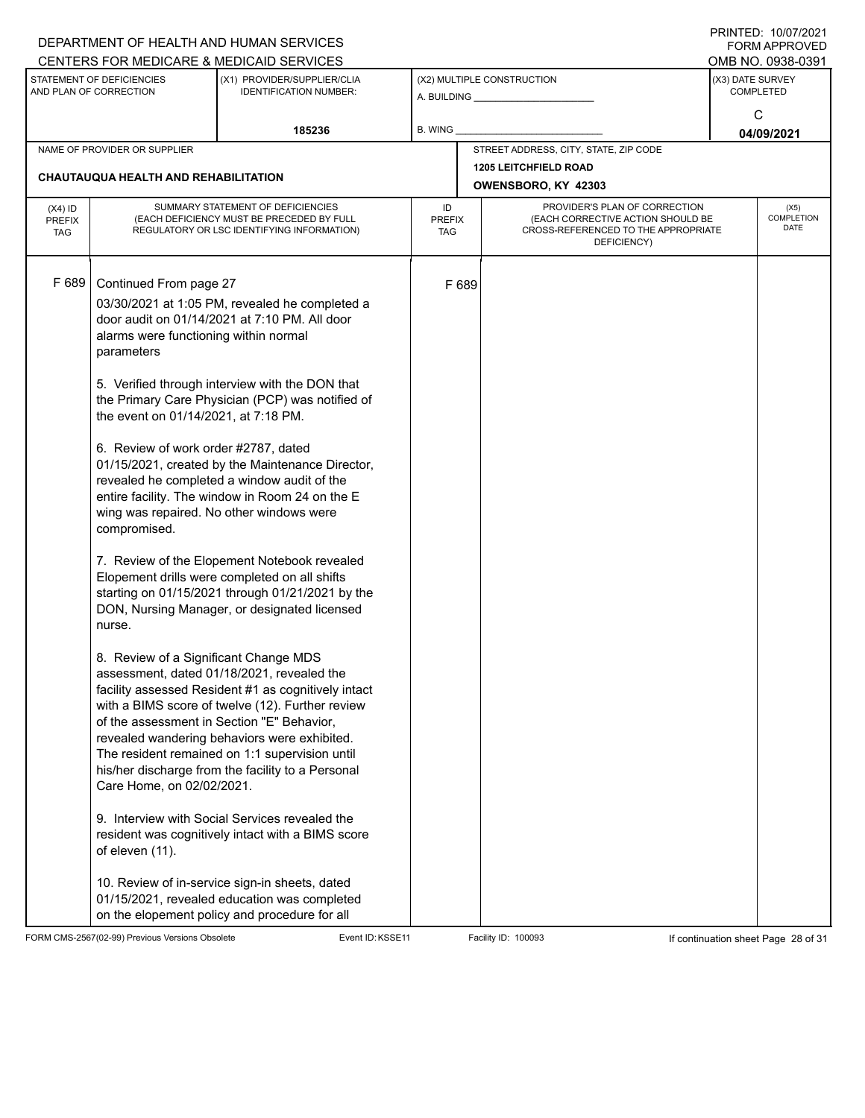|                                          |                                                                                                                                                                                                                                                                                  | DEPARTMENT OF HEALTH AND HUMAN SERVICES                                                                                                                                                                                                                                                                                                                                                                                                                                                                                                                                                                                                                                                                                                                                                                                                                                                                                                                                                                                                                                                                                              |         |                      |                                                                                                                          |                  | I INITILD. IVIVIILVLI<br>FORM APPROVED |
|------------------------------------------|----------------------------------------------------------------------------------------------------------------------------------------------------------------------------------------------------------------------------------------------------------------------------------|--------------------------------------------------------------------------------------------------------------------------------------------------------------------------------------------------------------------------------------------------------------------------------------------------------------------------------------------------------------------------------------------------------------------------------------------------------------------------------------------------------------------------------------------------------------------------------------------------------------------------------------------------------------------------------------------------------------------------------------------------------------------------------------------------------------------------------------------------------------------------------------------------------------------------------------------------------------------------------------------------------------------------------------------------------------------------------------------------------------------------------------|---------|----------------------|--------------------------------------------------------------------------------------------------------------------------|------------------|----------------------------------------|
|                                          |                                                                                                                                                                                                                                                                                  | CENTERS FOR MEDICARE & MEDICAID SERVICES                                                                                                                                                                                                                                                                                                                                                                                                                                                                                                                                                                                                                                                                                                                                                                                                                                                                                                                                                                                                                                                                                             |         |                      |                                                                                                                          |                  | OMB NO. 0938-0391                      |
|                                          | STATEMENT OF DEFICIENCIES<br>AND PLAN OF CORRECTION                                                                                                                                                                                                                              | (X1) PROVIDER/SUPPLIER/CLIA<br><b>IDENTIFICATION NUMBER:</b>                                                                                                                                                                                                                                                                                                                                                                                                                                                                                                                                                                                                                                                                                                                                                                                                                                                                                                                                                                                                                                                                         |         |                      | (X2) MULTIPLE CONSTRUCTION<br>A. BUILDING A. BUILDING                                                                    | (X3) DATE SURVEY | <b>COMPLETED</b>                       |
|                                          |                                                                                                                                                                                                                                                                                  |                                                                                                                                                                                                                                                                                                                                                                                                                                                                                                                                                                                                                                                                                                                                                                                                                                                                                                                                                                                                                                                                                                                                      |         |                      |                                                                                                                          |                  | C                                      |
|                                          |                                                                                                                                                                                                                                                                                  | 185236                                                                                                                                                                                                                                                                                                                                                                                                                                                                                                                                                                                                                                                                                                                                                                                                                                                                                                                                                                                                                                                                                                                               | B. WING |                      |                                                                                                                          | 04/09/2021       |                                        |
| NAME OF PROVIDER OR SUPPLIER             |                                                                                                                                                                                                                                                                                  |                                                                                                                                                                                                                                                                                                                                                                                                                                                                                                                                                                                                                                                                                                                                                                                                                                                                                                                                                                                                                                                                                                                                      |         |                      | STREET ADDRESS, CITY, STATE, ZIP CODE                                                                                    |                  |                                        |
|                                          |                                                                                                                                                                                                                                                                                  |                                                                                                                                                                                                                                                                                                                                                                                                                                                                                                                                                                                                                                                                                                                                                                                                                                                                                                                                                                                                                                                                                                                                      |         |                      | <b>1205 LEITCHFIELD ROAD</b>                                                                                             |                  |                                        |
|                                          | <b>CHAUTAUQUA HEALTH AND REHABILITATION</b>                                                                                                                                                                                                                                      |                                                                                                                                                                                                                                                                                                                                                                                                                                                                                                                                                                                                                                                                                                                                                                                                                                                                                                                                                                                                                                                                                                                                      |         |                      | OWENSBORO, KY 42303                                                                                                      |                  |                                        |
| $(X4)$ ID<br><b>PREFIX</b><br><b>TAG</b> | SUMMARY STATEMENT OF DEFICIENCIES<br>(EACH DEFICIENCY MUST BE PRECEDED BY FULL<br>REGULATORY OR LSC IDENTIFYING INFORMATION)                                                                                                                                                     |                                                                                                                                                                                                                                                                                                                                                                                                                                                                                                                                                                                                                                                                                                                                                                                                                                                                                                                                                                                                                                                                                                                                      |         | <b>PREFIX</b><br>TAG | PROVIDER'S PLAN OF CORRECTION<br>(EACH CORRECTIVE ACTION SHOULD BE<br>CROSS-REFERENCED TO THE APPROPRIATE<br>DEFICIENCY) |                  | (X5)<br>COMPLETION<br>DATE             |
| F 689                                    | Continued From page 27<br>alarms were functioning within normal<br>parameters<br>the event on 01/14/2021, at 7:18 PM.<br>6. Review of work order #2787, dated<br>compromised.<br>nurse.<br>8. Review of a Significant Change MDS<br>Care Home, on 02/02/2021.<br>of eleven (11). | 03/30/2021 at 1:05 PM, revealed he completed a<br>door audit on 01/14/2021 at 7:10 PM. All door<br>5. Verified through interview with the DON that<br>the Primary Care Physician (PCP) was notified of<br>01/15/2021, created by the Maintenance Director,<br>revealed he completed a window audit of the<br>entire facility. The window in Room 24 on the E<br>wing was repaired. No other windows were<br>7. Review of the Elopement Notebook revealed<br>Elopement drills were completed on all shifts<br>starting on 01/15/2021 through 01/21/2021 by the<br>DON, Nursing Manager, or designated licensed<br>assessment, dated 01/18/2021, revealed the<br>facility assessed Resident #1 as cognitively intact<br>with a BIMS score of twelve (12). Further review<br>of the assessment in Section "E" Behavior,<br>revealed wandering behaviors were exhibited.<br>The resident remained on 1:1 supervision until<br>his/her discharge from the facility to a Personal<br>9. Interview with Social Services revealed the<br>resident was cognitively intact with a BIMS score<br>10. Review of in-service sign-in sheets, dated |         | F 689                |                                                                                                                          |                  |                                        |
|                                          |                                                                                                                                                                                                                                                                                  | 01/15/2021, revealed education was completed<br>on the elopement policy and procedure for all                                                                                                                                                                                                                                                                                                                                                                                                                                                                                                                                                                                                                                                                                                                                                                                                                                                                                                                                                                                                                                        |         |                      |                                                                                                                          |                  |                                        |

FORM CMS-2567(02-99) Previous Versions Obsolete Event ID:KSSE11 Facility ID: 100093 If continuation sheet Page 28 of 31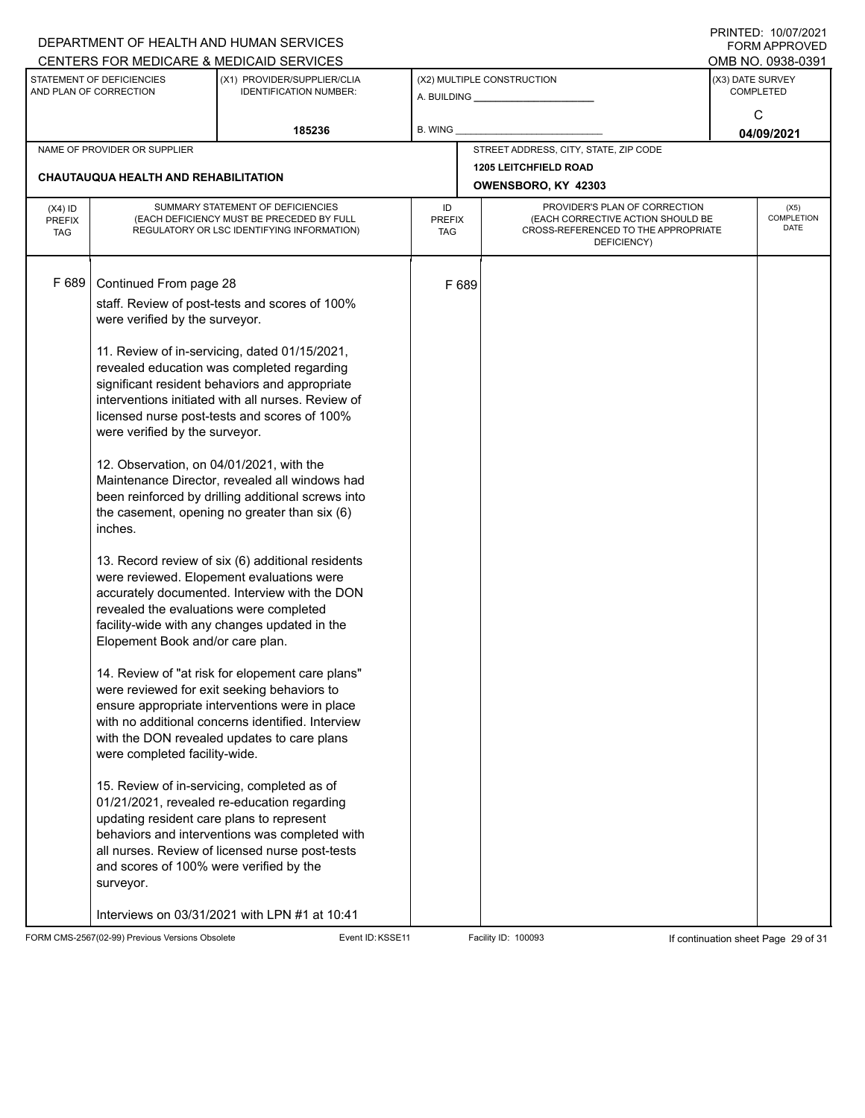|                                      |                                                                                         | DEPARTMENT OF HEALTH AND HUMAN SERVICES                                                      |                      |       |                                                                          |                  | $1 \times 1 \times 1 = 1$ . $1 \times 1 \times 1 \times 1 = 1$<br><b>FORM APPROVED</b> |
|--------------------------------------|-----------------------------------------------------------------------------------------|----------------------------------------------------------------------------------------------|----------------------|-------|--------------------------------------------------------------------------|------------------|----------------------------------------------------------------------------------------|
|                                      |                                                                                         | CENTERS FOR MEDICARE & MEDICAID SERVICES                                                     |                      |       |                                                                          |                  | OMB NO. 0938-0391                                                                      |
|                                      | STATEMENT OF DEFICIENCIES<br>AND PLAN OF CORRECTION                                     | (X1) PROVIDER/SUPPLIER/CLIA<br><b>IDENTIFICATION NUMBER:</b>                                 |                      |       | (X2) MULTIPLE CONSTRUCTION                                               | (X3) DATE SURVEY | <b>COMPLETED</b>                                                                       |
|                                      |                                                                                         |                                                                                              |                      |       |                                                                          |                  | C                                                                                      |
|                                      |                                                                                         | 185236                                                                                       | B. WING              |       |                                                                          |                  | 04/09/2021                                                                             |
|                                      | NAME OF PROVIDER OR SUPPLIER                                                            |                                                                                              |                      |       | STREET ADDRESS, CITY, STATE, ZIP CODE                                    |                  |                                                                                        |
|                                      |                                                                                         |                                                                                              |                      |       | <b>1205 LEITCHFIELD ROAD</b>                                             |                  |                                                                                        |
| CHAUTAUQUA HEALTH AND REHABILITATION |                                                                                         |                                                                                              |                      |       | OWENSBORO, KY 42303                                                      |                  |                                                                                        |
| $(X4)$ ID                            |                                                                                         | SUMMARY STATEMENT OF DEFICIENCIES                                                            | ID                   |       | PROVIDER'S PLAN OF CORRECTION                                            |                  | (X5)                                                                                   |
| <b>PREFIX</b><br><b>TAG</b>          | (EACH DEFICIENCY MUST BE PRECEDED BY FULL<br>REGULATORY OR LSC IDENTIFYING INFORMATION) |                                                                                              | <b>PREFIX</b><br>TAG |       | (EACH CORRECTIVE ACTION SHOULD BE<br>CROSS-REFERENCED TO THE APPROPRIATE |                  | <b>DATE</b>                                                                            |
|                                      |                                                                                         |                                                                                              |                      |       | DEFICIENCY)                                                              |                  | COMPLETION                                                                             |
|                                      |                                                                                         |                                                                                              |                      |       |                                                                          |                  |                                                                                        |
| F 689                                | Continued From page 28                                                                  |                                                                                              |                      | F 689 |                                                                          |                  |                                                                                        |
|                                      |                                                                                         | staff. Review of post-tests and scores of 100%                                               |                      |       |                                                                          |                  |                                                                                        |
|                                      | were verified by the surveyor.                                                          |                                                                                              |                      |       |                                                                          |                  |                                                                                        |
|                                      |                                                                                         |                                                                                              |                      |       |                                                                          |                  |                                                                                        |
|                                      |                                                                                         | 11. Review of in-servicing, dated 01/15/2021,                                                |                      |       |                                                                          |                  |                                                                                        |
|                                      |                                                                                         | revealed education was completed regarding<br>significant resident behaviors and appropriate |                      |       |                                                                          |                  |                                                                                        |
|                                      |                                                                                         | interventions initiated with all nurses. Review of                                           |                      |       |                                                                          |                  |                                                                                        |
|                                      |                                                                                         | licensed nurse post-tests and scores of 100%                                                 |                      |       |                                                                          |                  |                                                                                        |
|                                      | were verified by the surveyor.                                                          |                                                                                              |                      |       |                                                                          |                  |                                                                                        |
|                                      | 12. Observation, on 04/01/2021, with the                                                |                                                                                              |                      |       |                                                                          |                  |                                                                                        |
|                                      |                                                                                         | Maintenance Director, revealed all windows had                                               |                      |       |                                                                          |                  |                                                                                        |
|                                      |                                                                                         | been reinforced by drilling additional screws into                                           |                      |       |                                                                          |                  |                                                                                        |
|                                      |                                                                                         | the casement, opening no greater than six (6)                                                |                      |       |                                                                          |                  |                                                                                        |
|                                      | inches.                                                                                 |                                                                                              |                      |       |                                                                          |                  |                                                                                        |
|                                      |                                                                                         | 13. Record review of six (6) additional residents                                            |                      |       |                                                                          |                  |                                                                                        |
|                                      |                                                                                         | were reviewed. Elopement evaluations were                                                    |                      |       |                                                                          |                  |                                                                                        |
|                                      |                                                                                         | accurately documented. Interview with the DON                                                |                      |       |                                                                          |                  |                                                                                        |
|                                      | revealed the evaluations were completed                                                 |                                                                                              |                      |       |                                                                          |                  |                                                                                        |
|                                      | Elopement Book and/or care plan.                                                        | facility-wide with any changes updated in the                                                |                      |       |                                                                          |                  |                                                                                        |
|                                      |                                                                                         |                                                                                              |                      |       |                                                                          |                  |                                                                                        |
|                                      |                                                                                         | 14. Review of "at risk for elopement care plans"                                             |                      |       |                                                                          |                  |                                                                                        |
|                                      |                                                                                         | were reviewed for exit seeking behaviors to                                                  |                      |       |                                                                          |                  |                                                                                        |
|                                      |                                                                                         | ensure appropriate interventions were in place                                               |                      |       |                                                                          |                  |                                                                                        |
|                                      |                                                                                         | with no additional concerns identified. Interview                                            |                      |       |                                                                          |                  |                                                                                        |
|                                      |                                                                                         | with the DON revealed updates to care plans                                                  |                      |       |                                                                          |                  |                                                                                        |
|                                      | were completed facility-wide.                                                           |                                                                                              |                      |       |                                                                          |                  |                                                                                        |
|                                      |                                                                                         | 15. Review of in-servicing, completed as of                                                  |                      |       |                                                                          |                  |                                                                                        |
|                                      |                                                                                         | 01/21/2021, revealed re-education regarding                                                  |                      |       |                                                                          |                  |                                                                                        |
|                                      | updating resident care plans to represent                                               |                                                                                              |                      |       |                                                                          |                  |                                                                                        |
|                                      |                                                                                         | behaviors and interventions was completed with                                               |                      |       |                                                                          |                  |                                                                                        |
|                                      |                                                                                         | all nurses. Review of licensed nurse post-tests                                              |                      |       |                                                                          |                  |                                                                                        |
|                                      | and scores of 100% were verified by the<br>surveyor.                                    |                                                                                              |                      |       |                                                                          |                  |                                                                                        |
|                                      |                                                                                         |                                                                                              |                      |       |                                                                          |                  |                                                                                        |
|                                      |                                                                                         | Interviews on 03/31/2021 with LPN #1 at 10:41                                                |                      |       |                                                                          |                  |                                                                                        |

FORM CMS-2567(02-99) Previous Versions Obsolete Event ID:KSSE11 Facility ID: 100093 If continuation sheet Page 29 of 31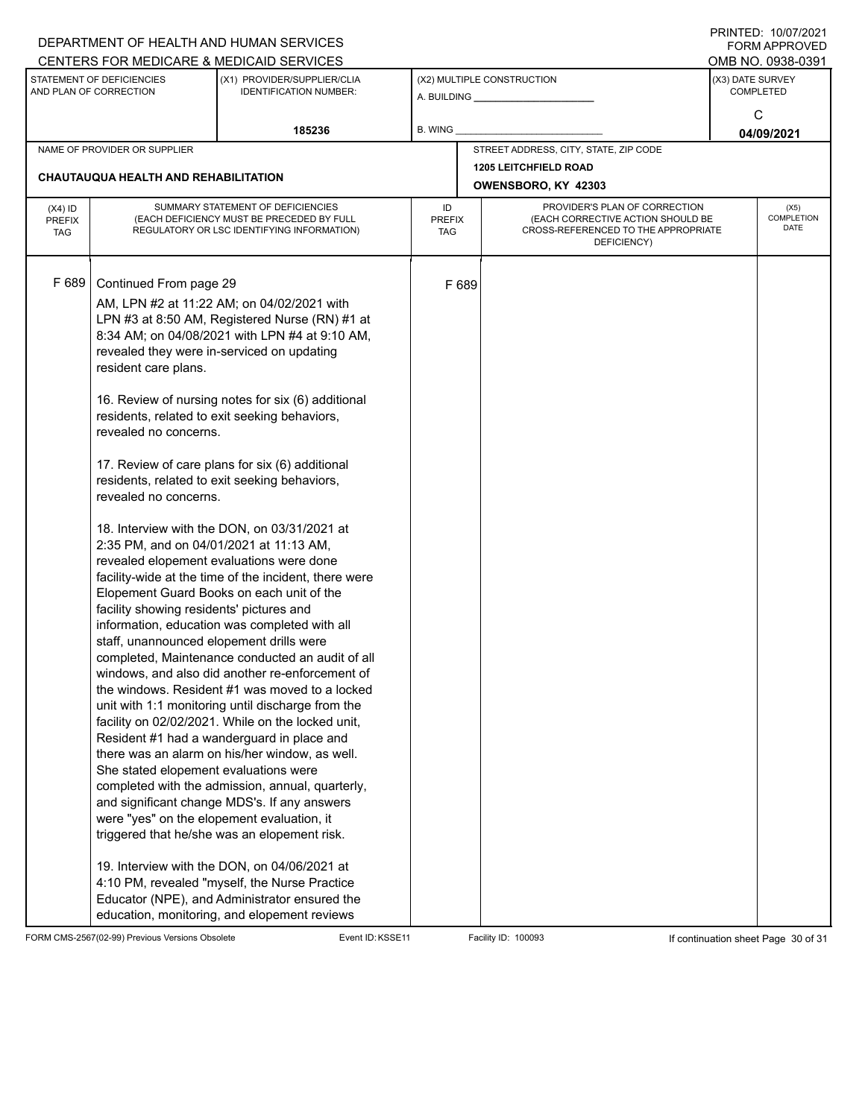|                                                     |                                                                                                                                                                                                                                                                                                                            | DEPARTMENT OF HEALTH AND HUMAN SERVICES<br>CENTERS FOR MEDICARE & MEDICAID SERVICES                                                                                                                                                                                                                                                                                                                                                                                                                                                                                                                                                                                                                                                                                                                                                                                                                                                                                                                                                                                                                                                                                                                                                                                                                                                                                                 |         |                      |                                                                                                                          |                 | 11111111127. 110101112021<br>FORM APPROVED<br>OMB NO. 0938-0391 |
|-----------------------------------------------------|----------------------------------------------------------------------------------------------------------------------------------------------------------------------------------------------------------------------------------------------------------------------------------------------------------------------------|-------------------------------------------------------------------------------------------------------------------------------------------------------------------------------------------------------------------------------------------------------------------------------------------------------------------------------------------------------------------------------------------------------------------------------------------------------------------------------------------------------------------------------------------------------------------------------------------------------------------------------------------------------------------------------------------------------------------------------------------------------------------------------------------------------------------------------------------------------------------------------------------------------------------------------------------------------------------------------------------------------------------------------------------------------------------------------------------------------------------------------------------------------------------------------------------------------------------------------------------------------------------------------------------------------------------------------------------------------------------------------------|---------|----------------------|--------------------------------------------------------------------------------------------------------------------------|-----------------|-----------------------------------------------------------------|
| STATEMENT OF DEFICIENCIES<br>AND PLAN OF CORRECTION |                                                                                                                                                                                                                                                                                                                            | (X1) PROVIDER/SUPPLIER/CLIA<br><b>IDENTIFICATION NUMBER:</b>                                                                                                                                                                                                                                                                                                                                                                                                                                                                                                                                                                                                                                                                                                                                                                                                                                                                                                                                                                                                                                                                                                                                                                                                                                                                                                                        |         |                      | (X2) MULTIPLE CONSTRUCTION                                                                                               |                 | (X3) DATE SURVEY<br><b>COMPLETED</b>                            |
|                                                     |                                                                                                                                                                                                                                                                                                                            | 185236                                                                                                                                                                                                                                                                                                                                                                                                                                                                                                                                                                                                                                                                                                                                                                                                                                                                                                                                                                                                                                                                                                                                                                                                                                                                                                                                                                              | B. WING |                      |                                                                                                                          | C<br>04/09/2021 |                                                                 |
| NAME OF PROVIDER OR SUPPLIER                        |                                                                                                                                                                                                                                                                                                                            |                                                                                                                                                                                                                                                                                                                                                                                                                                                                                                                                                                                                                                                                                                                                                                                                                                                                                                                                                                                                                                                                                                                                                                                                                                                                                                                                                                                     |         |                      | STREET ADDRESS, CITY, STATE, ZIP CODE                                                                                    |                 |                                                                 |
| <b>CHAUTAUQUA HEALTH AND REHABILITATION</b>         |                                                                                                                                                                                                                                                                                                                            |                                                                                                                                                                                                                                                                                                                                                                                                                                                                                                                                                                                                                                                                                                                                                                                                                                                                                                                                                                                                                                                                                                                                                                                                                                                                                                                                                                                     |         |                      | <b>1205 LEITCHFIELD ROAD</b><br>OWENSBORO, KY 42303                                                                      |                 |                                                                 |
| $(X4)$ ID<br><b>PREFIX</b><br><b>TAG</b>            | SUMMARY STATEMENT OF DEFICIENCIES<br>(EACH DEFICIENCY MUST BE PRECEDED BY FULL<br>REGULATORY OR LSC IDENTIFYING INFORMATION)                                                                                                                                                                                               |                                                                                                                                                                                                                                                                                                                                                                                                                                                                                                                                                                                                                                                                                                                                                                                                                                                                                                                                                                                                                                                                                                                                                                                                                                                                                                                                                                                     |         | <b>PREFIX</b><br>TAG | PROVIDER'S PLAN OF CORRECTION<br>(EACH CORRECTIVE ACTION SHOULD BE<br>CROSS-REFERENCED TO THE APPROPRIATE<br>DEFICIENCY) |                 | (X5)<br>COMPLETION<br>DATE                                      |
| F 689                                               | Continued From page 29<br>resident care plans.<br>revealed no concerns.<br>revealed no concerns.<br>2:35 PM, and on 04/01/2021 at 11:13 AM,<br>facility showing residents' pictures and<br>staff, unannounced elopement drills were<br>She stated elopement evaluations were<br>were "yes" on the elopement evaluation, it | AM, LPN #2 at 11:22 AM; on 04/02/2021 with<br>LPN #3 at 8:50 AM, Registered Nurse (RN) #1 at<br>8:34 AM; on 04/08/2021 with LPN #4 at 9:10 AM,<br>revealed they were in-serviced on updating<br>16. Review of nursing notes for six (6) additional<br>residents, related to exit seeking behaviors,<br>17. Review of care plans for six (6) additional<br>residents, related to exit seeking behaviors,<br>18. Interview with the DON, on 03/31/2021 at<br>revealed elopement evaluations were done<br>facility-wide at the time of the incident, there were<br>Elopement Guard Books on each unit of the<br>information, education was completed with all<br>completed, Maintenance conducted an audit of all<br>windows, and also did another re-enforcement of<br>the windows. Resident #1 was moved to a locked<br>unit with 1:1 monitoring until discharge from the<br>facility on 02/02/2021. While on the locked unit,<br>Resident #1 had a wanderguard in place and<br>there was an alarm on his/her window, as well.<br>completed with the admission, annual, quarterly,<br>and significant change MDS's. If any answers<br>triggered that he/she was an elopement risk.<br>19. Interview with the DON, on 04/06/2021 at<br>4:10 PM, revealed "myself, the Nurse Practice<br>Educator (NPE), and Administrator ensured the<br>education, monitoring, and elopement reviews |         | F 689                |                                                                                                                          |                 |                                                                 |

FORM CMS-2567(02-99) Previous Versions Obsolete Event ID:KSSE11 Facility ID: 100093 If continuation sheet Page 30 of 31